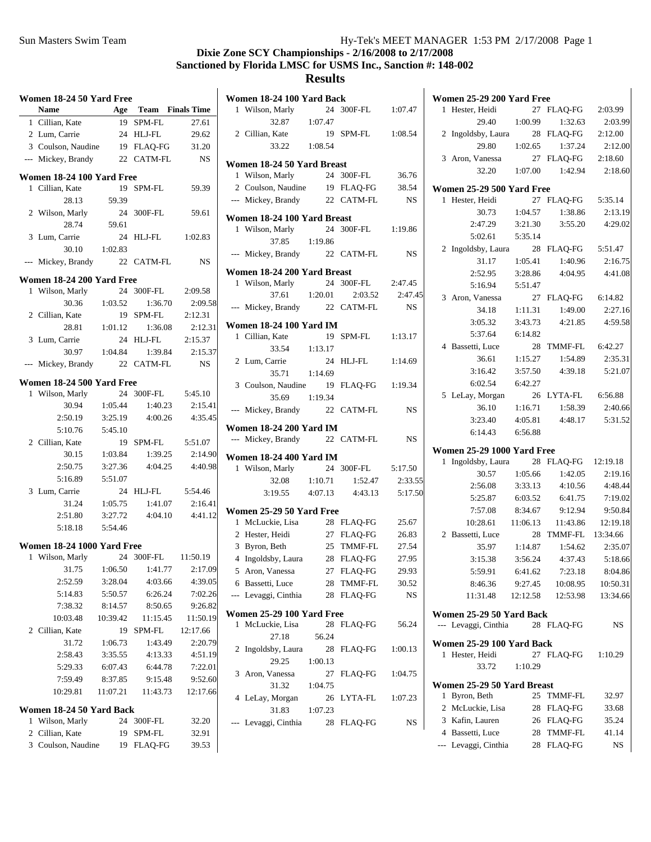### **Results**

**Women 18-24 100 Yard Back**

| Women 18-24 50 Yard Free<br>Age Team Finals Time |                                              |          |                     |                     |  |  |
|--------------------------------------------------|----------------------------------------------|----------|---------------------|---------------------|--|--|
|                                                  | <b>Name</b>                                  |          |                     |                     |  |  |
|                                                  | 1 Cillian, Kate                              | 19       | SPM-FL              | 27.61               |  |  |
|                                                  | 2 Lum, Carrie                                |          | 24 HLJ-FL           | 29.62               |  |  |
|                                                  | 3 Coulson, Naudine                           |          | 19 FLAQ-FG          | 31.20               |  |  |
|                                                  | --- Mickey, Brandy                           |          | 22 CATM-FL          | <b>NS</b>           |  |  |
| Women 18-24 100 Yard Free                        |                                              |          |                     |                     |  |  |
|                                                  | 1 Cillian, Kate                              | 19       | SPM-FL              | 59.39               |  |  |
|                                                  | 28.13                                        | 59.39    |                     |                     |  |  |
|                                                  | 2 Wilson, Marly                              | 24       | 300F-FL             | 59.61               |  |  |
|                                                  | 28.74                                        | 59.61    |                     |                     |  |  |
|                                                  | 3 Lum, Carrie                                | 24       | HLJ-FL              | 1:02.83             |  |  |
|                                                  | 30.10                                        | 1:02.83  |                     |                     |  |  |
|                                                  | --- Mickey, Brandy                           |          | 22 CATM-FL          | <b>NS</b>           |  |  |
|                                                  | Women 18-24 200 Yard Free                    |          |                     |                     |  |  |
| 1                                                | Wilson, Marly                                |          | 24 300F-FL          | 2:09.58             |  |  |
|                                                  | 30.36 1:03.52                                |          | 1:36.70             | 2:09.58             |  |  |
|                                                  | 2 Cillian, Kate                              |          | 19 SPM-FL           | 2:12.31             |  |  |
|                                                  | 28.81 1:01.12                                |          | 1:36.08             | 2:12.31             |  |  |
|                                                  | 3 Lum, Carrie                                |          | 24 HLJ-FL           | 2:15.37             |  |  |
|                                                  | 30.97                                        | 1:04.84  | 1:39.84             | 2:15.37             |  |  |
|                                                  | --- Mickey, Brandy                           |          | 22 CATM-FL          | <b>NS</b>           |  |  |
|                                                  |                                              |          |                     |                     |  |  |
|                                                  | Women 18-24 500 Yard Free<br>1 Wilson, Marly | 24       |                     | 300F-FL 5:45.10     |  |  |
|                                                  | 30.94                                        | 1:05.44  | 1:40.23             | 2:15.41             |  |  |
|                                                  | 2:50.19                                      |          | $3:25.19$ $4:00.26$ | 4:35.45             |  |  |
|                                                  | 5:10.76                                      | 5:45.10  |                     |                     |  |  |
|                                                  | 2 Cillian, Kate                              |          | 19 SPM-FL           | 5:51.07             |  |  |
|                                                  | 30.15                                        | 1:03.84  | 1:39.25             | 2:14.90             |  |  |
|                                                  | 2:50.75                                      | 3:27.36  | 4:04.25             | 4:40.98             |  |  |
|                                                  | 5:16.89                                      | 5:51.07  |                     |                     |  |  |
|                                                  | 3 Lum, Carrie                                |          | 24 HLJ-FL           |                     |  |  |
|                                                  | 31.24                                        | 1:05.75  | 1:41.07             | 5:54.46<br>2:16.41  |  |  |
|                                                  |                                              |          |                     | 4:41.12             |  |  |
|                                                  | 2:51.80                                      | 3:27.72  | 4:04.10             |                     |  |  |
|                                                  | 5:18.18                                      | 5:54.46  |                     |                     |  |  |
|                                                  | <b>Women 18-24 1000 Yard Free</b>            |          |                     |                     |  |  |
| 1                                                | Wilson, Marly                                |          |                     | 24 300F-FL 11:50.19 |  |  |
|                                                  | 31.75                                        | 1:06.50  | 1:41.77             | 2:17.09             |  |  |
|                                                  | 2:52.59                                      | 3:28.04  | 4:03.66             | 4:39.05             |  |  |
|                                                  | 5:14.83                                      | 5:50.57  | 6:26.24             | 7:02.26             |  |  |
|                                                  | 7:38.32                                      | 8:14.57  | 8:50.65             | 9:26.82             |  |  |
|                                                  | 10:03.48                                     | 10:39.42 | 11:15.45            | 11:50.19            |  |  |
|                                                  | 2 Cillian, Kate                              | 19       | SPM-FL              | 12:17.66            |  |  |
|                                                  | 31.72                                        | 1:06.73  | 1:43.49             | 2:20.79             |  |  |
|                                                  | 2:58.43                                      | 3:35.55  | 4:13.33             | 4:51.19             |  |  |
|                                                  | 5:29.33                                      | 6:07.43  | 6:44.78             | 7:22.01             |  |  |
|                                                  | 7:59.49                                      | 8:37.85  | 9:15.48             | 9:52.60             |  |  |
|                                                  | 10:29.81                                     | 11:07.21 | 11:43.73            | 12:17.66            |  |  |
|                                                  | Women 18-24 50 Yard Back                     |          |                     |                     |  |  |
| 1                                                | Wilson, Marly                                |          | 24 300F-FL          | 32.20               |  |  |
|                                                  | 2 Cillian, Kate                              | 19       | SPM-FL              | 32.91               |  |  |
|                                                  | 3 Coulson, Naudine                           | 19       | <b>FLAQ-FG</b>      | 39.53               |  |  |
|                                                  |                                              |          |                     |                     |  |  |

|   | 1 Wilson, Marly                                              | 24      | 300F-FL            | 1:07.47     |
|---|--------------------------------------------------------------|---------|--------------------|-------------|
|   | 32.87 1:07.47                                                |         |                    |             |
|   | 2 Cillian, Kate                                              |         | 19 SPM-FL 1:08.54  |             |
|   | 33.22 1:08.54                                                |         |                    |             |
|   | Women 18-24 50 Yard Breast                                   |         |                    |             |
|   | 1 Wilson, Marly 24 300F-FL<br>2 Coulson, Naudine 19 FLAQ-FG  |         |                    | 36.76       |
|   |                                                              |         |                    | 38.54       |
|   | --- Mickey, Brandy                                           |         | 22 CATM-FL         | $_{\rm NS}$ |
|   | Women 18-24 100 Yard Breast                                  |         |                    |             |
|   | 1 Wilson, Marly                                              |         | 24 300F-FL 1:19.86 |             |
|   | 37.85 1:19.86                                                |         |                    |             |
|   | --- Mickey, Brandy 22 CATM-FL                                |         |                    | <b>NS</b>   |
|   | Women 18-24 200 Yard Breast                                  |         |                    |             |
|   |                                                              |         | 24 300F-FL 2:47.45 |             |
|   | 1 Wilson, Marly 24 300<br>37.61 1:20.01                      |         | 2:03.52            | 2:47.45     |
|   | --- Mickey, Brandy                                           |         | 22 CATM-FL         | <b>NS</b>   |
|   | <b>Women 18-24 100 Yard IM</b>                               |         |                    |             |
|   | 1 Cillian, Kate                                              |         | 19 SPM-FL 1:13.17  |             |
|   | 33.54 1:13.17                                                |         |                    |             |
|   | 2 Lum, Carrie                                                |         | 24 HLJ-FL          | 1:14.69     |
|   | 35.71 1:14.69                                                |         |                    |             |
|   | 3 Coulson, Naudine 19 FLAQ-FG 1:19.34                        |         |                    |             |
|   | 35.69 1:19.34                                                |         |                    |             |
|   | --- Mickey, Brandy                                           |         | 22 CATM-FL         | <b>NS</b>   |
|   | <b>Women 18-24 200 Yard IM</b>                               |         |                    |             |
|   | --- Mickey, Brandy 22 CATM-FL                                |         |                    | <b>NS</b>   |
|   | <b>Women 18-24 400 Yard IM</b>                               |         |                    |             |
|   |                                                              |         | 24 300F-FL         | 5:17.50     |
|   | <b>omen 10-4:</b><br>1 Wilson, Marly<br>$2\gamma$ og 1:10.71 |         | 1:52.47            | 2:33.55     |
|   | 3:19.55                                                      | 4:07.13 | 4:43.13            | 5:17.50     |
|   | Women 25-29 50 Yard Free                                     |         |                    |             |
|   | 1 McLuckie, Lisa 28 FLAQ-FG                                  |         |                    | 25.67       |
|   | 2 Hester, Heidi                                              |         | 27 FLAQ-FG         | 26.83       |
|   | 3 Byron, Beth                                                |         | 25 TMMF-FL         | 27.54       |
|   | 4 Ingoldsby, Laura 28 FLAQ-FG                                |         |                    | 27.95       |
|   | 5 Aron, Vanessa                                              |         | 27 FLAQ-FG         | 29.93       |
|   | 6 Bassetti, Luce                                             |         | 28 TMMF-FL         | 30.52       |
|   | --- Levaggi, Cinthia 28 FLAQ-FG                              |         |                    | NS          |
|   | <b>Women 25-29 100 Yard Free</b>                             |         |                    |             |
| 1 | McLuckie, Lisa                                               | 28      | FLAQ-FG            | 56.24       |
|   | 27.18                                                        | 56.24   |                    |             |
|   | 2 Ingoldsby, Laura                                           | 28      | FLAQ-FG 1:00.13    |             |
|   | 29.25                                                        | 1:00.13 |                    |             |
|   | 3 Aron, Vanessa                                              |         | 27 FLAQ-FG         | 1:04.75     |
|   | 31.32                                                        | 1:04.75 |                    |             |
|   | 4 LeLay, Morgan                                              |         | 26 LYTA-FL         | 1:07.23     |
|   | 31.83                                                        | 1:07.23 |                    |             |
|   | --- Levaggi, Cinthia                                         |         | 28 FLAQ-FG         | NS          |
|   |                                                              |         |                    |             |

|   | Women 25-29 200 Yard Free         |                                   |                                 |                      |
|---|-----------------------------------|-----------------------------------|---------------------------------|----------------------|
| 1 | Hester, Heidi                     |                                   | 27 FLAQ-FG                      | 2:03.99              |
|   |                                   | 29.40 1:00.99                     |                                 | 1:32.63 2:03.99      |
| 2 | Ingoldsby, Laura 28 FLAQ-FG       |                                   |                                 | 2:12.00              |
|   | 29.80                             | 1:02.65                           | 1:37.24                         | 2:12.00              |
|   | 3 Aron, Vanessa 27 FLAQ-FG        |                                   |                                 | 2:18.60              |
|   | 32.20 1:07.00                     |                                   | 1:42.94                         | 2:18.60              |
|   | Women 25-29 500 Yard Free         |                                   |                                 |                      |
| 1 | Hester, Heidi                     | 27                                | FLAQ-FG                         | 5:35.14              |
|   | 30.73                             | 1:04.57                           | 1:38.86                         | 2:13.19              |
|   | 2:47.29 3:21.30                   |                                   | 3:55.20                         | 4:29.02              |
|   | 5:02.61                           | 5:35.14                           |                                 |                      |
|   | 2 Ingoldsby, Laura                |                                   | 28 FLAQ-FG                      | 5:51.47              |
|   | 31.17                             | 1:05.41                           | 1:40.96                         | 2:16.75              |
|   | 2:52.95                           | 3:28.86                           | 4:04.95                         | 4:41.08              |
|   | 5:16.94                           | 5:51.47                           |                                 |                      |
|   | 3 Aron, Vanessa                   |                                   | 27 FLAQ-FG 6:14.82              |                      |
|   | 34.18                             | 1:11.31                           | 1:49.00                         | 2:27.16              |
|   | 3:05.32                           | 3:43.73                           | 4:21.85                         | 4:59.58              |
|   | 5:37.64                           | 6:14.82                           |                                 |                      |
|   | 4 Bassetti, Luce                  |                                   | 28 TMMF-FL                      | 6:42.27              |
|   | 36.61                             | 1:15.27                           | 1:54.89                         | 2:35.31              |
|   |                                   |                                   | 3:16.42 3:57.50 4:39.18 5:21.07 |                      |
|   | 6:02.54                           | 6:42.27                           |                                 |                      |
|   | 5 LeLay, Morgan                   |                                   | 26 LYTA-FL 6:56.88              |                      |
|   | 36.10                             | 1:16.71                           | 1:58.39                         | 2:40.66              |
|   | 3:23.40                           | 4:05.81                           | 4:48.17                         | 5:31.52              |
|   | 6:14.43                           | 6:56.88                           |                                 |                      |
|   | <b>Women 25-29 1000 Yard Free</b> |                                   |                                 |                      |
| 1 | Ingoldsby, Laura                  |                                   | 28 FLAQ-FG 12:19.18             |                      |
|   | 30.57                             | 1:05.66                           | 1:42.05                         |                      |
|   |                                   |                                   |                                 |                      |
|   | 2:56.08                           | 3:33.13                           | 4:10.56                         | 2:19.16<br>4:48.44   |
|   |                                   |                                   |                                 |                      |
|   | 5:25.87<br>7:57.08                | 8:34.67                           | 6:03.52 6:41.75<br>9:12.94      | 7:19.02              |
|   | 10:28.61                          |                                   |                                 | 9:50.84              |
|   |                                   | 11:06.13<br>28                    | 11:43.86                        | 12:19.18             |
|   | 2 Bassetti, Luce<br>35.97         |                                   | TMMF-FL 13:34.66<br>1:54.62     | 2:35.07              |
|   | 3:15.38                           | $1:14.87$<br>$3:56.24$<br>3:56.24 |                                 |                      |
|   |                                   |                                   | 4:37.43                         | 5:18.66              |
|   | 5:59.91<br>8:46.36                | 6:41.62<br>9:27.45                | 10:08.95                        | 7:23.18 8:04.86      |
|   | 11:31.48                          | 12:12.58                          | 12:53.98                        | 10:50.31<br>13:34.66 |
|   |                                   |                                   |                                 |                      |
|   | Women 25-29 50 Yard Back          |                                   |                                 |                      |
|   | --- Levaggi, Cinthia              |                                   | 28 FLAQ-FG                      | NS                   |
|   | Women 25-29 100 Yard Back         |                                   |                                 |                      |
|   | 1 Hester, Heidi                   |                                   | 27 FLAQ-FG                      | 1:10.29              |
|   | 33.72                             | 1:10.29                           |                                 |                      |
|   | Women 25-29 50 Yard Breast        |                                   |                                 |                      |
| 1 | Byron, Beth                       | 25                                | TMMF-FL                         | 32.97                |
|   | 2 McLuckie, Lisa                  |                                   | 28 FLAQ-FG                      | 33.68                |
|   | 3 Kafin, Lauren                   |                                   | 26 FLAQ-FG                      | 35.24                |
|   | 4 Bassetti, Luce                  |                                   | 28 TMMF-FL                      | 41.14                |

 $\mathbf{I}$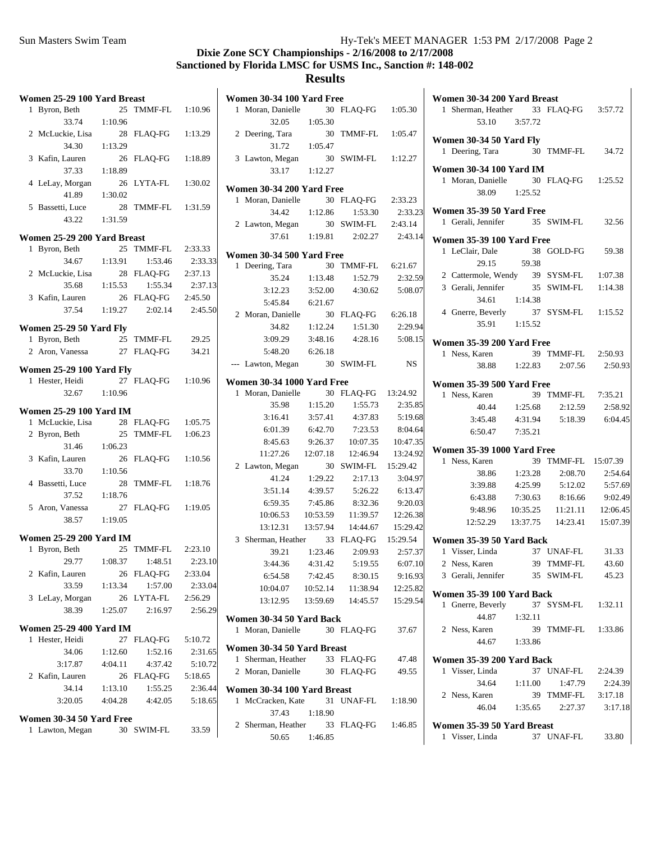|   | Women 25-29 100 Yard Breast                        |               |                               |         | V |
|---|----------------------------------------------------|---------------|-------------------------------|---------|---|
| 1 | Byron, Beth                                        | 25            | TMMF-FL 1:10.96               |         |   |
|   |                                                    | 33.74 1:10.96 |                               |         |   |
|   | 2 McLuckie, Lisa                                   | 28            | FLAQ-FG                       | 1:13.29 |   |
|   | 34.30                                              | 1:13.29       |                               |         |   |
|   | 3 Kafin, Lauren                                    | 26            | FLAQ-FG                       | 1:18.89 |   |
|   |                                                    | 37.33 1:18.89 |                               |         |   |
|   | 4 LeLay, Morgan                                    | 26            | LYTA-FL                       | 1:30.02 | V |
|   | 41.89                                              | 1:30.02       |                               |         |   |
|   | 5 Bassetti, Luce                                   |               | 28 TMMF-FL 1:31.59            |         |   |
|   |                                                    | 43.22 1:31.59 |                               |         |   |
|   | Women 25-29 200 Yard Breast                        |               |                               |         |   |
|   | 1 Byron, Beth                                      |               | 25 TMMF-FL 2:33.33            |         |   |
|   |                                                    | 34.67 1:13.91 | 1:53.46                       | 2:33.33 |   |
|   | 2 McLuckie, Lisa                                   |               | 28 FLAQ-FG                    | 2:37.13 |   |
|   |                                                    |               | 35.68 1:15.53 1:55.34         | 2:37.13 |   |
|   | 3 Kafin, Lauren                                    |               | 26 FLAQ-FG 2:45.50            |         |   |
|   |                                                    |               | 37.54 1:19.27 2:02.14         | 2:45.50 |   |
|   |                                                    |               |                               |         |   |
|   | Women 25-29 50 Yard Fly                            |               |                               |         |   |
|   | 1 Byron, Beth                                      |               | 25 TMMF-FL                    | 29.25   |   |
|   | 2 Aron, Vanessa                                    |               | 27 FLAQ-FG                    | 34.21   |   |
|   | <b>Women 25-29 100 Yard Fly</b>                    |               |                               |         |   |
|   | 1 Hester, Heidi                                    |               | 27 FLAQ-FG 1:10.96            |         |   |
|   | 32.67                                              | 1:10.96       |                               |         |   |
|   |                                                    |               |                               |         |   |
|   | <b>Women 25-29 100 Yard IM</b><br>1 McLuckie, Lisa |               | 28 FLAQ-FG 1:05.75            |         |   |
|   | 2 Byron, Beth                                      | 25            | TMMF-FL                       | 1:06.23 |   |
|   | 31.46                                              | 1:06.23       |                               |         |   |
|   | 3 Kafin, Lauren                                    |               | 26 FLAQ-FG 1:10.56            |         |   |
|   | 33.70                                              | 1:10.56       |                               |         |   |
|   | 4 Bassetti, Luce                                   |               | 28 TMMF-FL                    | 1:18.76 |   |
|   | 37.52                                              | 1:18.76       |                               |         |   |
|   | 5 Aron, Vanessa                                    | 27            | FLAO-FG 1:19.05               |         |   |
|   | 38.57                                              | 1:19.05       |                               |         |   |
|   |                                                    |               |                               |         |   |
|   | <b>Women 25-29 200 Yard IM</b>                     |               |                               |         |   |
|   | 1 Byron, Beth                                      |               | 25 TMMF-FL 2:23.10            |         |   |
|   | 29.77 1:08.37                                      |               | 1:48.51  2:23.10              |         |   |
|   | 2 Kafin, Lauren                                    |               | 26 FLAQ-FG 2:33.04            |         |   |
|   | 33.59                                              | 1:13.34       | 1:57.00                       | 2:33.04 |   |
|   | 3 LeLay, Morgan                                    |               | 26 LYTA-FL 2:56.29            |         |   |
|   | 38.39                                              |               | 1:25.07 2:16.97               | 2:56.29 | V |
|   | <b>Women 25-29 400 Yard IM</b>                     |               |                               |         |   |
| 1 | Hester, Heidi                                      |               | 27 FLAQ-FG                    | 5:10.72 |   |
|   | 34.06                                              | 1:12.60       | 1:52.16                       | 2:31.65 |   |
|   | 3:17.87                                            | 4:04.11       | 4:37.42                       | 5:10.72 |   |
|   | 2 Kafin, Lauren                                    |               | 26 FLAQ-FG 5:18.65            |         |   |
|   |                                                    | 34.14 1:13.10 | 1:55.25                       | 2:36.44 |   |
|   |                                                    |               | $3:20.05$ $4:04.28$ $4:42.05$ | 5:18.65 |   |
|   |                                                    |               |                               |         |   |
| 1 | Women 30-34 50 Yard Free<br>Lawton, Megan          |               | 30 SWIM-FL                    | 33.59   |   |
|   |                                                    |               |                               |         |   |

|   | Women 30-34 100 Yard Free                     |                 |                                                                |          |
|---|-----------------------------------------------|-----------------|----------------------------------------------------------------|----------|
|   | 1 Moran, Danielle 30 FLAQ-FG 1:05.30<br>32.05 | 1:05.30         |                                                                |          |
|   | 2 Deering, Tara 30 TMMF-FL 1:05.47            |                 |                                                                |          |
|   | 3 Lawton, Megan 30 SWIM-FL 1:12.27            | 31.72 1:05.47   |                                                                |          |
|   |                                               | 33.17 1:12.27   |                                                                |          |
|   | Women 30-34 200 Yard Free                     |                 |                                                                |          |
|   | 1 Moran, Danielle 30 FLAQ-FG 2:33.23          |                 |                                                                |          |
|   | 34.42                                         |                 | $1:12.86$ $1:53.30$                                            | 2:33.23  |
|   | 2 Lawton, Megan                               |                 | 30 SWIM-FL 2:43.14                                             |          |
|   |                                               |                 | 37.61  1:19.81  2:02.27                                        | 2:43.14  |
|   | Women 30-34 500 Yard Free                     |                 |                                                                |          |
|   | 1 Deering, Tara                               |                 | 30 TMMF-FL 6:21.67                                             |          |
|   |                                               | $35.24$ 1:13.48 | 1:52.79                                                        | 2:32.59  |
|   | 3:12.23                                       | 3:52.00         | 4:30.62                                                        | 5:08.07  |
|   | 5:45.84 6:21.67                               |                 |                                                                |          |
|   | 2 Moran, Danielle                             |                 | 30 FLAQ-FG 6:26.18                                             |          |
|   | 34.82                                         | 1:12.24         | 1:51.30                                                        | 2:29.94  |
|   |                                               |                 | 3:09.29 3:48.16 4:28.16 5:08.15                                |          |
|   | 5:48.20 6:26.18                               |                 |                                                                |          |
|   | --- Lawton, Megan 30 SWIM-FL                  |                 |                                                                | NS.      |
|   | Women 30-34 1000 Yard Free                    |                 |                                                                |          |
|   | 1 Moran, Danielle                             |                 | 30 FLAQ-FG 13:24.92                                            |          |
|   |                                               | 35.98 1:15.20   | $1:55.73$ $2:35.85$                                            |          |
|   | 3:16.41                                       | 3:57.41         | 4:37.83                                                        | 5:19.68  |
|   | 6:01.39                                       | 6:42.70         | 7:23.53                                                        | 8:04.64  |
|   |                                               |                 | 8:45.63 9:26.37 10:07.35 10:47.35                              |          |
|   |                                               |                 | 11:27.26  12:07.18  12:46.94                                   | 13:24.92 |
|   | 2 Lawton, Megan                               |                 | 30 SWIM-FL 15:29.42                                            |          |
|   |                                               |                 | 41.24 1:29.22 2:17.13 3:04.97                                  |          |
|   |                                               |                 | 3:51.14  4:39.57  5:26.22  6:13.47                             |          |
|   |                                               |                 | 6:59.35 7:45.86 8:32.36 9:20.03                                |          |
|   |                                               |                 | $10:06.53 \qquad 10:53.59 \qquad 11:39.57 \qquad 12:26.38$     |          |
|   |                                               |                 | 13:12.31  13:57.94  14:44.67  15:29.42                         |          |
|   | 3 Sherman, Heather 33 FLAQ-FG 15:29.54        |                 |                                                                |          |
|   |                                               |                 | 39.21 1:23.46 2:09.93 2:57.37<br>44.36 4:31.42 5:19.55 6:07.10 |          |
|   | 3:44.36                                       |                 |                                                                |          |
|   | 6:54.58                                       | 7:42.45         | 8:30.15                                                        | 9:16.93  |
|   | 10:04.07                                      | 10:52.14        | 11:38.94                                                       | 12:25.82 |
|   | 13:12.95                                      | 13:59.69        | 14:45.57                                                       | 15:29.54 |
|   | Women 30-34 50 Yard Back                      |                 |                                                                |          |
| 1 | Moran, Danielle                               |                 | 30 FLAQ-FG                                                     | 37.67    |
|   | Women 30-34 50 Yard Breast                    |                 |                                                                |          |
|   | 1 Sherman, Heather                            |                 | 33 FLAQ-FG                                                     | 47.48    |
|   | 2 Moran, Danielle                             |                 | 30 FLAQ-FG                                                     | 49.55    |
|   | Women 30-34 100 Yard Breast                   |                 |                                                                |          |
| 1 | McCracken, Kate                               | 31              | UNAF-FL                                                        | 1:18.90  |
|   | 37.43                                         | 1:18.90         |                                                                |          |
|   | 2 Sherman, Heather                            |                 | 33 FLAQ-FG                                                     | 1:46.85  |
|   | 50.65                                         | 1:46.85         |                                                                |          |

| Women 30-34 200 Yard Breast                                  |                    |                                           |                 |
|--------------------------------------------------------------|--------------------|-------------------------------------------|-----------------|
| 1 Sherman, Heather 33 FLAQ-FG 3:57.72<br>53.10 3:57.72       |                    |                                           |                 |
| Women 30-34 50 Yard Fly<br>1 Deering, Tara                   |                    | 30 TMMF-FL 34.72                          |                 |
| <b>Women 30-34 100 Yard IM</b><br>1 Moran, Danielle<br>38.09 | 1:25.52            | 30 FLAQ-FG 1:25.52                        |                 |
| Women 35-39 50 Yard Free<br>1 Gerali, Jennifer               |                    | 35 SWIM-FL                                | 32.56           |
| <b>Women 35-39 100 Yard Free</b>                             |                    |                                           |                 |
| 1 LeClair, Dale                                              |                    | 38 GOLD-FG                                | 59.38           |
| 29.15 59.38                                                  |                    |                                           |                 |
| 2 Cattermole, Wendy 39 SYSM-FL 1:07.38                       |                    |                                           |                 |
| 3 Gerali, Jennifer 35 SWIM-FL 1:14.38                        |                    |                                           |                 |
| 34.61 1:14.38<br>4 Gnerre, Beverly 37 SYSM-FL 1:15.52        |                    |                                           |                 |
| 35.91  1:15.52                                               |                    |                                           |                 |
|                                                              |                    |                                           |                 |
| <b>Women 35-39 200 Yard Free</b><br>1 Ness, Karen            |                    | 39 TMMF-FL 2:50.93                        |                 |
|                                                              |                    | 38.88 1:22.83 2:07.56                     | 2:50.93         |
|                                                              |                    |                                           |                 |
| <b>Women 35-39 500 Yard Free</b>                             |                    |                                           |                 |
| 1 Ness, Karen                                                |                    | 39 TMMF-FL 7:35.21                        |                 |
| 40.44                                                        | 1:25.68            | 2:12.59                                   | 2:58.92         |
| 3:45.48<br>6:50.47                                           | 4:31.94<br>7:35.21 |                                           | 5:18.39 6:04.45 |
|                                                              |                    |                                           |                 |
| <b>Women 35-39 1000 Yard Free</b>                            |                    |                                           |                 |
| 1 Ness, Karen<br>38.86 1:23.28                               |                    | 39 TMMF-FL 15:07.39                       | 2:08.70 2:54.64 |
|                                                              |                    | 3:39.88 4:25.99 5:12.02 5:57.69           |                 |
| 6:43.88                                                      | 7:30.63            |                                           | 8:16.66 9:02.49 |
|                                                              |                    | 9:48.96  10:35.25  11:21.11  12:06.45     |                 |
|                                                              |                    | 12:52.29   13:37.75   14:23.41   15:07.39 |                 |
|                                                              |                    |                                           |                 |
| Women 35-39 50 Yard Back<br>1 Visser, Linda                  |                    | 37 UNAF-FL 31.33                          |                 |
| 2 Ness, Karen                                                |                    | 39 TMMF-FL 43.60                          |                 |
| 3 Gerali, Jennifer                                           |                    | 35 SWIM-FL 45.23                          |                 |
| Women 35-39 100 Yard Back                                    |                    |                                           |                 |
| 1 Gnerre, Beverly                                            |                    | 37 SYSM-FL 1:32.11                        |                 |
| 44.87                                                        | 1:32.11            |                                           |                 |
| 2 Ness, Karen                                                |                    | 39 TMMF-FL 1:33.86                        |                 |
| 44.67 1:33.86                                                |                    |                                           |                 |
| <b>Women 35-39 200 Yard Back</b>                             |                    |                                           |                 |
| 1 Visser, Linda                                              |                    | 37 UNAF-FL 2:24.39                        |                 |
| 34.64 1:11.00                                                |                    | 1:47.79                                   | 2:24.39         |
| 2 Ness, Karen                                                |                    | 39 TMMF-FL 3:17.18                        |                 |
|                                                              |                    | 46.04 1:35.65 2:27.37                     | 3:17.18         |
| Women 35-39 50 Yard Breast                                   |                    |                                           |                 |
| 1 Visser, Linda                                              |                    | 37 UNAF-FL 33.80                          |                 |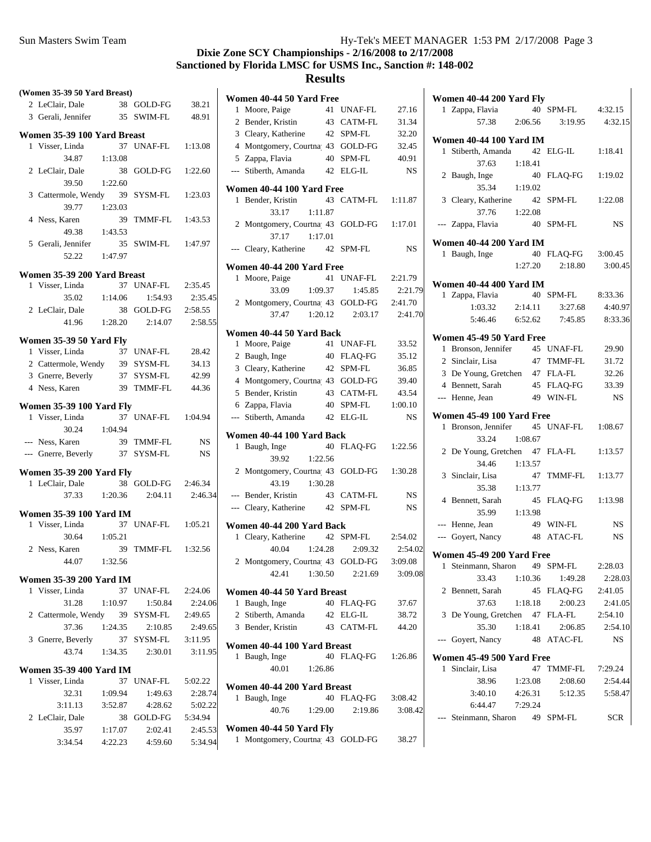| (Women 35-39 50 Yard Breast)                   |         |    |                 |                |
|------------------------------------------------|---------|----|-----------------|----------------|
| 2 LeClair, Dale                                |         |    | 38 GOLD-FG      | 38.21          |
| 3 Gerali, Jennifer 35 SWIM-FL                  |         |    |                 | 48.91          |
| Women 35-39 100 Yard Breast                    |         |    |                 |                |
| 1 Visser, Linda                                |         | 37 | UNAF-FL         | 1:13.08        |
| 34.87                                          | 1:13.08 |    |                 |                |
| 2 LeClair, Dale                                |         |    | 38 GOLD-FG      | 1:22.60        |
| 39.50                                          | 1:22.60 |    |                 |                |
| 3 Cattermole, Wendy 39 SYSM-FL                 |         |    |                 | 1:23.03        |
| 39.77                                          | 1:23.03 |    |                 |                |
| 4 Ness, Karen                                  |         |    | 39 TMMF-FL      | 1:43.53        |
| 49.38                                          | 1:43.53 |    |                 |                |
| 5 Gerali, Jennifer                             |         |    | 35 SWIM-FL      | 1:47.97        |
| 52.22                                          | 1:47.97 |    |                 |                |
|                                                |         |    |                 |                |
| Women 35-39 200 Yard Breast<br>1 Visser, Linda |         |    | 37 UNAF-FL      | 2:35.45        |
| 35.02                                          | 1:14.06 |    | 1:54.93         | 2:35.45        |
| 2 LeClair, Dale                                |         |    | 38 GOLD-FG      | 2:58.55        |
| 41.96                                          | 1:28.20 |    | 2:14.07         | 2:58.55        |
|                                                |         |    |                 |                |
| <b>Women 35-39 50 Yard Fly</b>                 |         |    |                 |                |
| 1 Visser, Linda                                |         |    | 37 UNAF-FL      | 28.42          |
| 2 Cattermole, Wendy 39 SYSM-FL                 |         |    | 37 SYSM-FL      | 34.13          |
| 3 Gnerre, Beverly<br>4 Ness, Karen             |         |    | 39 TMMF-FL      | 42.99<br>44.36 |
|                                                |         |    |                 |                |
| <b>Women 35-39 100 Yard Fly</b>                |         |    |                 |                |
| 1 Visser, Linda                                |         |    | 37 UNAF-FL      | 1:04.94        |
| 30.24 1:04.94                                  |         |    |                 |                |
| --- Ness, Karen                                |         |    | 39 TMMF-FL      | NS             |
| --- Gnerre, Beverly 37 SYSM-FL                 |         |    |                 | <b>NS</b>      |
| <b>Women 35-39 200 Yard Fly</b>                |         |    |                 |                |
| 1 LeClair, Dale                                |         |    | 38 GOLD-FG      | 2:46.34        |
| 37.33 1:20.36                                  |         |    | 2:04.11         | 2:46.34        |
| <b>Women 35-39 100 Yard IM</b>                 |         |    |                 |                |
| 1 Visser, Linda                                |         |    | 37 UNAF-FL      | 1:05.21        |
| 30.64 1:05.21                                  |         |    |                 |                |
| 2 Ness, Karen                                  |         | 39 | TMMF-FL         | 1:32.56        |
| 44.07                                          | 1:32.56 |    |                 |                |
| <b>Women 35-39 200 Yard IM</b>                 |         |    |                 |                |
| 1 Visser, Linda                                |         |    | 37 UNAF-FL      | 2:24.06        |
| $31.28$ 1:10.97                                |         |    | 1:50.84         | 2:24.06        |
| 2 Cattermole, Wendy 39 SYSM-FL 2:49.65         |         |    |                 |                |
| 37.36                                          | 1:24.35 |    | 2:10.85         | 2:49.65        |
| 3 Gnerre, Beverly                              |         |    | 37 SYSM-FL      | 3:11.95        |
| 43.74                                          |         |    | 1:34.35 2:30.01 | 3:11.95        |
| <b>Women 35-39 400 Yard IM</b>                 |         |    |                 |                |
| 1 Visser, Linda                                |         |    | 37 UNAF-FL      | 5:02.22        |
| 32.31                                          | 1:09.94 |    | 1:49.63         | 2:28.74        |
| 3:11.13                                        | 3:52.87 |    | 4:28.62         | 5:02.22        |
| 2 LeClair, Dale                                |         |    | 38 GOLD-FG      | 5:34.94        |
| 35.97                                          | 1:17.07 |    | 2:02.41         | 2:45.53        |
| 3:34.54                                        | 4:22.23 |    | 4:59.60         | 5:34.94        |
|                                                |         |    |                 |                |

|   | Women 40-44 50 Yard Free                                  |         |                    |           |
|---|-----------------------------------------------------------|---------|--------------------|-----------|
| 1 | Moore, Paige                                              |         | 41 UNAF-FL         | 27.16     |
|   | 2 Bender, Kristin                                         | 43      | CATM-FL            | 31.34     |
|   | 3 Cleary, Katherine                                       |         | 42 SPM-FL          | 32.20     |
|   | 4 Montgomery, Courtna 43 GOLD-FG                          |         |                    | 32.45     |
|   | 5 Zappa, Flavia                                           | 40      | SPM-FL             | 40.91     |
|   | --- Stiberth, Amanda                                      | 42      | $ELG$ - $IL$       | <b>NS</b> |
|   | Women 40-44 100 Yard Free                                 |         |                    |           |
|   | 1 Bender, Kristin                                         | - 43    | CATM-FL            | 1:11.87   |
|   | 33.17<br>1:11.87                                          |         |                    |           |
|   | 2 Montgomery, Courtna 43 GOLD-FG                          |         |                    | 1:17.01   |
|   | 37.17 1:17.01                                             |         |                    |           |
|   | --- Cleary, Katherine 42 SPM-FL                           |         |                    | <b>NS</b> |
|   | Women 40-44 200 Yard Free                                 |         |                    |           |
|   | 1 Moore, Paige                                            |         | 41 UNAF-FL         | 2:21.79   |
|   | 33.09<br>1:09.37                                          |         | 1:45.85            | 2:21.79   |
|   | 2 Montgomery, Courtna: 43 GOLD-FG                         |         |                    | 2:41.70   |
|   | 37.47<br>1:20.12                                          |         | 2:03.17            | 2:41.70   |
|   | Women 40-44 50 Yard Back                                  |         |                    |           |
| 1 | Moore, Paige                                              | 41      | UNAF-FL            | 33.52     |
|   | 2 Baugh, Inge                                             | 40      | <b>FLAQ-FG</b>     | 35.12     |
|   | 3 Cleary, Katherine                                       | 42      | SPM-FL             | 36.85     |
|   | 4 Montgomery, Courtna 43 GOLD-FG                          |         |                    | 39.40     |
|   | 5 Bender, Kristin                                         | 43      | CATM-FL            | 43.54     |
|   | 6 Zappa, Flavia                                           | 40      | SPM-FL             | 1:00.10   |
|   | --- Stiberth, Amanda                                      | 42      | $ELG$ - $IL$       | <b>NS</b> |
|   | Women 40-44 100 Yard Back                                 |         |                    |           |
| 1 | Baugh, Inge                                               | 40      | FLAQ-FG            | 1:22.56   |
|   | 39.92 1:22.56                                             |         |                    |           |
|   | 2 Montgomery, Courtna: 43                                 |         | GOLD-FG            | 1:30.28   |
|   | 43.19                                                     | 1:30.28 |                    |           |
|   | --- Bender, Kristin                                       |         | 43 CATM-FL         | NS        |
|   | --- Cleary, Katherine                                     | 42      | SPM-FL             | NS        |
|   |                                                           |         |                    |           |
|   | Women 40-44 200 Yard Back<br>1 Cleary, Katherine          |         | 42 SPM-FL          | 2:54.02   |
|   | 40.04<br>1:24.28                                          |         | 2:09.32            | 2:54.02   |
|   | 2 Montgomery, Courtna 43 GOLD-FG                          |         |                    | 3:09.08   |
|   |                                                           |         |                    |           |
|   | 42.41                                                     | 1:30.50 | 2:21.69            | 3:09.08   |
|   | Women 40-44 50 Yard Breast                                |         |                    |           |
|   | 1 Baugh, Inge                                             |         | 40 FLAQ-FG         | 37.67     |
|   | 2 Stiberth, Amanda                                        |         | 42 ELG-IL          | 38.72     |
|   | 3 Bender, Kristin                                         |         | 43 CATM-FL         | 44.20     |
|   | Women 40-44 100 Yard Breast                               |         |                    |           |
|   | 1 Baugh, Inge                                             |         | 40 FLAQ-FG 1:26.86 |           |
|   | 40.01 1:26.86                                             |         |                    |           |
|   | Women 40-44 200 Yard Breast                               |         |                    |           |
|   | 1 Baugh, Inge                                             |         | 40 FLAQ-FG         | 3:08.42   |
|   | 40.76 1:29.00                                             |         | 2:19.86            | 3:08.42   |
|   |                                                           |         |                    |           |
| 1 | Women 40-44 50 Yard Fly<br>Montgomery, Courtna 43 GOLD-FG |         |                    | 38.27     |
|   |                                                           |         |                    |           |

|              | Women 40-44 200 Yard Fly        |         |    |                               |            |
|--------------|---------------------------------|---------|----|-------------------------------|------------|
|              | 1 Zappa, Flavia                 |         |    | 40 SPM-FL 4:32.15             |            |
|              |                                 |         |    | $57.38$ $2:06.56$ $3:19.95$   | 4:32.15    |
|              | <b>Women 40-44 100 Yard IM</b>  |         |    |                               |            |
|              | 1 Stiberth, Amanda 42 ELG-IL    |         |    |                               | 1:18.41    |
|              | 37.63 1:18.41                   |         |    |                               |            |
|              | 2 Baugh, Inge                   |         |    | 40 FLAQ-FG                    | 1:19.02    |
|              | 35.34 1:19.02                   |         |    |                               |            |
|              | 3 Cleary, Katherine 42 SPM-FL   |         |    |                               | 1:22.08    |
|              | 37.76 1:22.08                   |         |    |                               |            |
|              | --- Zappa, Flavia               |         |    | 40 SPM-FL                     | <b>NS</b>  |
|              | <b>Women 40-44 200 Yard IM</b>  |         |    |                               |            |
|              | 1 Baugh, Inge                   |         |    | 40 FLAQ-FG 3:00.45            |            |
|              |                                 |         |    | $1:27.20$ $2:18.80$           | 3:00.45    |
|              | <b>Women 40-44 400 Yard IM</b>  |         |    |                               |            |
|              | 1 Zappa, Flavia                 |         |    | 40 SPM-FL                     | 8:33.36    |
|              |                                 |         |    | $1:03.32$ $2:14.11$ $3:27.68$ | 4:40.97    |
|              | 5:46.46 6:52.62                 |         |    | 7:45.85                       | 8:33.36    |
|              | Women 45-49 50 Yard Free        |         |    |                               |            |
|              | 1 Bronson, Jennifer 45 UNAF-FL  |         |    |                               | 29.90      |
|              | 2 Sinclair, Lisa                |         |    | 47 TMMF-FL                    | 31.72      |
|              | 3 De Young, Gretchen 47 FLA-FL  |         |    |                               | 32.26      |
|              | 4 Bennett, Sarah                |         |    | 45 FLAQ-FG                    | 33.39      |
|              | --- Henne, Jean                 |         |    | 49 WIN-FL                     | <b>NS</b>  |
|              | Women 45-49 100 Yard Free       |         |    |                               |            |
|              | 1 Bronson, Jennifer 45 UNAF-FL  |         |    |                               | 1:08.67    |
|              | 33.24                           | 1:08.67 |    |                               |            |
|              | 2 De Young, Gretchen 47 FLA-FL  |         |    |                               | 1:13.57    |
|              | 34.46 1:13.57                   |         |    |                               |            |
|              | 3 Sinclair, Lisa                |         |    | 47 TMMF-FL 1:13.77            |            |
|              | 35.38                           | 1:13.77 |    |                               |            |
|              | 4 Bennett, Sarah                |         |    | 45 FLAQ-FG                    | 1:13.98    |
|              | 35.99                           | 1:13.98 |    |                               |            |
|              | --- Henne, Jean                 |         |    | 49 WIN-FL                     | <b>NS</b>  |
|              | --- Goyert, Nancy               |         |    | 48 ATAC-FL                    | <b>NS</b>  |
|              | Women 45-49 200 Yard Free       |         |    |                               |            |
| $\mathbf{1}$ | Steinmann, Sharon 49            |         |    | SPM-FL                        | 2:28.03    |
|              | 33.43                           | 1:10.36 |    | 1:49.28                       | 2:28.03    |
|              | 2 Bennett, Sarah                |         |    | 45 FLAQ-FG                    | 2:41.05    |
|              | 37.63                           | 1:18.18 |    | 2:00.23                       | 2:41.05    |
|              | 3 De Young, Gretchen 47 FLA-FL  |         |    |                               | 2:54.10    |
|              | 35.30                           | 1:18.41 |    | 2:06.85                       | 2:54.10    |
|              | --- Govert, Nancy               |         |    | 48 ATAC-FL                    | <b>NS</b>  |
|              | Women 45-49 500 Yard Free       |         |    |                               |            |
| 1            | Sinclair, Lisa                  |         | 47 | TMMF-FL 7:29.24               |            |
|              | 38.96                           | 1:23.08 |    | 2:08.60                       | 2:54.44    |
|              | 3:40.10 4:26.31                 |         |    | 5:12.35                       | 5:58.47    |
|              | 6:44.47 7:29.24                 |         |    |                               |            |
|              | --- Steinmann, Sharon 49 SPM-FL |         |    |                               | <b>SCR</b> |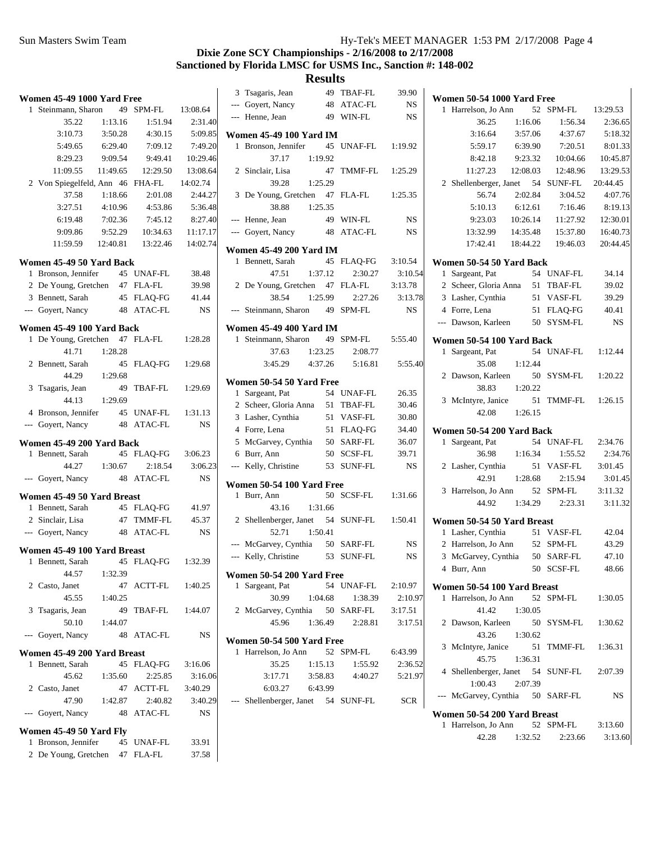## **Dixie Zone SCY Championships - 2/16/2008 to 2/17/2008 Sanctioned by Florida LMSC for USMS Inc., Sanction #: 148-002**

| <b>Women 45-49 1000 Yard Free</b> |                                                 |         |    |                    |           |  |
|-----------------------------------|-------------------------------------------------|---------|----|--------------------|-----------|--|
|                                   | 1 Steinmann, Sharon                             |         |    | 49 SPM-FL          | 13:08.64  |  |
|                                   | 35.22                                           | 1:13.16 |    | 1:51.94            | 2:31.40   |  |
|                                   | 3:10.73                                         | 3:50.28 |    | 4:30.15            | 5:09.85   |  |
|                                   | 5:49.65                                         | 6:29.40 |    | 7:09.12            | 7:49.20   |  |
|                                   | 8:29.23                                         | 9:09.54 |    | 9:49.41            | 10:29.46  |  |
|                                   | 11:09.55                                        |         |    | 11:49.65 12:29.50  | 13:08.64  |  |
|                                   | 2 Von Spiegelfeld, Ann 46 FHA-FL                |         |    |                    | 14:02.74  |  |
|                                   | 37.58                                           | 1:18.66 |    | 2:01.08            | 2:44.27   |  |
|                                   | 3:27.51                                         | 4:10.96 |    | 4:53.86            | 5:36.48   |  |
|                                   | 6:19.48                                         | 7:02.36 |    | 7:45.12            | 8:27.40   |  |
|                                   | 9:09.86                                         | 9:52.29 |    | 10:34.63           | 11:17.17  |  |
|                                   | 11:59.59  12:40.81  13:22.46                    |         |    |                    | 14:02.74  |  |
|                                   |                                                 |         |    |                    |           |  |
|                                   | Women 45-49 50 Yard Back<br>1 Bronson, Jennifer |         |    | 45 UNAF-FL         | 38.48     |  |
|                                   | 2 De Young, Gretchen 47 FLA-FL                  |         |    |                    |           |  |
|                                   |                                                 |         |    | 45 FLAQ-FG         | 39.98     |  |
|                                   | 3 Bennett, Sarah                                |         |    |                    | 41.44     |  |
|                                   | --- Goyert, Nancy                               |         |    | 48 ATAC-FL         | <b>NS</b> |  |
|                                   | Women 45-49 100 Yard Back                       |         |    |                    |           |  |
|                                   | 1 De Young, Gretchen 47 FLA-FL                  |         |    |                    | 1:28.28   |  |
|                                   | 41.71                                           | 1:28.28 |    |                    |           |  |
|                                   | 2 Bennett, Sarah                                |         |    | 45 FLAQ-FG         | 1:29.68   |  |
|                                   | 44.29                                           | 1:29.68 |    |                    |           |  |
|                                   | 3 Tsagaris, Jean                                |         |    | 49 TBAF-FL         | 1:29.69   |  |
|                                   | 44.13                                           | 1:29.69 |    |                    |           |  |
|                                   | 4 Bronson, Jennifer                             |         |    | 45 UNAF-FL         | 1:31.13   |  |
|                                   | --- Goyert, Nancy                               |         |    | 48 ATAC-FL         | <b>NS</b> |  |
|                                   | Women 45-49 200 Yard Back                       |         |    |                    |           |  |
| 1.                                | Bennett, Sarah                                  |         |    | 45 FLAQ-FG 3:06.23 |           |  |
|                                   | 44.27                                           | 1:30.67 |    | 2:18.54            | 3:06.23   |  |
|                                   | --- Goyert, Nancy                               |         |    | 48 ATAC-FL         | <b>NS</b> |  |
|                                   |                                                 |         |    |                    |           |  |
|                                   | Women 45-49 50 Yard Breast                      |         |    |                    |           |  |
|                                   | 1 Bennett, Sarah                                |         |    | 45 FLAQ-FG         | 41.97     |  |
|                                   | 2 Sinclair, Lisa                                |         |    | 47 TMMF-FL         | 45.37     |  |
|                                   | --- Goyert, Nancy                               |         |    | 48 ATAC-FL         | <b>NS</b> |  |
|                                   | Women 45-49 100 Yard Breast                     |         |    |                    |           |  |
| 1                                 | Bennett, Sarah                                  |         | 45 | FLAO-FG            | 1:32.39   |  |
|                                   | 44.57                                           | 1:32.39 |    |                    |           |  |
|                                   | 2 Casto, Janet                                  |         |    | 47 ACTT-FL         | 1:40.25   |  |
|                                   | 45.55                                           | 1:40.25 |    |                    |           |  |
|                                   | 3 Tsagaris, Jean                                |         |    | 49 TBAF-FL         | 1:44.07   |  |
|                                   | 50.10                                           | 1:44.07 |    |                    |           |  |
|                                   | --- Goyert, Nancy                               |         |    | 48 ATAC-FL         | NS        |  |
|                                   |                                                 |         |    |                    |           |  |
|                                   | Women 45-49 200 Yard Breast                     |         |    |                    |           |  |
| 1                                 | Bennett, Sarah                                  |         | 45 | FLAQ-FG            | 3:16.06   |  |
|                                   | 45.62                                           | 1:35.60 |    | 2:25.85            | 3:16.06   |  |
|                                   | 2 Casto, Janet                                  |         |    | 47 ACTT-FL         | 3:40.29   |  |
|                                   | 47.90                                           | 1:42.87 |    | 2:40.82            | 3:40.29   |  |
|                                   | --- Goyert, Nancy                               |         |    | 48 ATAC-FL         | <b>NS</b> |  |
|                                   | Women 45-49 50 Yard Fly                         |         |    |                    |           |  |
|                                   | 1 Bronson, Jennifer                             |         |    | 45 UNAF-FL         | 33.91     |  |
|                                   | 2 De Young, Gretchen 47 FLA-FL                  |         |    |                    | 37.58     |  |

|   | 3 Tsagaris, Jean                                      | 49       | <b>TBAF-FL</b>            | 39.90              |
|---|-------------------------------------------------------|----------|---------------------------|--------------------|
|   | --- Goyert, Nancy                                     | 48       | ATAC-FL                   | <b>NS</b>          |
|   | --- Henne, Jean                                       | 49       | WIN-FL                    | <b>NS</b>          |
|   | <b>Women 45-49 100 Yard IM</b>                        |          |                           |                    |
| 1 | Bronson, Jennifer<br>37.17<br>1:19.92                 | 45       | UNAF-FL                   | 1:19.92            |
|   | 2 Sinclair, Lisa<br>39.28<br>1:25.29                  | 47       | TMMF-FL                   | 1:25.29            |
|   | 3 De Young, Gretchen 47 FLA-FL<br>1:25.35             |          |                           | 1:25.35            |
|   | 38.88<br>--- Henne, Jean                              |          | 49 WIN-FL                 | <b>NS</b>          |
|   | --- Goyert, Nancy                                     |          | 48 ATAC-FL                | <b>NS</b>          |
|   |                                                       |          |                           |                    |
| 1 | <b>Women 45-49 200 Yard IM</b><br>Bennett, Sarah      | 45       | FLAQ-FG                   | 3:10.54            |
|   | 47.51<br>1:37.12                                      |          | 2:30.27                   | 3:10.54            |
|   | 2 De Young, Gretchen 47                               |          | FLA-FL                    | 3:13.78            |
|   | 1:25.99<br>38.54                                      |          | 2:27.26                   | 3:13.78            |
|   | --- Steinmann, Sharon 49 SPM-FL                       |          |                           | <b>NS</b>          |
|   |                                                       |          |                           |                    |
|   | <b>Women 45-49 400 Yard IM</b><br>1 Steinmann, Sharon | 49       | SPM-FL                    | 5:55.40            |
|   | 37.63<br>1:23.25                                      |          | 2:08.77                   |                    |
|   | 3:45.29 4:37.26                                       |          | 5:16.81                   | 5:55.40            |
|   |                                                       |          |                           |                    |
|   | Women 50-54 50 Yard Free<br>1 Sargeant, Pat           |          | 54 UNAF-FL                | 26.35              |
|   | 2 Scheer, Gloria Anna 51 TBAF-FL                      |          |                           | 30.46              |
|   | 3 Lasher, Cynthia                                     | 51       | VASF-FL                   | 30.80              |
|   | 4 Forre, Lena                                         |          | 51 FLAQ-FG                | 34.40              |
|   |                                                       | 50       |                           |                    |
|   | 5 McGarvey, Cynthia                                   |          | SARF-FL                   | 36.07              |
|   | 6 Burr, Ann<br>--- Kelly, Christine                   | 50<br>53 | SCSF-FL<br><b>SUNF-FL</b> | 39.71<br><b>NS</b> |
|   |                                                       |          |                           |                    |
|   | Women 50-54 100 Yard Free                             |          |                           |                    |
| 1 | Burr, Ann<br>43.16 1:31.66                            | 50       | SCSF-FL                   | 1:31.66            |
|   | 2 Shellenberger, Janet                                |          | 54 SUNF-FL                | 1:50.41            |
|   | 52.71<br>1:50.41                                      |          |                           |                    |
|   | --- McGarvey, Cynthia 50 SARF-FL                      |          |                           | <b>NS</b>          |
|   | --- Kelly, Christine 53 SUNF-FL                       |          |                           | <b>NS</b>          |
|   | Women 50-54 200 Yard Free                             |          |                           |                    |
| 1 | Sargeant, Pat                                         |          | 54 UNAF-FL                | 2:10.97            |
|   | 30.99                                                 | 1:04.68  | 1:38.39                   | 2:10.97            |
|   | 2 McGarvey, Cynthia 50 SARF-FL                        |          |                           | 3:17.51            |
|   | 45.96                                                 | 1:36.49  | 2:28.81                   | 3:17.51            |
|   | Women 50-54 500 Yard Free                             |          |                           |                    |
|   | 1 Harrelson, Jo Ann                                   |          | 52 SPM-FL                 | 6:43.99            |
|   | 35.25<br>1:15.13                                      |          | 1:55.92                   | 2:36.52            |
|   | 3:17.71<br>3:58.83                                    |          | 4:40.27                   | 5:21.97            |
|   | 6:43.99<br>6:03.27                                    |          |                           |                    |
|   | --- Shellenberger, Janet 54 SUNF-FL                   |          |                           | <b>SCR</b>         |
|   |                                                       |          |                           |                    |

| <b>Women 50-54 1000 Yard Free</b>               |                         |           |  |  |  |
|-------------------------------------------------|-------------------------|-----------|--|--|--|
| 1 Harrelson, Jo Ann                             | 52 SPM-FL 13:29.53      |           |  |  |  |
| 36.25<br>1:16.06                                | 1:56.34                 | 2:36.65   |  |  |  |
| 3:16.64<br>3:57.06                              | 4:37.67                 | 5:18.32   |  |  |  |
| 5:59.17<br>6:39.90                              | 7:20.51                 | 8:01.33   |  |  |  |
| 8:42.18<br>9:23.32                              | 10:04.66                | 10:45.87  |  |  |  |
| 11:27.23                                        | 12:08.03 12:48.96       | 13:29.53  |  |  |  |
| 2 Shellenberger, Janet 54                       | SUNF-FL                 | 20:44.45  |  |  |  |
| 56.74<br>2:02.84                                | 3:04.52                 | 4:07.76   |  |  |  |
| 5:10.13<br>6:12.61                              | 7:16.46                 | 8:19.13   |  |  |  |
| 10:26.14<br>9:23.03                             | 11:27.92                | 12:30.01  |  |  |  |
| 13:32.99<br>14:35.48                            | 15:37.80                | 16:40.73  |  |  |  |
| 17:42.41<br>18:44.22                            | 19:46.03                | 20:44.45  |  |  |  |
| Women 50-54 50 Yard Back                        |                         |           |  |  |  |
| 1 Sargeant, Pat                                 | 54 UNAF-FL              | 34.14     |  |  |  |
| 2 Scheer, Gloria Anna 51 TBAF-FL                |                         | 39.02     |  |  |  |
| 3 Lasher, Cynthia                               | 51 VASF-FL              | 39.29     |  |  |  |
| 4 Forre, Lena                                   | 51 FLAQ-FG              | 40.41     |  |  |  |
| --- Dawson, Karleen                             | 50 SYSM-FL              | <b>NS</b> |  |  |  |
| Women 50-54 100 Yard Back                       |                         |           |  |  |  |
| Sargeant, Pat<br>1                              | 54 UNAF-FL              | 1:12.44   |  |  |  |
| 35.08 1:12.44                                   |                         |           |  |  |  |
| 2 Dawson, Karleen 50 SYSM-FL                    |                         | 1:20.22   |  |  |  |
| 38.83<br>1:20.22                                |                         |           |  |  |  |
| 3 McIntyre, Janice<br>51                        | TMMF-FL                 | 1:26.15   |  |  |  |
| 42.08<br>1:26.15                                |                         |           |  |  |  |
|                                                 |                         |           |  |  |  |
| Women 50-54 200 Yard Back<br>Sargeant, Pat<br>1 | 54 UNAF-FL              | 2:34.76   |  |  |  |
| 1:16.34<br>36.98                                | 1:55.52                 | 2:34.76   |  |  |  |
| 2 Lasher, Cynthia                               | 51 VASF-FL              | 3:01.45   |  |  |  |
| 1:28.68<br>42.91                                | 2:15.94                 | 3:01.45   |  |  |  |
| 3 Harrelson, Jo Ann 52 SPM-FL                   |                         | 3:11.32   |  |  |  |
| 44.92 1:34.29 2:23.31                           |                         | 3:11.32   |  |  |  |
|                                                 |                         |           |  |  |  |
| Women 50-54 50 Yard Breast                      |                         |           |  |  |  |
| 1 Lasher, Cynthia                               | 51 VASF-FL              | 42.04     |  |  |  |
| 2 Harrelson, Jo Ann                             | 52 SPM-FL<br>50 SARF-FL | 43.29     |  |  |  |
| McGarvey, Cynthia<br>3<br>4 Burr, Ann           |                         | 47.10     |  |  |  |
|                                                 | 50 SCSF-FL              | 48.66     |  |  |  |
| Women 50-54 100 Yard Breast                     |                         |           |  |  |  |
| Harrelson, Jo Ann<br>1                          | 52<br>SPM-FL            | 1:30.05   |  |  |  |
| 41.42<br>1:30.05                                |                         |           |  |  |  |
| 2 Dawson, Karleen                               | 50 SYSM-FL              | 1:30.62   |  |  |  |
| 43.26<br>1:30.62                                |                         |           |  |  |  |
| McIntyre, Janice<br>3                           | 51<br>TMMF-FL           | 1:36.31   |  |  |  |
| 45.75<br>1:36.31                                |                         |           |  |  |  |
| 4 Shellenberger, Janet 54 SUNF-FL               |                         | 2:07.39   |  |  |  |
| 1:00.43<br>2:07.39                              |                         |           |  |  |  |
| --- McGarvey, Cynthia 50 SARF-FL                |                         | NS        |  |  |  |
| Women 50-54 200 Yard Breast                     |                         |           |  |  |  |
| 1 Harrelson, Jo Ann                             | 52 SPM-FL               | 3:13.60   |  |  |  |
| 42.28 1:32.52 2:23.66                           |                         | 3:13.60   |  |  |  |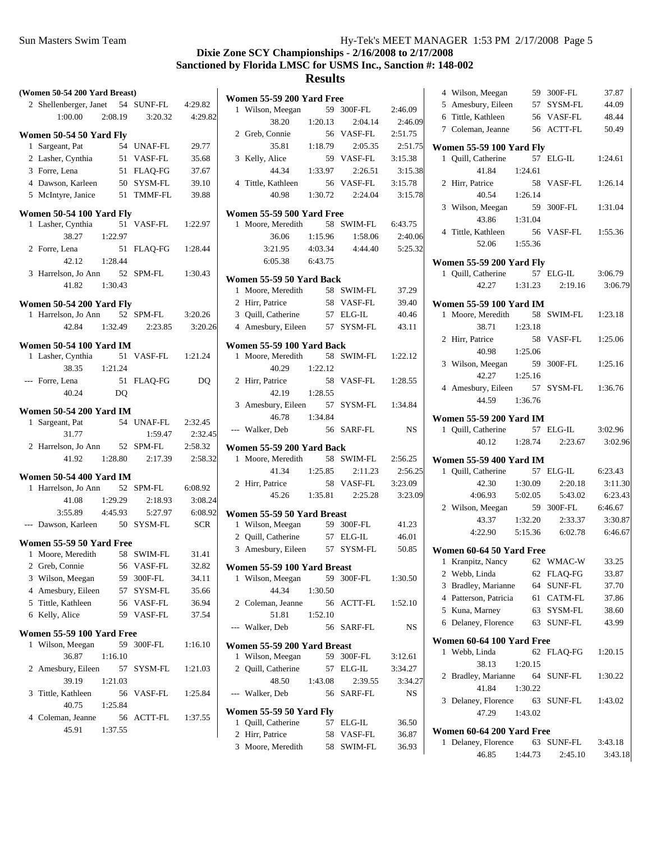### **Results**

|                        |                                                                                                  |                                                                                                                                                                                                                                                                                                                                                                                                                                                                                                                                                                                                                                                                                        |                                                                                                                                                                                                                              |                                                                                                                                                                                                                                                                                                                                                              |                                                                                                                                                                                                                                                                                                                            |                                                                                                                                                                                                                                                                                                                                                                                                                                                                                                                                                                                                                                                                                                         | 4 Wilson, Meegan                                                                                                                                                                                                                                               | 59 300F-FL                                                                                                                                                                                                                                                                                                                                                                                                                                                      | 37.87                                                                                                                                                                                                                                                                                                                                                                                                                                                                                                                                                                                                                                                                                                                         |
|------------------------|--------------------------------------------------------------------------------------------------|----------------------------------------------------------------------------------------------------------------------------------------------------------------------------------------------------------------------------------------------------------------------------------------------------------------------------------------------------------------------------------------------------------------------------------------------------------------------------------------------------------------------------------------------------------------------------------------------------------------------------------------------------------------------------------------|------------------------------------------------------------------------------------------------------------------------------------------------------------------------------------------------------------------------------|--------------------------------------------------------------------------------------------------------------------------------------------------------------------------------------------------------------------------------------------------------------------------------------------------------------------------------------------------------------|----------------------------------------------------------------------------------------------------------------------------------------------------------------------------------------------------------------------------------------------------------------------------------------------------------------------------|---------------------------------------------------------------------------------------------------------------------------------------------------------------------------------------------------------------------------------------------------------------------------------------------------------------------------------------------------------------------------------------------------------------------------------------------------------------------------------------------------------------------------------------------------------------------------------------------------------------------------------------------------------------------------------------------------------|----------------------------------------------------------------------------------------------------------------------------------------------------------------------------------------------------------------------------------------------------------------|-----------------------------------------------------------------------------------------------------------------------------------------------------------------------------------------------------------------------------------------------------------------------------------------------------------------------------------------------------------------------------------------------------------------------------------------------------------------|-------------------------------------------------------------------------------------------------------------------------------------------------------------------------------------------------------------------------------------------------------------------------------------------------------------------------------------------------------------------------------------------------------------------------------------------------------------------------------------------------------------------------------------------------------------------------------------------------------------------------------------------------------------------------------------------------------------------------------|
| 2 Shellenberger, Janet |                                                                                                  | 4:29.82                                                                                                                                                                                                                                                                                                                                                                                                                                                                                                                                                                                                                                                                                |                                                                                                                                                                                                                              |                                                                                                                                                                                                                                                                                                                                                              |                                                                                                                                                                                                                                                                                                                            |                                                                                                                                                                                                                                                                                                                                                                                                                                                                                                                                                                                                                                                                                                         | 5 Amesbury, Eileen                                                                                                                                                                                                                                             | 57 SYSM-FL                                                                                                                                                                                                                                                                                                                                                                                                                                                      | 44.09                                                                                                                                                                                                                                                                                                                                                                                                                                                                                                                                                                                                                                                                                                                         |
| 2:08.19                | 3:20.32                                                                                          | 4:29.82                                                                                                                                                                                                                                                                                                                                                                                                                                                                                                                                                                                                                                                                                |                                                                                                                                                                                                                              |                                                                                                                                                                                                                                                                                                                                                              |                                                                                                                                                                                                                                                                                                                            |                                                                                                                                                                                                                                                                                                                                                                                                                                                                                                                                                                                                                                                                                                         | 6 Tittle, Kathleen                                                                                                                                                                                                                                             | 56 VASF-FL                                                                                                                                                                                                                                                                                                                                                                                                                                                      | 48.44                                                                                                                                                                                                                                                                                                                                                                                                                                                                                                                                                                                                                                                                                                                         |
|                        |                                                                                                  |                                                                                                                                                                                                                                                                                                                                                                                                                                                                                                                                                                                                                                                                                        |                                                                                                                                                                                                                              |                                                                                                                                                                                                                                                                                                                                                              |                                                                                                                                                                                                                                                                                                                            |                                                                                                                                                                                                                                                                                                                                                                                                                                                                                                                                                                                                                                                                                                         | 7 Coleman, Jeanne                                                                                                                                                                                                                                              | 56 ACTT-FL                                                                                                                                                                                                                                                                                                                                                                                                                                                      | 50.49                                                                                                                                                                                                                                                                                                                                                                                                                                                                                                                                                                                                                                                                                                                         |
|                        |                                                                                                  |                                                                                                                                                                                                                                                                                                                                                                                                                                                                                                                                                                                                                                                                                        |                                                                                                                                                                                                                              |                                                                                                                                                                                                                                                                                                                                                              |                                                                                                                                                                                                                                                                                                                            |                                                                                                                                                                                                                                                                                                                                                                                                                                                                                                                                                                                                                                                                                                         |                                                                                                                                                                                                                                                                |                                                                                                                                                                                                                                                                                                                                                                                                                                                                 |                                                                                                                                                                                                                                                                                                                                                                                                                                                                                                                                                                                                                                                                                                                               |
|                        |                                                                                                  |                                                                                                                                                                                                                                                                                                                                                                                                                                                                                                                                                                                                                                                                                        |                                                                                                                                                                                                                              |                                                                                                                                                                                                                                                                                                                                                              |                                                                                                                                                                                                                                                                                                                            |                                                                                                                                                                                                                                                                                                                                                                                                                                                                                                                                                                                                                                                                                                         |                                                                                                                                                                                                                                                                |                                                                                                                                                                                                                                                                                                                                                                                                                                                                 |                                                                                                                                                                                                                                                                                                                                                                                                                                                                                                                                                                                                                                                                                                                               |
|                        |                                                                                                  |                                                                                                                                                                                                                                                                                                                                                                                                                                                                                                                                                                                                                                                                                        |                                                                                                                                                                                                                              |                                                                                                                                                                                                                                                                                                                                                              |                                                                                                                                                                                                                                                                                                                            |                                                                                                                                                                                                                                                                                                                                                                                                                                                                                                                                                                                                                                                                                                         |                                                                                                                                                                                                                                                                |                                                                                                                                                                                                                                                                                                                                                                                                                                                                 | 1:24.61                                                                                                                                                                                                                                                                                                                                                                                                                                                                                                                                                                                                                                                                                                                       |
|                        |                                                                                                  |                                                                                                                                                                                                                                                                                                                                                                                                                                                                                                                                                                                                                                                                                        |                                                                                                                                                                                                                              |                                                                                                                                                                                                                                                                                                                                                              |                                                                                                                                                                                                                                                                                                                            |                                                                                                                                                                                                                                                                                                                                                                                                                                                                                                                                                                                                                                                                                                         |                                                                                                                                                                                                                                                                |                                                                                                                                                                                                                                                                                                                                                                                                                                                                 |                                                                                                                                                                                                                                                                                                                                                                                                                                                                                                                                                                                                                                                                                                                               |
|                        |                                                                                                  |                                                                                                                                                                                                                                                                                                                                                                                                                                                                                                                                                                                                                                                                                        |                                                                                                                                                                                                                              |                                                                                                                                                                                                                                                                                                                                                              |                                                                                                                                                                                                                                                                                                                            |                                                                                                                                                                                                                                                                                                                                                                                                                                                                                                                                                                                                                                                                                                         |                                                                                                                                                                                                                                                                |                                                                                                                                                                                                                                                                                                                                                                                                                                                                 | 1:26.14                                                                                                                                                                                                                                                                                                                                                                                                                                                                                                                                                                                                                                                                                                                       |
|                        |                                                                                                  |                                                                                                                                                                                                                                                                                                                                                                                                                                                                                                                                                                                                                                                                                        |                                                                                                                                                                                                                              |                                                                                                                                                                                                                                                                                                                                                              |                                                                                                                                                                                                                                                                                                                            |                                                                                                                                                                                                                                                                                                                                                                                                                                                                                                                                                                                                                                                                                                         |                                                                                                                                                                                                                                                                |                                                                                                                                                                                                                                                                                                                                                                                                                                                                 |                                                                                                                                                                                                                                                                                                                                                                                                                                                                                                                                                                                                                                                                                                                               |
|                        |                                                                                                  |                                                                                                                                                                                                                                                                                                                                                                                                                                                                                                                                                                                                                                                                                        |                                                                                                                                                                                                                              |                                                                                                                                                                                                                                                                                                                                                              |                                                                                                                                                                                                                                                                                                                            |                                                                                                                                                                                                                                                                                                                                                                                                                                                                                                                                                                                                                                                                                                         |                                                                                                                                                                                                                                                                |                                                                                                                                                                                                                                                                                                                                                                                                                                                                 | 1:31.04                                                                                                                                                                                                                                                                                                                                                                                                                                                                                                                                                                                                                                                                                                                       |
|                        |                                                                                                  | 1:22.97                                                                                                                                                                                                                                                                                                                                                                                                                                                                                                                                                                                                                                                                                |                                                                                                                                                                                                                              |                                                                                                                                                                                                                                                                                                                                                              |                                                                                                                                                                                                                                                                                                                            | 6:43.75                                                                                                                                                                                                                                                                                                                                                                                                                                                                                                                                                                                                                                                                                                 |                                                                                                                                                                                                                                                                |                                                                                                                                                                                                                                                                                                                                                                                                                                                                 |                                                                                                                                                                                                                                                                                                                                                                                                                                                                                                                                                                                                                                                                                                                               |
| 1:22.97                |                                                                                                  |                                                                                                                                                                                                                                                                                                                                                                                                                                                                                                                                                                                                                                                                                        | 36.06                                                                                                                                                                                                                        | 1:15.96                                                                                                                                                                                                                                                                                                                                                      | 1:58.06                                                                                                                                                                                                                                                                                                                    | 2:40.06                                                                                                                                                                                                                                                                                                                                                                                                                                                                                                                                                                                                                                                                                                 |                                                                                                                                                                                                                                                                |                                                                                                                                                                                                                                                                                                                                                                                                                                                                 | 1:55.36                                                                                                                                                                                                                                                                                                                                                                                                                                                                                                                                                                                                                                                                                                                       |
|                        |                                                                                                  | 1:28.44                                                                                                                                                                                                                                                                                                                                                                                                                                                                                                                                                                                                                                                                                | 3:21.95                                                                                                                                                                                                                      | 4:03.34                                                                                                                                                                                                                                                                                                                                                      | 4:44.40                                                                                                                                                                                                                                                                                                                    | 5:25.32                                                                                                                                                                                                                                                                                                                                                                                                                                                                                                                                                                                                                                                                                                 |                                                                                                                                                                                                                                                                |                                                                                                                                                                                                                                                                                                                                                                                                                                                                 |                                                                                                                                                                                                                                                                                                                                                                                                                                                                                                                                                                                                                                                                                                                               |
| 1:28.44                |                                                                                                  |                                                                                                                                                                                                                                                                                                                                                                                                                                                                                                                                                                                                                                                                                        | 6:05.38                                                                                                                                                                                                                      | 6:43.75                                                                                                                                                                                                                                                                                                                                                      |                                                                                                                                                                                                                                                                                                                            |                                                                                                                                                                                                                                                                                                                                                                                                                                                                                                                                                                                                                                                                                                         |                                                                                                                                                                                                                                                                |                                                                                                                                                                                                                                                                                                                                                                                                                                                                 |                                                                                                                                                                                                                                                                                                                                                                                                                                                                                                                                                                                                                                                                                                                               |
|                        |                                                                                                  | 1:30.43                                                                                                                                                                                                                                                                                                                                                                                                                                                                                                                                                                                                                                                                                |                                                                                                                                                                                                                              |                                                                                                                                                                                                                                                                                                                                                              |                                                                                                                                                                                                                                                                                                                            |                                                                                                                                                                                                                                                                                                                                                                                                                                                                                                                                                                                                                                                                                                         | 1 Quill, Catherine                                                                                                                                                                                                                                             | 57 ELG-IL                                                                                                                                                                                                                                                                                                                                                                                                                                                       | 3:06.79                                                                                                                                                                                                                                                                                                                                                                                                                                                                                                                                                                                                                                                                                                                       |
| 1:30.43                |                                                                                                  |                                                                                                                                                                                                                                                                                                                                                                                                                                                                                                                                                                                                                                                                                        |                                                                                                                                                                                                                              |                                                                                                                                                                                                                                                                                                                                                              |                                                                                                                                                                                                                                                                                                                            |                                                                                                                                                                                                                                                                                                                                                                                                                                                                                                                                                                                                                                                                                                         | 42.27                                                                                                                                                                                                                                                          | 2:19.16                                                                                                                                                                                                                                                                                                                                                                                                                                                         | 3:06.7                                                                                                                                                                                                                                                                                                                                                                                                                                                                                                                                                                                                                                                                                                                        |
|                        |                                                                                                  |                                                                                                                                                                                                                                                                                                                                                                                                                                                                                                                                                                                                                                                                                        |                                                                                                                                                                                                                              |                                                                                                                                                                                                                                                                                                                                                              |                                                                                                                                                                                                                                                                                                                            |                                                                                                                                                                                                                                                                                                                                                                                                                                                                                                                                                                                                                                                                                                         |                                                                                                                                                                                                                                                                |                                                                                                                                                                                                                                                                                                                                                                                                                                                                 |                                                                                                                                                                                                                                                                                                                                                                                                                                                                                                                                                                                                                                                                                                                               |
|                        |                                                                                                  |                                                                                                                                                                                                                                                                                                                                                                                                                                                                                                                                                                                                                                                                                        |                                                                                                                                                                                                                              |                                                                                                                                                                                                                                                                                                                                                              |                                                                                                                                                                                                                                                                                                                            |                                                                                                                                                                                                                                                                                                                                                                                                                                                                                                                                                                                                                                                                                                         |                                                                                                                                                                                                                                                                |                                                                                                                                                                                                                                                                                                                                                                                                                                                                 |                                                                                                                                                                                                                                                                                                                                                                                                                                                                                                                                                                                                                                                                                                                               |
|                        |                                                                                                  |                                                                                                                                                                                                                                                                                                                                                                                                                                                                                                                                                                                                                                                                                        |                                                                                                                                                                                                                              |                                                                                                                                                                                                                                                                                                                                                              |                                                                                                                                                                                                                                                                                                                            |                                                                                                                                                                                                                                                                                                                                                                                                                                                                                                                                                                                                                                                                                                         |                                                                                                                                                                                                                                                                |                                                                                                                                                                                                                                                                                                                                                                                                                                                                 | 1:23.18                                                                                                                                                                                                                                                                                                                                                                                                                                                                                                                                                                                                                                                                                                                       |
|                        |                                                                                                  |                                                                                                                                                                                                                                                                                                                                                                                                                                                                                                                                                                                                                                                                                        |                                                                                                                                                                                                                              |                                                                                                                                                                                                                                                                                                                                                              |                                                                                                                                                                                                                                                                                                                            |                                                                                                                                                                                                                                                                                                                                                                                                                                                                                                                                                                                                                                                                                                         |                                                                                                                                                                                                                                                                |                                                                                                                                                                                                                                                                                                                                                                                                                                                                 |                                                                                                                                                                                                                                                                                                                                                                                                                                                                                                                                                                                                                                                                                                                               |
|                        |                                                                                                  |                                                                                                                                                                                                                                                                                                                                                                                                                                                                                                                                                                                                                                                                                        |                                                                                                                                                                                                                              |                                                                                                                                                                                                                                                                                                                                                              |                                                                                                                                                                                                                                                                                                                            |                                                                                                                                                                                                                                                                                                                                                                                                                                                                                                                                                                                                                                                                                                         |                                                                                                                                                                                                                                                                |                                                                                                                                                                                                                                                                                                                                                                                                                                                                 | 1:25.06                                                                                                                                                                                                                                                                                                                                                                                                                                                                                                                                                                                                                                                                                                                       |
|                        |                                                                                                  | 1:21.24                                                                                                                                                                                                                                                                                                                                                                                                                                                                                                                                                                                                                                                                                |                                                                                                                                                                                                                              |                                                                                                                                                                                                                                                                                                                                                              |                                                                                                                                                                                                                                                                                                                            | 1:22.12                                                                                                                                                                                                                                                                                                                                                                                                                                                                                                                                                                                                                                                                                                 |                                                                                                                                                                                                                                                                |                                                                                                                                                                                                                                                                                                                                                                                                                                                                 |                                                                                                                                                                                                                                                                                                                                                                                                                                                                                                                                                                                                                                                                                                                               |
| 1:21.24                |                                                                                                  |                                                                                                                                                                                                                                                                                                                                                                                                                                                                                                                                                                                                                                                                                        | 40.29                                                                                                                                                                                                                        | 1:22.12                                                                                                                                                                                                                                                                                                                                                      |                                                                                                                                                                                                                                                                                                                            |                                                                                                                                                                                                                                                                                                                                                                                                                                                                                                                                                                                                                                                                                                         |                                                                                                                                                                                                                                                                |                                                                                                                                                                                                                                                                                                                                                                                                                                                                 | 1:25.16                                                                                                                                                                                                                                                                                                                                                                                                                                                                                                                                                                                                                                                                                                                       |
|                        |                                                                                                  |                                                                                                                                                                                                                                                                                                                                                                                                                                                                                                                                                                                                                                                                                        | 2 Hirr, Patrice                                                                                                                                                                                                              |                                                                                                                                                                                                                                                                                                                                                              |                                                                                                                                                                                                                                                                                                                            | 1:28.55                                                                                                                                                                                                                                                                                                                                                                                                                                                                                                                                                                                                                                                                                                 |                                                                                                                                                                                                                                                                |                                                                                                                                                                                                                                                                                                                                                                                                                                                                 |                                                                                                                                                                                                                                                                                                                                                                                                                                                                                                                                                                                                                                                                                                                               |
|                        |                                                                                                  |                                                                                                                                                                                                                                                                                                                                                                                                                                                                                                                                                                                                                                                                                        |                                                                                                                                                                                                                              |                                                                                                                                                                                                                                                                                                                                                              |                                                                                                                                                                                                                                                                                                                            |                                                                                                                                                                                                                                                                                                                                                                                                                                                                                                                                                                                                                                                                                                         |                                                                                                                                                                                                                                                                |                                                                                                                                                                                                                                                                                                                                                                                                                                                                 | 1:36.76                                                                                                                                                                                                                                                                                                                                                                                                                                                                                                                                                                                                                                                                                                                       |
|                        |                                                                                                  |                                                                                                                                                                                                                                                                                                                                                                                                                                                                                                                                                                                                                                                                                        |                                                                                                                                                                                                                              |                                                                                                                                                                                                                                                                                                                                                              |                                                                                                                                                                                                                                                                                                                            |                                                                                                                                                                                                                                                                                                                                                                                                                                                                                                                                                                                                                                                                                                         | 44.59                                                                                                                                                                                                                                                          |                                                                                                                                                                                                                                                                                                                                                                                                                                                                 |                                                                                                                                                                                                                                                                                                                                                                                                                                                                                                                                                                                                                                                                                                                               |
|                        |                                                                                                  |                                                                                                                                                                                                                                                                                                                                                                                                                                                                                                                                                                                                                                                                                        |                                                                                                                                                                                                                              |                                                                                                                                                                                                                                                                                                                                                              |                                                                                                                                                                                                                                                                                                                            |                                                                                                                                                                                                                                                                                                                                                                                                                                                                                                                                                                                                                                                                                                         |                                                                                                                                                                                                                                                                |                                                                                                                                                                                                                                                                                                                                                                                                                                                                 |                                                                                                                                                                                                                                                                                                                                                                                                                                                                                                                                                                                                                                                                                                                               |
|                        |                                                                                                  |                                                                                                                                                                                                                                                                                                                                                                                                                                                                                                                                                                                                                                                                                        |                                                                                                                                                                                                                              |                                                                                                                                                                                                                                                                                                                                                              |                                                                                                                                                                                                                                                                                                                            |                                                                                                                                                                                                                                                                                                                                                                                                                                                                                                                                                                                                                                                                                                         |                                                                                                                                                                                                                                                                |                                                                                                                                                                                                                                                                                                                                                                                                                                                                 | 3:02.96                                                                                                                                                                                                                                                                                                                                                                                                                                                                                                                                                                                                                                                                                                                       |
|                        |                                                                                                  |                                                                                                                                                                                                                                                                                                                                                                                                                                                                                                                                                                                                                                                                                        |                                                                                                                                                                                                                              |                                                                                                                                                                                                                                                                                                                                                              |                                                                                                                                                                                                                                                                                                                            |                                                                                                                                                                                                                                                                                                                                                                                                                                                                                                                                                                                                                                                                                                         |                                                                                                                                                                                                                                                                |                                                                                                                                                                                                                                                                                                                                                                                                                                                                 | 3:02.9                                                                                                                                                                                                                                                                                                                                                                                                                                                                                                                                                                                                                                                                                                                        |
|                        |                                                                                                  |                                                                                                                                                                                                                                                                                                                                                                                                                                                                                                                                                                                                                                                                                        |                                                                                                                                                                                                                              |                                                                                                                                                                                                                                                                                                                                                              |                                                                                                                                                                                                                                                                                                                            |                                                                                                                                                                                                                                                                                                                                                                                                                                                                                                                                                                                                                                                                                                         |                                                                                                                                                                                                                                                                |                                                                                                                                                                                                                                                                                                                                                                                                                                                                 |                                                                                                                                                                                                                                                                                                                                                                                                                                                                                                                                                                                                                                                                                                                               |
|                        |                                                                                                  |                                                                                                                                                                                                                                                                                                                                                                                                                                                                                                                                                                                                                                                                                        |                                                                                                                                                                                                                              |                                                                                                                                                                                                                                                                                                                                                              |                                                                                                                                                                                                                                                                                                                            |                                                                                                                                                                                                                                                                                                                                                                                                                                                                                                                                                                                                                                                                                                         |                                                                                                                                                                                                                                                                |                                                                                                                                                                                                                                                                                                                                                                                                                                                                 |                                                                                                                                                                                                                                                                                                                                                                                                                                                                                                                                                                                                                                                                                                                               |
|                        |                                                                                                  |                                                                                                                                                                                                                                                                                                                                                                                                                                                                                                                                                                                                                                                                                        |                                                                                                                                                                                                                              |                                                                                                                                                                                                                                                                                                                                                              |                                                                                                                                                                                                                                                                                                                            |                                                                                                                                                                                                                                                                                                                                                                                                                                                                                                                                                                                                                                                                                                         |                                                                                                                                                                                                                                                                |                                                                                                                                                                                                                                                                                                                                                                                                                                                                 | 6:23.43                                                                                                                                                                                                                                                                                                                                                                                                                                                                                                                                                                                                                                                                                                                       |
|                        |                                                                                                  | 6:08.92                                                                                                                                                                                                                                                                                                                                                                                                                                                                                                                                                                                                                                                                                |                                                                                                                                                                                                                              |                                                                                                                                                                                                                                                                                                                                                              |                                                                                                                                                                                                                                                                                                                            |                                                                                                                                                                                                                                                                                                                                                                                                                                                                                                                                                                                                                                                                                                         |                                                                                                                                                                                                                                                                |                                                                                                                                                                                                                                                                                                                                                                                                                                                                 | 3:11.3                                                                                                                                                                                                                                                                                                                                                                                                                                                                                                                                                                                                                                                                                                                        |
| 1:29.29                |                                                                                                  |                                                                                                                                                                                                                                                                                                                                                                                                                                                                                                                                                                                                                                                                                        | 45.26                                                                                                                                                                                                                        |                                                                                                                                                                                                                                                                                                                                                              | 2:25.28                                                                                                                                                                                                                                                                                                                    | 3:23.09                                                                                                                                                                                                                                                                                                                                                                                                                                                                                                                                                                                                                                                                                                 |                                                                                                                                                                                                                                                                |                                                                                                                                                                                                                                                                                                                                                                                                                                                                 | 6:23.4                                                                                                                                                                                                                                                                                                                                                                                                                                                                                                                                                                                                                                                                                                                        |
| 4:45.93                | 5:27.97                                                                                          |                                                                                                                                                                                                                                                                                                                                                                                                                                                                                                                                                                                                                                                                                        |                                                                                                                                                                                                                              |                                                                                                                                                                                                                                                                                                                                                              |                                                                                                                                                                                                                                                                                                                            |                                                                                                                                                                                                                                                                                                                                                                                                                                                                                                                                                                                                                                                                                                         | 2 Wilson, Meegan                                                                                                                                                                                                                                               | 59 300F-FL                                                                                                                                                                                                                                                                                                                                                                                                                                                      | 6:46.67                                                                                                                                                                                                                                                                                                                                                                                                                                                                                                                                                                                                                                                                                                                       |
|                        |                                                                                                  |                                                                                                                                                                                                                                                                                                                                                                                                                                                                                                                                                                                                                                                                                        |                                                                                                                                                                                                                              |                                                                                                                                                                                                                                                                                                                                                              |                                                                                                                                                                                                                                                                                                                            |                                                                                                                                                                                                                                                                                                                                                                                                                                                                                                                                                                                                                                                                                                         | 43.37                                                                                                                                                                                                                                                          | 2:33.37                                                                                                                                                                                                                                                                                                                                                                                                                                                         | 3:30.8                                                                                                                                                                                                                                                                                                                                                                                                                                                                                                                                                                                                                                                                                                                        |
|                        |                                                                                                  |                                                                                                                                                                                                                                                                                                                                                                                                                                                                                                                                                                                                                                                                                        |                                                                                                                                                                                                                              |                                                                                                                                                                                                                                                                                                                                                              |                                                                                                                                                                                                                                                                                                                            |                                                                                                                                                                                                                                                                                                                                                                                                                                                                                                                                                                                                                                                                                                         | 4:22.90                                                                                                                                                                                                                                                        | 6:02.78                                                                                                                                                                                                                                                                                                                                                                                                                                                         | 6:46.6                                                                                                                                                                                                                                                                                                                                                                                                                                                                                                                                                                                                                                                                                                                        |
|                        |                                                                                                  |                                                                                                                                                                                                                                                                                                                                                                                                                                                                                                                                                                                                                                                                                        |                                                                                                                                                                                                                              |                                                                                                                                                                                                                                                                                                                                                              |                                                                                                                                                                                                                                                                                                                            |                                                                                                                                                                                                                                                                                                                                                                                                                                                                                                                                                                                                                                                                                                         |                                                                                                                                                                                                                                                                |                                                                                                                                                                                                                                                                                                                                                                                                                                                                 |                                                                                                                                                                                                                                                                                                                                                                                                                                                                                                                                                                                                                                                                                                                               |
|                        |                                                                                                  |                                                                                                                                                                                                                                                                                                                                                                                                                                                                                                                                                                                                                                                                                        |                                                                                                                                                                                                                              |                                                                                                                                                                                                                                                                                                                                                              |                                                                                                                                                                                                                                                                                                                            |                                                                                                                                                                                                                                                                                                                                                                                                                                                                                                                                                                                                                                                                                                         |                                                                                                                                                                                                                                                                |                                                                                                                                                                                                                                                                                                                                                                                                                                                                 | 33.25                                                                                                                                                                                                                                                                                                                                                                                                                                                                                                                                                                                                                                                                                                                         |
|                        |                                                                                                  |                                                                                                                                                                                                                                                                                                                                                                                                                                                                                                                                                                                                                                                                                        |                                                                                                                                                                                                                              |                                                                                                                                                                                                                                                                                                                                                              |                                                                                                                                                                                                                                                                                                                            |                                                                                                                                                                                                                                                                                                                                                                                                                                                                                                                                                                                                                                                                                                         |                                                                                                                                                                                                                                                                |                                                                                                                                                                                                                                                                                                                                                                                                                                                                 | 33.87                                                                                                                                                                                                                                                                                                                                                                                                                                                                                                                                                                                                                                                                                                                         |
|                        |                                                                                                  |                                                                                                                                                                                                                                                                                                                                                                                                                                                                                                                                                                                                                                                                                        |                                                                                                                                                                                                                              |                                                                                                                                                                                                                                                                                                                                                              |                                                                                                                                                                                                                                                                                                                            |                                                                                                                                                                                                                                                                                                                                                                                                                                                                                                                                                                                                                                                                                                         |                                                                                                                                                                                                                                                                |                                                                                                                                                                                                                                                                                                                                                                                                                                                                 | 37.70                                                                                                                                                                                                                                                                                                                                                                                                                                                                                                                                                                                                                                                                                                                         |
|                        |                                                                                                  | 35.66                                                                                                                                                                                                                                                                                                                                                                                                                                                                                                                                                                                                                                                                                  | 44.34                                                                                                                                                                                                                        | 1:30.50                                                                                                                                                                                                                                                                                                                                                      |                                                                                                                                                                                                                                                                                                                            |                                                                                                                                                                                                                                                                                                                                                                                                                                                                                                                                                                                                                                                                                                         |                                                                                                                                                                                                                                                                |                                                                                                                                                                                                                                                                                                                                                                                                                                                                 | 37.86                                                                                                                                                                                                                                                                                                                                                                                                                                                                                                                                                                                                                                                                                                                         |
|                        |                                                                                                  | 36.94                                                                                                                                                                                                                                                                                                                                                                                                                                                                                                                                                                                                                                                                                  |                                                                                                                                                                                                                              |                                                                                                                                                                                                                                                                                                                                                              |                                                                                                                                                                                                                                                                                                                            | 1:52.10                                                                                                                                                                                                                                                                                                                                                                                                                                                                                                                                                                                                                                                                                                 |                                                                                                                                                                                                                                                                |                                                                                                                                                                                                                                                                                                                                                                                                                                                                 | 38.60                                                                                                                                                                                                                                                                                                                                                                                                                                                                                                                                                                                                                                                                                                                         |
|                        |                                                                                                  | 37.54                                                                                                                                                                                                                                                                                                                                                                                                                                                                                                                                                                                                                                                                                  | 51.81                                                                                                                                                                                                                        | 1:52.10                                                                                                                                                                                                                                                                                                                                                      |                                                                                                                                                                                                                                                                                                                            |                                                                                                                                                                                                                                                                                                                                                                                                                                                                                                                                                                                                                                                                                                         |                                                                                                                                                                                                                                                                |                                                                                                                                                                                                                                                                                                                                                                                                                                                                 |                                                                                                                                                                                                                                                                                                                                                                                                                                                                                                                                                                                                                                                                                                                               |
|                        |                                                                                                  |                                                                                                                                                                                                                                                                                                                                                                                                                                                                                                                                                                                                                                                                                        | --- Walker, Deb                                                                                                                                                                                                              |                                                                                                                                                                                                                                                                                                                                                              |                                                                                                                                                                                                                                                                                                                            | $_{\rm NS}$                                                                                                                                                                                                                                                                                                                                                                                                                                                                                                                                                                                                                                                                                             |                                                                                                                                                                                                                                                                |                                                                                                                                                                                                                                                                                                                                                                                                                                                                 | 43.99                                                                                                                                                                                                                                                                                                                                                                                                                                                                                                                                                                                                                                                                                                                         |
|                        |                                                                                                  |                                                                                                                                                                                                                                                                                                                                                                                                                                                                                                                                                                                                                                                                                        |                                                                                                                                                                                                                              |                                                                                                                                                                                                                                                                                                                                                              |                                                                                                                                                                                                                                                                                                                            |                                                                                                                                                                                                                                                                                                                                                                                                                                                                                                                                                                                                                                                                                                         |                                                                                                                                                                                                                                                                |                                                                                                                                                                                                                                                                                                                                                                                                                                                                 |                                                                                                                                                                                                                                                                                                                                                                                                                                                                                                                                                                                                                                                                                                                               |
|                        |                                                                                                  |                                                                                                                                                                                                                                                                                                                                                                                                                                                                                                                                                                                                                                                                                        |                                                                                                                                                                                                                              |                                                                                                                                                                                                                                                                                                                                                              |                                                                                                                                                                                                                                                                                                                            |                                                                                                                                                                                                                                                                                                                                                                                                                                                                                                                                                                                                                                                                                                         | 1 Webb, Linda                                                                                                                                                                                                                                                  | 62 FLAQ-FG                                                                                                                                                                                                                                                                                                                                                                                                                                                      | 1:20.15                                                                                                                                                                                                                                                                                                                                                                                                                                                                                                                                                                                                                                                                                                                       |
|                        |                                                                                                  |                                                                                                                                                                                                                                                                                                                                                                                                                                                                                                                                                                                                                                                                                        |                                                                                                                                                                                                                              |                                                                                                                                                                                                                                                                                                                                                              |                                                                                                                                                                                                                                                                                                                            |                                                                                                                                                                                                                                                                                                                                                                                                                                                                                                                                                                                                                                                                                                         | 38.13                                                                                                                                                                                                                                                          |                                                                                                                                                                                                                                                                                                                                                                                                                                                                 |                                                                                                                                                                                                                                                                                                                                                                                                                                                                                                                                                                                                                                                                                                                               |
|                        |                                                                                                  |                                                                                                                                                                                                                                                                                                                                                                                                                                                                                                                                                                                                                                                                                        |                                                                                                                                                                                                                              |                                                                                                                                                                                                                                                                                                                                                              |                                                                                                                                                                                                                                                                                                                            |                                                                                                                                                                                                                                                                                                                                                                                                                                                                                                                                                                                                                                                                                                         | 2 Bradley, Marianne                                                                                                                                                                                                                                            | 64 SUNF-FL                                                                                                                                                                                                                                                                                                                                                                                                                                                      | 1:30.22                                                                                                                                                                                                                                                                                                                                                                                                                                                                                                                                                                                                                                                                                                                       |
|                        |                                                                                                  |                                                                                                                                                                                                                                                                                                                                                                                                                                                                                                                                                                                                                                                                                        |                                                                                                                                                                                                                              |                                                                                                                                                                                                                                                                                                                                                              |                                                                                                                                                                                                                                                                                                                            |                                                                                                                                                                                                                                                                                                                                                                                                                                                                                                                                                                                                                                                                                                         | 41.84                                                                                                                                                                                                                                                          |                                                                                                                                                                                                                                                                                                                                                                                                                                                                 |                                                                                                                                                                                                                                                                                                                                                                                                                                                                                                                                                                                                                                                                                                                               |
|                        |                                                                                                  |                                                                                                                                                                                                                                                                                                                                                                                                                                                                                                                                                                                                                                                                                        |                                                                                                                                                                                                                              |                                                                                                                                                                                                                                                                                                                                                              |                                                                                                                                                                                                                                                                                                                            |                                                                                                                                                                                                                                                                                                                                                                                                                                                                                                                                                                                                                                                                                                         | 3 Delaney, Florence                                                                                                                                                                                                                                            | 63 SUNF-FL                                                                                                                                                                                                                                                                                                                                                                                                                                                      | 1:43.02                                                                                                                                                                                                                                                                                                                                                                                                                                                                                                                                                                                                                                                                                                                       |
|                        |                                                                                                  |                                                                                                                                                                                                                                                                                                                                                                                                                                                                                                                                                                                                                                                                                        |                                                                                                                                                                                                                              |                                                                                                                                                                                                                                                                                                                                                              |                                                                                                                                                                                                                                                                                                                            |                                                                                                                                                                                                                                                                                                                                                                                                                                                                                                                                                                                                                                                                                                         | 47.29                                                                                                                                                                                                                                                          |                                                                                                                                                                                                                                                                                                                                                                                                                                                                 |                                                                                                                                                                                                                                                                                                                                                                                                                                                                                                                                                                                                                                                                                                                               |
|                        |                                                                                                  |                                                                                                                                                                                                                                                                                                                                                                                                                                                                                                                                                                                                                                                                                        | 1 Quill, Catherine                                                                                                                                                                                                           |                                                                                                                                                                                                                                                                                                                                                              |                                                                                                                                                                                                                                                                                                                            | 36.50                                                                                                                                                                                                                                                                                                                                                                                                                                                                                                                                                                                                                                                                                                   |                                                                                                                                                                                                                                                                |                                                                                                                                                                                                                                                                                                                                                                                                                                                                 |                                                                                                                                                                                                                                                                                                                                                                                                                                                                                                                                                                                                                                                                                                                               |
|                        |                                                                                                  |                                                                                                                                                                                                                                                                                                                                                                                                                                                                                                                                                                                                                                                                                        | 2 Hirr, Patrice                                                                                                                                                                                                              |                                                                                                                                                                                                                                                                                                                                                              |                                                                                                                                                                                                                                                                                                                            | 36.87                                                                                                                                                                                                                                                                                                                                                                                                                                                                                                                                                                                                                                                                                                   |                                                                                                                                                                                                                                                                |                                                                                                                                                                                                                                                                                                                                                                                                                                                                 |                                                                                                                                                                                                                                                                                                                                                                                                                                                                                                                                                                                                                                                                                                                               |
|                        |                                                                                                  |                                                                                                                                                                                                                                                                                                                                                                                                                                                                                                                                                                                                                                                                                        |                                                                                                                                                                                                                              |                                                                                                                                                                                                                                                                                                                                                              |                                                                                                                                                                                                                                                                                                                            | 36.93                                                                                                                                                                                                                                                                                                                                                                                                                                                                                                                                                                                                                                                                                                   |                                                                                                                                                                                                                                                                |                                                                                                                                                                                                                                                                                                                                                                                                                                                                 | 3:43.18<br>2.42.1                                                                                                                                                                                                                                                                                                                                                                                                                                                                                                                                                                                                                                                                                                             |
|                        | Women 50-54 50 Yard Fly<br>1:32.49<br>DQ.<br>1:28.80<br>1:16.10<br>1:21.03<br>1:25.84<br>1:37.55 | (Women 50-54 200 Yard Breast)<br>54 SUNF-FL<br>54 UNAF-FL<br>51 VASF-FL<br>51 FLAQ-FG<br>50 SYSM-FL<br>51 TMMF-FL<br><b>Women 50-54 100 Yard Fly</b><br>51 VASF-FL<br>51 FLAQ-FG<br>52 SPM-FL<br><b>Women 50-54 200 Yard Fly</b><br>52 SPM-FL<br>2:23.85<br><b>Women 50-54 100 Yard IM</b><br>51 VASF-FL<br>51 FLAQ-FG<br><b>Women 50-54 200 Yard IM</b><br>54 UNAF-FL<br>1:59.47<br>52 SPM-FL<br>2:17.39<br><b>Women 50-54 400 Yard IM</b><br>52 SPM-FL<br>2:18.93<br>50 SYSM-FL<br>Women 55-59 50 Yard Free<br>58 SWIM-FL<br>56 VASF-FL<br>59 300F-FL<br>57 SYSM-FL<br>56 VASF-FL<br>59 VASF-FL<br>Women 55-59 100 Yard Free<br>59 300F-FL<br>57 SYSM-FL<br>56 VASF-FL<br>56 ACTT-FL | 29.77<br>35.68<br>37.67<br>39.10<br>39.88<br>3:20.26<br>3:20.26<br>DQ<br>2:32.45<br>2:32.45<br>2:58.32<br>2:58.32<br>3:08.24<br>6:08.92<br><b>SCR</b><br>31.41<br>32.82<br>34.11<br>1:16.10<br>1:21.03<br>1:25.84<br>1:37.55 | 1 Wilson, Meegan<br>38.20<br>2 Greb, Connie<br>35.81<br>3 Kelly, Alice<br>44.34<br>4 Tittle, Kathleen<br>40.98<br>2 Hirr, Patrice<br>3 Quill, Catherine<br>42.19<br>46.78<br>--- Walker, Deb<br>41.34<br>2 Hirr, Patrice<br>1 Wilson, Meegan<br>2 Quill, Catherine<br>1 Wilson, Meegan<br>1 Wilson, Meegan<br>2 Quill, Catherine<br>48.50<br>--- Walker, Deb | 1:20.13<br>1:18.79<br>1:33.97<br>1:30.72<br>1 Moore, Meredith<br>1 Moore, Meredith<br>4 Amesbury, Eileen<br>1 Moore, Meredith<br>1:28.55<br>3 Amesbury, Eileen<br>1:34.84<br>1 Moore, Meredith<br>1:25.85<br>1:35.81<br>3 Amesbury, Eileen<br>2 Coleman, Jeanne<br>1:43.08<br>Women 55-59 50 Yard Fly<br>3 Moore, Meredith | Women 55-59 200 Yard Free<br>59 300F-FL<br>2:04.14<br>56 VASF-FL<br>2:05.35<br>59 VASF-FL<br>2:26.51<br>56 VASF-FL<br>2:24.04<br>Women 55-59 500 Yard Free<br>58 SWIM-FL<br>Women 55-59 50 Yard Back<br>58 SWIM-FL<br>58 VASF-FL<br>57 ELG-IL<br>57 SYSM-FL<br>Women 55-59 100 Yard Back<br>58 SWIM-FL<br>58 VASF-FL<br>57 SYSM-FL<br>56 SARF-FL<br>Women 55-59 200 Yard Back<br>58 SWIM-FL<br>2:11.23<br>58 VASF-FL<br>Women 55-59 50 Yard Breast<br>59 300F-FL<br>57 ELG-IL<br>57 SYSM-FL<br><b>Women 55-59 100 Yard Breast</b><br>59 300F-FL<br>56 ACTT-FL<br>56 SARF-FL<br>Women 55-59 200 Yard Breast<br>59 300F-FL<br>57 ELG-IL<br>2:39.55<br>56 SARF-FL<br>57 ELG-IL<br>58 VASF-FL<br>58 SWIM-FL | 2:46.09<br>2:46.09<br>2:51.75<br>2:51.75<br>3:15.38<br>3:15.38<br>3:15.78<br>3:15.78<br>37.29<br>39.40<br>40.46<br>43.11<br>1:34.84<br><b>NS</b><br>2:56.25<br>2:56.25<br>3:23.09<br>41.23<br>46.01<br>50.85<br>1:30.50<br>3:12.61<br>3:34.27<br>3:34.27<br>NS | 1 Quill, Catherine<br>41.84<br>2 Hirr, Patrice<br>40.54<br>3 Wilson, Meegan<br>43.86<br>4 Tittle, Kathleen<br>52.06<br>1 Moore, Meredith<br>38.71<br>2 Hirr, Patrice<br>40.98<br>3 Wilson, Meegan<br>42.27<br>4 Amesbury, Eileen<br>1 Quill, Catherine<br>40.12<br>1 Quill, Catherine<br>42.30<br>4:06.93<br>1 Kranpitz, Nancy<br>2 Webb, Linda<br>3 Bradley, Marianne<br>4 Patterson, Patricia<br>5 Kuna, Marney<br>6 Delaney, Florence<br>1 Delaney, Florence | <b>Women 55-59 100 Yard Fly</b><br>57 ELG-IL<br>1:24.61<br>58 VASF-FL<br>1:26.14<br>59 300F-FL<br>1:31.04<br>56 VASF-FL<br>1:55.36<br><b>Women 55-59 200 Yard Fly</b><br>1:31.23<br><b>Women 55-59 100 Yard IM</b><br>58 SWIM-FL<br>1:23.18<br>58 VASF-FL<br>1:25.06<br>59 300F-FL<br>1:25.16<br>57 SYSM-FL<br>1:36.76<br><b>Women 55-59 200 Yard IM</b><br>57 ELG-IL<br>1:28.74<br>2:23.67<br>Women 55-59 400 Yard IM<br>57 ELG-IL<br>1:30.09<br>2:20.18<br>5:02.05<br>5:43.02<br>1:32.20<br>5:15.36<br>Women 60-64 50 Yard Free<br>62 WMAC-W<br>62 FLAQ-FG<br>64 SUNF-FL<br>61 CATM-FL<br>63 SYSM-FL<br>63 SUNF-FL<br>Women 60-64 100 Yard Free<br>1:20.15<br>1:30.22<br>1:43.02<br>Women 60-64 200 Yard Free<br>63 SUNF-FL |

| 1 Quill, Catherine                     | 57      | ELG-IL                | 6:23.43 |
|----------------------------------------|---------|-----------------------|---------|
| 42.30                                  | 1:30.09 | 2:20.18               | 3:11.30 |
| $4:06.93$ $5:02.05$                    |         | 5:43.02               | 6:23.43 |
| 2 Wilson, Meegan                       |         | 59 300F-FL            | 6:46.67 |
| 43.37 1:32.20                          |         | 2:33.37               | 3:30.87 |
| 4:22.90                                | 5:15.36 | 6:02.78               | 6:46.67 |
| omen 60-64 50 Yard Free                |         |                       |         |
|                                        |         |                       |         |
| 1 Kranpitz, Nancy                      |         | 62 WMAC-W             | 33.25   |
| 2 Webb, Linda                          |         | 62 FLAO-FG            | 33.87   |
| 3 Bradley, Marianne 64 SUNF-FL         |         |                       | 37.70   |
| 4 Patterson, Patricia 61 CATM-FL       |         |                       | 37.86   |
| 5 Kuna, Marney                         |         | 63 SYSM-FL            | 38.60   |
| 6 Delaney, Florence 63 SUNF-FL         |         |                       | 43.99   |
| omen 60-64 100 Yard Free               |         |                       |         |
| 1 Webb, Linda                          |         | 62 FLAQ-FG 1:20.15    |         |
| 38.13 1:20.15                          |         |                       |         |
| 2 Bradley, Marianne 64 SUNF-FL         |         |                       | 1:30.22 |
| 41.84                                  | 1:30.22 |                       |         |
| 3 Delaney, Florence 63 SUNF-FL 1:43.02 |         |                       |         |
| 47.29 1:43.02                          |         |                       |         |
| omen 60-64 200 Yard Free               |         |                       |         |
| 1 Delaney, Florence 63 SUNF-FL         |         |                       | 3:43.18 |
|                                        |         | 46.85 1:44.73 2:45.10 | 3:43.18 |
|                                        |         |                       |         |
|                                        |         |                       |         |

2:19.16 3:06.79

2:23.67 3:02.96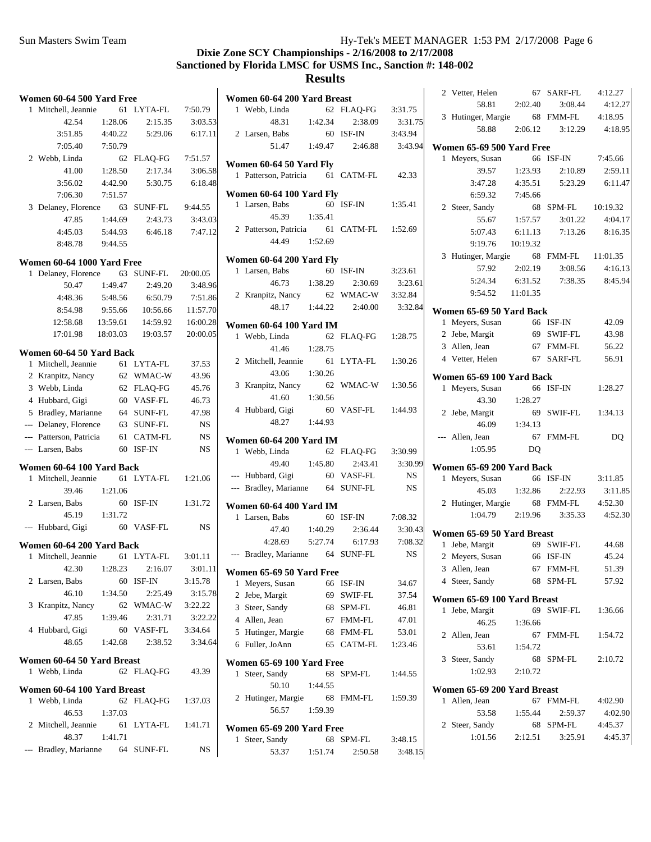| Women 60-64 500 Yard Free        |                      |           | Women 60-64 200 Yard Breast    |         |            |           | 2 Vetter, Helen<br>58.81                      | 2:02.40   | 67 SARF-FL<br>3:08.44   | 4:12.27<br>4:12.27 |
|----------------------------------|----------------------|-----------|--------------------------------|---------|------------|-----------|-----------------------------------------------|-----------|-------------------------|--------------------|
| 1 Mitchell, Jeannie              | 61 LYTA-FL           | 7:50.79   | 1 Webb, Linda                  |         | 62 FLAQ-FG | 3:31.75   | 3 Hutinger, Margie                            |           | 68 FMM-FL               | 4:18.95            |
| 42.54<br>1:28.06                 | 2:15.35              | 3:03.53   | 48.31                          | 1:42.34 | 2:38.09    | 3:31.75   |                                               | 2:06.12   | 3:12.29                 |                    |
| 3:51.85<br>4:40.22               | 5:29.06              | 6:17.11   | 2 Larsen, Babs                 |         | 60 ISF-IN  | 3:43.94   | 58.88                                         |           |                         | 4:18.95            |
| 7:05.40<br>7:50.79               |                      |           | 51.47                          | 1:49.47 | 2:46.88    | 3:43.94   | Women 65-69 500 Yard Free                     |           |                         |                    |
| 2 Webb, Linda                    | 62 FLAQ-FG           | 7:51.57   | Women 60-64 50 Yard Fly        |         |            |           | 1 Meyers, Susan                               |           | 66 ISF-IN               | 7:45.66            |
| 41.00<br>1:28.50                 | 2:17.34              | 3:06.58   | 1 Patterson, Patricia          |         | 61 CATM-FL | 42.33     | 39.57                                         | 1:23.93   | 2:10.89                 | 2:59.11            |
| 3:56.02<br>4:42.90               | 5:30.75              | 6:18.48   |                                |         |            |           | 3:47.28                                       | 4:35.51   | 5:23.29                 | 6:11.47            |
| 7:06.30<br>7:51.57               |                      |           | Women 60-64 100 Yard Fly       |         |            |           | 6:59.32                                       | 7:45.66   |                         |                    |
| 3 Delaney, Florence              | 63 SUNF-FL           | 9:44.55   | 1 Larsen, Babs                 |         | 60 ISF-IN  | 1:35.41   | 2 Steer, Sandy                                |           | 68 SPM-FL               | 10:19.32           |
| 1:44.69<br>47.85                 | 2:43.73              | 3:43.03   | 45.39                          | 1:35.41 |            |           | 55.67                                         | 1:57.57   | 3:01.22                 | 4:04.17            |
| 4:45.03<br>5:44.93               | 6:46.18              | 7:47.12   | 2 Patterson, Patricia          |         | 61 CATM-FL | 1:52.69   | 5:07.43                                       | 6:11.13   | 7:13.26                 | 8:16.35            |
| 8:48.78<br>9:44.55               |                      |           | 44.49                          | 1:52.69 |            |           | 9:19.76                                       | 10:19.32  |                         |                    |
| Women 60-64 1000 Yard Free       |                      |           | Women 60-64 200 Yard Fly       |         |            |           | 3 Hutinger, Margie                            |           | 68 FMM-FL               | 11:01.35           |
| 1 Delaney, Florence              | 63 SUNF-FL           | 20:00.05  | 1 Larsen, Babs                 |         | 60 ISF-IN  | 3:23.61   | 57.92                                         | 2:02.19   | 3:08.56                 | 4:16.13            |
| 50.47<br>1:49.47                 | 2:49.20              | 3:48.96   | 46.73                          | 1:38.29 | 2:30.69    | 3:23.61   | 5:24.34                                       | 6:31.52   | 7:38.35                 | 8:45.94            |
| 4:48.36<br>5:48.56               | 6:50.79              | 7:51.86   | 2 Kranpitz, Nancy              |         | 62 WMAC-W  | 3:32.84   | 9:54.52                                       | 11:01.35  |                         |                    |
| 8:54.98<br>9:55.66               | 10:56.66             | 11:57.70  | 48.17                          | 1:44.22 | 2:40.00    | 3:32.84   |                                               |           |                         |                    |
| 13:59.61                         |                      | 16:00.28  |                                |         |            |           | Women 65-69 50 Yard Back                      |           |                         |                    |
| 12:58.68<br>17:01.98<br>18:03.03 | 14:59.92<br>19:03.57 |           | <b>Women 60-64 100 Yard IM</b> |         |            |           | 1 Meyers, Susan                               |           | 66 ISF-IN<br>69 SWIF-FL | 42.09<br>43.98     |
|                                  |                      | 20:00.05  | 1 Webb, Linda                  |         | 62 FLAQ-FG | 1:28.75   | 2 Jebe, Margit                                |           |                         |                    |
| Women 60-64 50 Yard Back         |                      |           | 41.46                          | 1:28.75 |            |           | 3 Allen, Jean                                 |           | 67 FMM-FL               | 56.22              |
| 1 Mitchell, Jeannie              | 61 LYTA-FL           | 37.53     | 2 Mitchell, Jeannie            |         | 61 LYTA-FL | 1:30.26   | 4 Vetter, Helen                               |           | 67 SARF-FL              | 56.91              |
| 2 Kranpitz, Nancy                | 62 WMAC-W            | 43.96     | 43.06                          | 1:30.26 |            |           | Women 65-69 100 Yard Back                     |           |                         |                    |
| 3 Webb, Linda                    | 62 FLAO-FG           | 45.76     | 3 Kranpitz, Nancy              |         | 62 WMAC-W  | 1:30.56   | 1 Meyers, Susan                               |           | 66 ISF-IN               | 1:28.27            |
| 4 Hubbard, Gigi                  | 60 VASF-FL           | 46.73     | 41.60                          | 1:30.56 |            |           | 43.30                                         | 1:28.27   |                         |                    |
| 5 Bradley, Marianne              | 64 SUNF-FL           | 47.98     | 4 Hubbard, Gigi                |         | 60 VASF-FL | 1:44.93   | 2 Jebe, Margit                                |           | 69 SWIF-FL              | 1:34.13            |
| Delaney, Florence                | 63 SUNF-FL           | NS        | 48.27                          | 1:44.93 |            |           | 46.09                                         | 1:34.13   |                         |                    |
| --- Patterson, Patricia          | 61 CATM-FL           | <b>NS</b> | <b>Women 60-64 200 Yard IM</b> |         |            |           | --- Allen, Jean                               |           | 67 FMM-FL               | DQ                 |
| --- Larsen, Babs                 | 60 ISF-IN            | <b>NS</b> | 1 Webb, Linda                  |         | 62 FLAQ-FG | 3:30.99   | 1:05.95                                       | <b>DQ</b> |                         |                    |
|                                  |                      |           | 49.40                          | 1:45.80 | 2:43.41    | 3:30.99   |                                               |           |                         |                    |
| Women 60-64 100 Yard Back        |                      |           | --- Hubbard, Gigi              |         | 60 VASF-FL | <b>NS</b> | Women 65-69 200 Yard Back                     |           |                         |                    |
| 1 Mitchell, Jeannie              | 61 LYTA-FL           | 1:21.06   | --- Bradley, Marianne          |         | 64 SUNF-FL | <b>NS</b> | 1 Meyers, Susan                               |           | 66 ISF-IN               | 3:11.85            |
| 1:21.06<br>39.46                 |                      |           |                                |         |            |           | 45.03                                         | 1:32.86   | 2:22.93                 | 3:11.85            |
| 2 Larsen, Babs                   | 60 ISF-IN            | 1:31.72   | <b>Women 60-64 400 Yard IM</b> |         |            |           | 2 Hutinger, Margie                            |           | 68 FMM-FL               | 4:52.30            |
| 45.19<br>1:31.72                 |                      |           | 1 Larsen, Babs                 |         | 60 ISF-IN  | 7:08.32   | 1:04.79                                       | 2:19.96   | 3:35.33                 | 4:52.30            |
| --- Hubbard, Gigi                | 60 VASF-FL           | NS.       | 47.40                          | 1:40.29 | 2:36.44    | 3:30.43   | Women 65-69 50 Yard Breast                    |           |                         |                    |
| Women 60-64 200 Yard Back        |                      |           | 4:28.69                        | 5:27.74 | 6:17.93    | 7:08.32   | 1 Jebe, Margit                                |           | 69 SWIF-FL              | 44.68              |
| 1 Mitchell, Jeannie 61 LYTA-FL   |                      | 3:01.11   | --- Bradley, Marianne          |         | 64 SUNF-FL | <b>NS</b> | 2 Mevers, Susan                               |           | 66 ISF-IN               | 45.24              |
| 42.30<br>1:28.23                 | 2:16.07              | 3:01.11   | Women 65-69 50 Yard Free       |         |            |           | 3 Allen, Jean                                 |           | 67 FMM-FL               | 51.39              |
| 2 Larsen, Babs                   | 60 ISF-IN            | 3:15.78   | 1 Meyers, Susan                |         | 66 ISF-IN  | 34.67     | 4 Steer, Sandy                                |           | 68 SPM-FL               | 57.92              |
| 46.10<br>1:34.50                 | 2:25.49              | 3:15.78   | 2 Jebe, Margit                 |         | 69 SWIF-FL | 37.54     |                                               |           |                         |                    |
| 3 Kranpitz, Nancy                | 62 WMAC-W            | 3:22.22   | 3 Steer, Sandy                 |         | 68 SPM-FL  | 46.81     | Women 65-69 100 Yard Breast<br>1 Jebe, Margit |           | 69 SWIF-FL              | 1:36.66            |
| 47.85<br>1:39.46                 | 2:31.71              | 3:22.22   | 4 Allen, Jean                  |         | 67 FMM-FL  | 47.01     |                                               |           |                         |                    |
| 4 Hubbard, Gigi                  | 60 VASF-FL           | 3:34.64   | 5 Hutinger, Margie             |         | 68 FMM-FL  | 53.01     | 46.25                                         | 1:36.66   |                         |                    |
| 48.65<br>1:42.68                 | 2:38.52              | 3:34.64   | 6 Fuller, JoAnn                |         | 65 CATM-FL | 1:23.46   | 2 Allen, Jean                                 |           | 67 FMM-FL               | 1:54.72            |
|                                  |                      |           |                                |         |            |           | 53.61                                         | 1:54.72   |                         |                    |
| Women 60-64 50 Yard Breast       |                      |           | Women 65-69 100 Yard Free      |         |            |           | 3 Steer, Sandy                                |           | 68 SPM-FL               | 2:10.72            |
| 1 Webb, Linda                    | 62 FLAQ-FG           | 43.39     | 1 Steer, Sandy                 |         | 68 SPM-FL  | 1:44.55   | 1:02.93                                       | 2:10.72   |                         |                    |
| Women 60-64 100 Yard Breast      |                      |           | 50.10                          | 1:44.55 |            |           | Women 65-69 200 Yard Breast                   |           |                         |                    |
| 1 Webb, Linda                    | 62 FLAQ-FG           | 1:37.03   | 2 Hutinger, Margie             |         | 68 FMM-FL  | 1:59.39   | 1 Allen, Jean                                 |           | 67 FMM-FL               | 4:02.90            |
| 46.53<br>1:37.03                 |                      |           | 56.57                          | 1:59.39 |            |           | 53.58                                         | 1:55.44   | 2:59.37                 | 4:02.90            |
| 2 Mitchell, Jeannie              | 61 LYTA-FL           | 1:41.71   | Women 65-69 200 Yard Free      |         |            |           | 2 Steer, Sandy                                |           | 68 SPM-FL               | 4:45.37            |
| 48.37<br>1:41.71                 |                      |           | 1 Steer, Sandy                 |         | 68 SPM-FL  | 3:48.15   | 1:01.56                                       | 2:12.51   | 3:25.91                 | 4:45.37            |
| --- Bradley, Marianne            | 64 SUNF-FL           | <b>NS</b> | 53.37                          | 1:51.74 | 2:50.58    | 3:48.15   |                                               |           |                         |                    |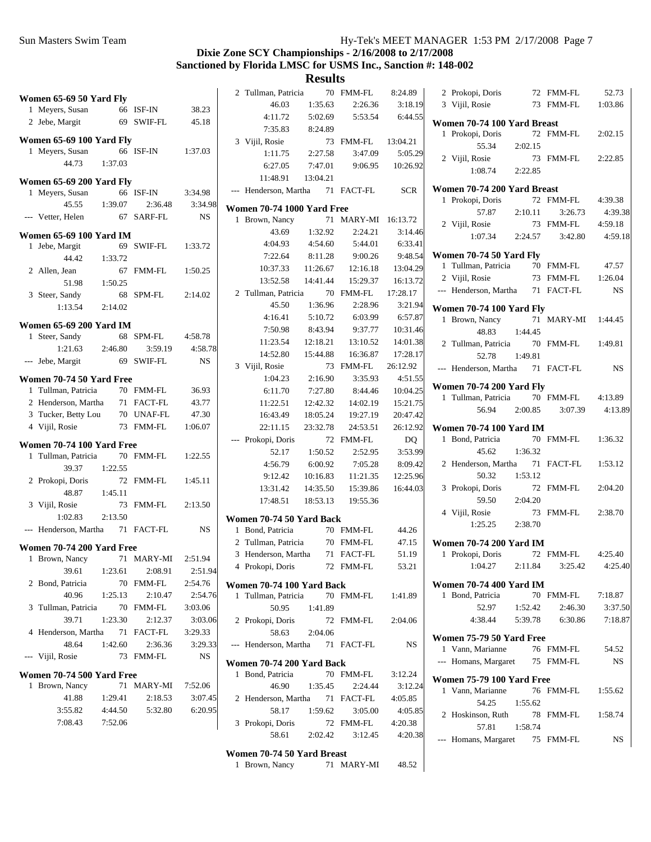### **Dixie Zone SCY Championships - 2/16/2008 to 2/17/2008 Sanctioned by Florida LMSC for USMS Inc., Sanction #: 148-002**

|                                      |                      |                    | 2 Tullman, Patricia               |          | 70 FMM-FL            | 8:24.89    | 2 Prokopi, Doris                     | 72 FMM-FL  | 52.73     |
|--------------------------------------|----------------------|--------------------|-----------------------------------|----------|----------------------|------------|--------------------------------------|------------|-----------|
| Women 65-69 50 Yard Fly              |                      |                    | 46.03                             | 1:35.63  | 2:26.36              | 3:18.19    | 3 Vijil, Rosie                       | 73 FMM-FL  | 1:03.86   |
| 1 Meyers, Susan                      | 66 ISF-IN            | 38.23              | 4:11.72                           | 5:02.69  | 5:53.54              | 6:44.55    |                                      |            |           |
| 2 Jebe, Margit                       | 69 SWIF-FL           | 45.18              | 7:35.83                           | 8:24.89  |                      |            | Women 70-74 100 Yard Breast          |            |           |
| <b>Women 65-69 100 Yard Fly</b>      |                      |                    | 3 Vijil, Rosie                    |          | 73 FMM-FL            | 13:04.21   | 1 Prokopi, Doris<br>2:02.15<br>55.34 | 72 FMM-FL  | 2:02.15   |
| 1 Meyers, Susan                      | 66 ISF-IN            | 1:37.03            | 1:11.75                           | 2:27.58  | 3:47.09              | 5:05.29    | 2 Vijil, Rosie                       | 73 FMM-FL  | 2:22.85   |
| 1:37.03<br>44.73                     |                      |                    | 6:27.05                           | 7:47.01  | 9:06.95              | 10:26.92   | 1:08.74<br>2:22.85                   |            |           |
| Women 65-69 200 Yard Fly             |                      |                    | 11:48.91                          | 13:04.21 |                      |            |                                      |            |           |
| 1 Meyers, Susan                      | 66 ISF-IN            | 3:34.98            | --- Henderson, Martha             |          | 71 FACT-FL           | <b>SCR</b> | Women 70-74 200 Yard Breast          |            |           |
| 1:39.07<br>45.55                     | 2:36.48              | 3:34.98            | <b>Women 70-74 1000 Yard Free</b> |          |                      |            | 1 Prokopi, Doris                     | 72 FMM-FL  | 4:39.38   |
| --- Vetter, Helen                    | 67 SARF-FL           | <b>NS</b>          | 1 Brown, Nancy                    |          | 71 MARY-MI 16:13.72  |            | 57.87<br>2:10.11                     | 3:26.73    | 4:39.38   |
| <b>Women 65-69 100 Yard IM</b>       |                      |                    | 43.69                             | 1:32.92  | 2:24.21              | 3:14.46    | 2 Vijil, Rosie                       | 73 FMM-FL  | 4:59.18   |
| 1 Jebe, Margit                       | 69 SWIF-FL           | 1:33.72            | 4:04.93                           | 4:54.60  | 5:44.01              | 6:33.41    | 1:07.34<br>2:24.57                   | 3:42.80    | 4:59.18   |
| 44.42<br>1:33.72                     |                      |                    | 7:22.64                           | 8:11.28  | 9:00.26              | 9:48.54    | Women 70-74 50 Yard Fly              |            |           |
| 2 Allen, Jean                        | 67 FMM-FL            | 1:50.25            | 10:37.33                          | 11:26.67 | 12:16.18             | 13:04.29   | 1 Tullman, Patricia                  | 70 FMM-FL  | 47.57     |
| 1:50.25<br>51.98                     |                      |                    | 13:52.58                          | 14:41.44 | 15:29.37             | 16:13.72   | 2 Vijil, Rosie                       | 73 FMM-FL  | 1:26.04   |
| 3 Steer, Sandy                       | 68 SPM-FL            | 2:14.02            | 2 Tullman, Patricia               |          | 70 FMM-FL            | 17:28.17   | --- Henderson, Martha                | 71 FACT-FL | <b>NS</b> |
| 1:13.54<br>2:14.02                   |                      |                    | 45.50                             | 1:36.96  | 2:28.96              | 3:21.94    | <b>Women 70-74 100 Yard Fly</b>      |            |           |
|                                      |                      |                    | 4:16.41                           | 5:10.72  | 6:03.99              | 6:57.87    | 1 Brown, Nancy                       | 71 MARY-MI | 1:44.45   |
| <b>Women 65-69 200 Yard IM</b>       |                      |                    | 7:50.98                           | 8:43.94  | 9:37.77              | 10:31.46   | 48.83<br>1:44.45                     |            |           |
| 1 Steer, Sandy<br>1:21.63<br>2:46.80 | 68 SPM-FL<br>3:59.19 | 4:58.78<br>4:58.78 | 11:23.54                          | 12:18.21 | 13:10.52             | 14:01.38   | 2 Tullman, Patricia                  | 70 FMM-FL  | 1:49.81   |
| --- Jebe, Margit                     | 69 SWIF-FL           | <b>NS</b>          | 14:52.80                          | 15:44.88 | 16:36.87             | 17:28.17   | 1:49.81<br>52.78                     |            |           |
|                                      |                      |                    | 3 Vijil, Rosie                    |          | 73 FMM-FL            | 26:12.92   | --- Henderson, Martha                | 71 FACT-FL | <b>NS</b> |
| Women 70-74 50 Yard Free             |                      |                    | 1:04.23                           | 2:16.90  | 3:35.93              | 4:51.55    | <b>Women 70-74 200 Yard Fly</b>      |            |           |
| 1 Tullman, Patricia                  | 70 FMM-FL            | 36.93              | 6:11.70                           | 7:27.80  | 8:44.46              | 10:04.25   | 1 Tullman, Patricia                  | 70 FMM-FL  | 4:13.89   |
| 2 Henderson, Martha                  | 71 FACT-FL           | 43.77              | 11:22.51                          | 12:42.32 | 14:02.19             | 15:21.75   | 56.94<br>2:00.85                     | 3:07.39    | 4:13.89   |
| 3 Tucker, Betty Lou                  | 70 UNAF-FL           | 47.30              | 16:43.49                          | 18:05.24 | 19:27.19             | 20:47.42   |                                      |            |           |
| 4 Vijil, Rosie                       | 73 FMM-FL            | 1:06.07            | 22:11.15                          | 23:32.78 | 24:53.51             | 26:12.92   | <b>Women 70-74 100 Yard IM</b>       |            |           |
| Women 70-74 100 Yard Free            |                      |                    | --- Prokopi, Doris                |          | 72 FMM-FL            | DQ         | 1 Bond, Patricia                     | 70 FMM-FL  | 1:36.32   |
| 1 Tullman, Patricia                  | 70 FMM-FL            | 1:22.55            | 52.17                             | 1:50.52  | 2:52.95              | 3:53.99    | 45.62<br>1:36.32                     |            |           |
| 1:22.55<br>39.37                     |                      |                    | 4:56.79                           | 6:00.92  | 7:05.28              | 8:09.42    | 2 Henderson, Martha                  | 71 FACT-FL | 1:53.12   |
| 2 Prokopi, Doris                     | 72 FMM-FL            | 1:45.11            | 9:12.42                           | 10:16.83 | 11:21.35             | 12:25.96   | 50.32<br>1:53.12                     |            |           |
| 1:45.11<br>48.87                     |                      |                    | 13:31.42                          | 14:35.50 | 15:39.86<br>19:55.36 | 16:44.03   | 3 Prokopi, Doris<br>2:04.20<br>59.50 | 72 FMM-FL  | 2:04.20   |
| 3 Vijil, Rosie                       | 73 FMM-FL            | 2:13.50            | 17:48.51                          | 18:53.13 |                      |            | 4 Vijil, Rosie                       | 73 FMM-FL  | 2:38.70   |
| 2:13.50<br>1:02.83                   |                      |                    | Women 70-74 50 Yard Back          |          |                      |            | 2:38.70<br>1:25.25                   |            |           |
| --- Henderson, Martha                | 71 FACT-FL           | <b>NS</b>          | 1 Bond, Patricia                  |          | 70 FMM-FL            | 44.26      |                                      |            |           |
| Women 70-74 200 Yard Free            |                      |                    | 2 Tullman, Patricia               |          | 70 FMM-FL            | 47.15      | <b>Women 70-74 200 Yard IM</b>       |            |           |
| 1 Brown, Nancy                       | 71 MARY-MI           | 2:51.94            | 3 Henderson, Martha               |          | 71 FACT-FL           | 51.19      | 1 Prokopi, Doris                     | 72 FMM-FL  | 4:25.40   |
| 39.61<br>1:23.61                     | 2:08.91              | 2:51.94            | 4 Prokopi, Doris                  |          | 72 FMM-FL            | 53.21      | 1:04.27<br>2:11.84                   | 3:25.42    | 4:25.40   |
| 2 Bond, Patricia                     | 70 FMM-FL            | 2:54.76            | Women 70-74 100 Yard Back         |          |                      |            | <b>Women 70-74 400 Yard IM</b>       |            |           |
| 40.96<br>1:25.13                     | 2:10.47              | 2:54.76            | 1 Tullman, Patricia               |          | 70 FMM-FL            | 1:41.89    | 1 Bond, Patricia                     | 70 FMM-FL  | 7:18.87   |
| 3 Tullman, Patricia                  | 70 FMM-FL            | 3:03.06            | 50.95                             | 1:41.89  |                      |            | 52.97<br>1:52.42                     | 2:46.30    | 3:37.50   |
| 39.71<br>1:23.30                     | 2:12.37              | 3:03.06            | 2 Prokopi, Doris                  |          | 72 FMM-FL            | 2:04.06    | 4:38.44<br>5:39.78                   | 6:30.86    | 7:18.87   |
| 4 Henderson, Martha                  | 71 FACT-FL           | 3:29.33            | 58.63                             | 2:04.06  |                      |            | Women 75-79 50 Yard Free             |            |           |
| 48.64<br>1:42.60                     | 2:36.36              | 3:29.33            | --- Henderson, Martha             |          | 71 FACT-FL           | NS         | 1 Vann, Marianne                     | 76 FMM-FL  | 54.52     |
| --- Vijil, Rosie                     | 73 FMM-FL            | $_{\rm NS}$        | Women 70-74 200 Yard Back         |          |                      |            | --- Homans, Margaret                 | 75 FMM-FL  | <b>NS</b> |
| Women 70-74 500 Yard Free            |                      |                    | 1 Bond, Patricia                  |          | 70 FMM-FL            | 3:12.24    |                                      |            |           |
| 1 Brown, Nancy                       | 71 MARY-MI           | 7:52.06            | 46.90                             | 1:35.45  | 2:24.44              | 3:12.24    | Women 75-79 100 Yard Free            |            |           |
| 41.88<br>1:29.41                     | 2:18.53              | 3:07.45            | 2 Henderson, Martha               |          | 71 FACT-FL           | 4:05.85    | 1 Vann, Marianne<br>54.25<br>1:55.62 | 76 FMM-FL  | 1:55.62   |
| 3:55.82<br>4:44.50                   | 5:32.80              | 6:20.95            | 58.17                             | 1:59.62  | 3:05.00              | 4:05.85    | 2 Hoskinson, Ruth                    | 78 FMM-FL  | 1:58.74   |
| 7:08.43<br>7:52.06                   |                      |                    | 3 Prokopi, Doris                  |          | 72 FMM-FL            | 4:20.38    | 57.81<br>1:58.74                     |            |           |
|                                      |                      |                    | 58.61                             | 2:02.42  | 3:12.45              | 4:20.38    | --- Homans, Margaret                 | 75 FMM-FL  | NS        |
|                                      |                      |                    | Women 70-74 50 Yard Breast        |          |                      |            |                                      |            |           |
|                                      |                      |                    | 1 Brown, Nancy                    |          | 71 MARY-MI           | 48.52      |                                      |            |           |
|                                      |                      |                    |                                   |          |                      |            |                                      |            |           |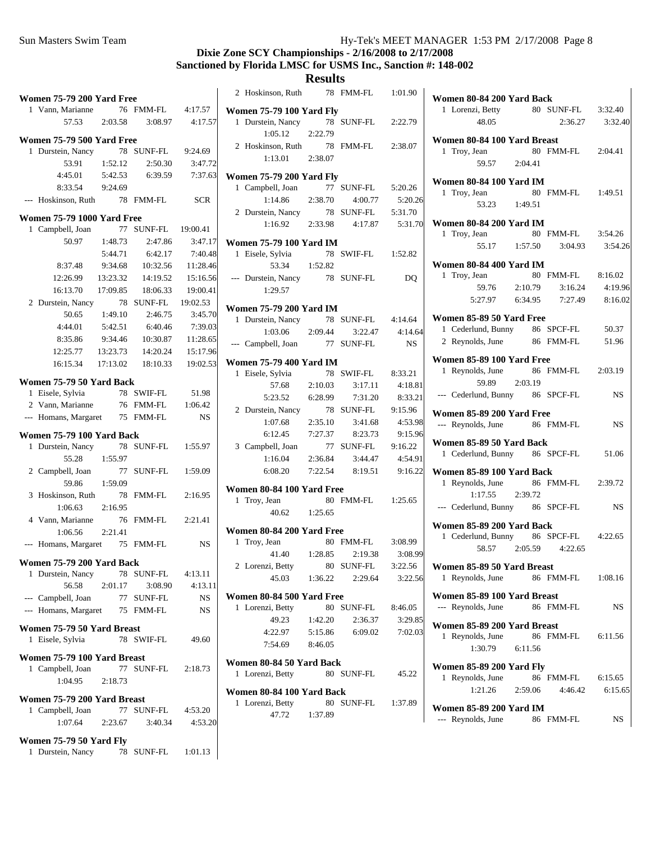|   | <b>Women 75-79 200 Yard Free</b>  |               |                                |            |
|---|-----------------------------------|---------------|--------------------------------|------------|
|   | 1 Vann, Marianne                  |               | 76 FMM-FL 4:17.57              |            |
|   |                                   | 57.53 2:03.58 | 3:08.97                        | 4:17.57    |
|   | <b>Women 75-79 500 Yard Free</b>  |               |                                |            |
|   | 1 Durstein, Nancy                 |               | 78 SUNF-FL                     | 9:24.69    |
|   | 53.91                             | 1:52.12       | 2:50.30                        | 3:47.72    |
|   | 4:45.01                           | 5:42.53       | 6:39.59                        | 7:37.63    |
|   | 8:33.54 9:24.69                   |               |                                |            |
|   | --- Hoskinson, Ruth               |               | 78 FMM-FL                      | <b>SCR</b> |
|   | <b>Women 75-79 1000 Yard Free</b> |               |                                |            |
|   | 1 Campbell, Joan                  |               | 77 SUNF-FL 19:00.41            |            |
|   | 50.97                             | 1:48.73       | 2:47.86                        | 3:47.17    |
|   |                                   | 5:44.71       | 6:42.17                        | 7:40.48    |
|   | 8:37.48                           | 9:34.68       | 10:32.56                       | 11:28.46   |
|   | 12:26.99                          | 13:23.32      | 14:19.52                       | 15:16.56   |
|   | 16:13.70                          | 17:09.85      | 18:06.33                       | 19:00.41   |
|   | 2 Durstein, Nancy                 |               | 78 SUNF-FL                     | 19:02.53   |
|   | 50.65                             |               | $1:49.10$ $2:46.75$            | 3:45.70    |
|   | 4:44.01                           |               | 5:42.51 6:40.46                | 7:39.03    |
|   | 8:35.86                           | 9:34.46       | 10:30.87                       | 11:28.65   |
|   |                                   |               | 12:25.77   13:23.73   14:20.24 | 15:17.96   |
|   |                                   |               | 16:15.34  17:13.02  18:10.33   | 19:02.53   |
|   | Women 75-79 50 Yard Back          |               |                                |            |
|   | 1 Eisele, Sylvia                  |               | 78 SWIF-FL                     | 51.98      |
|   | 2 Vann, Marianne                  |               | 76 FMM-FL                      | 1:06.42    |
|   | --- Homans, Margaret              |               | 75 FMM-FL                      | <b>NS</b>  |
|   | Women 75-79 100 Yard Back         |               |                                |            |
| 1 | Durstein, Nancy                   |               | 78 SUNF-FL                     | 1:55.97    |
|   | 55.28                             | 1:55.97       |                                |            |
|   | 2 Campbell, Joan                  | 77            | SUNF-FL                        | 1:59.09    |
|   | 59.86                             | 1:59.09       |                                |            |
|   | 3 Hoskinson, Ruth                 |               | 78 FMM-FL                      | 2:16.95    |
|   | 1:06.63                           | 2:16.95       |                                |            |
|   | 4 Vann, Marianne                  |               | 76 FMM-FL                      | 2:21.41    |
|   | 1:06.56                           | 2:21.41       |                                |            |
|   | --- Homans, Margaret 75 FMM-FL    |               |                                | <b>NS</b>  |
|   |                                   |               |                                |            |
|   | Women 75-79 200 Yard Back         |               |                                |            |
| 1 | Durstein, Nancy                   | 78            | SUNF-FL                        | 4:13.11    |
|   | 56.58                             | 2:01.17       | 3:08.90                        | 4:13.11    |
|   | --- Campbell, Joan                |               | 77 SUNF-FL                     | NS         |
|   | --- Homans, Margaret 75 FMM-FL    |               |                                | <b>NS</b>  |
|   | Women 75-79 50 Yard Breast        |               |                                |            |
| 1 | Eisele, Sylvia                    |               | 78 SWIF-FL                     | 49.60      |
|   | Women 75-79 100 Yard Breast       |               |                                |            |
|   | 1 Campbell, Joan                  |               | 77 SUNF-FL 2:18.73             |            |
|   | 1:04.95                           | 2:18.73       |                                |            |
|   |                                   |               |                                |            |
|   | Women 75-79 200 Yard Breast       |               |                                |            |
|   | 1 Campbell, Joan                  | 77            | SUNF-FL                        | 4:53.20    |
|   | 1:07.64                           |               | 2:23.67 3:40.34                | 4:53.20    |
|   | <b>Women 75-79 50 Yard Fly</b>    |               |                                |            |
| 1 | Durstein, Nancy                   |               | 78 SUNF-FL 1:01.13             |            |

|   | 2 Hoskinson, Ruth                                                    |         | 78 FMM-FL                     | 1:01.90         |
|---|----------------------------------------------------------------------|---------|-------------------------------|-----------------|
|   | <b>Women 75-79 100 Yard Fly</b>                                      |         |                               |                 |
|   | 1 Durstein, Nancy                                                    |         | 78 SUNF-FL 2:22.79            |                 |
|   | 1:05.12  2:22.79                                                     |         |                               |                 |
|   | 2 Hoskinson, Ruth                                                    |         | 78 FMM-FL 2:38.07             |                 |
|   | $1:13.01$ $2:38.07$                                                  |         |                               |                 |
|   | <b>Women 75-79 200 Yard Fly</b>                                      |         |                               |                 |
|   | 1 Campbell, Joan                                                     |         | 77 SUNF-FL 5:20.26            |                 |
|   | 1:14.86                                                              | 2:38.70 | 4:00.77                       | 5:20.26         |
|   | 2 Durstein, Nancy                                                    |         | 78 SUNF-FL 5:31.70            |                 |
|   |                                                                      |         | $1:16.92$ $2:33.98$ $4:17.87$ | 5:31.70         |
|   | <b>Women 75-79 100 Yard IM</b>                                       |         |                               |                 |
|   | 1 Eisele, Sylvia                                                     |         | 78 SWIF-FL 1:52.82            |                 |
|   | $53.34$ 1:52.82                                                      |         |                               |                 |
|   | --- Durstein, Nancy                                                  |         | 78 SUNF-FL                    | <b>DQ</b>       |
|   | 1:29.57                                                              |         |                               |                 |
|   | <b>Women 75-79 200 Yard IM</b>                                       |         |                               |                 |
|   | 1 Durstein, Nancy                                                    |         | 78 SUNF-FL  4:14.64           |                 |
|   | 1:03.06 2:09.44                                                      |         |                               | 3:22.47 4:14.64 |
|   | --- Campbell, Joan 77 SUNF-FL                                        |         |                               | NS.             |
|   | <b>Women 75-79 400 Yard IM</b>                                       |         |                               |                 |
|   | 1 Eisele, Sylvia                                                     |         | 78 SWIF-FL 8:33.21            |                 |
|   |                                                                      |         | 57.68 2:10.03 3:17.11         | 4:18.81         |
|   | 5:23.52 6:28.99                                                      |         | 7:31.20                       | 8:33.21         |
|   | 2 Durstein, Nancy                                                    |         | 78 SUNF-FL 9:15.96            |                 |
|   |                                                                      |         | $1:07.68$ $2:35.10$ $3:41.68$ | 4:53.98         |
|   | 6:12.45 7:27.37                                                      |         | 8:23.73                       | 9:15.96         |
|   | 3 Campbell, Joan $1/6$ Campbell, Joan $1/6$ Campbell, Joan $2:36.84$ |         | 77 SUNF-FL 9:16.22            |                 |
|   |                                                                      |         | 3:44.47                       | 4:54.91         |
|   |                                                                      |         | $6:08.20$ $7:22.54$ $8:19.51$ | 9:16.22         |
|   | Women 80-84 100 Yard Free                                            |         |                               |                 |
|   | 1 Troy, Jean                                                         |         | 80 FMM-FL 1:25.65             |                 |
|   | 40.62 1:25.65                                                        |         |                               |                 |
|   | Women 80-84 200 Yard Free                                            |         |                               |                 |
|   | 1 Troy, Jean                                                         |         | 80 FMM-FL 3:08.99             |                 |
|   | 41.40 1:28.85                                                        |         | 2:19.38                       | 3:08.99         |
|   | 2 Lorenzi, Betty                                                     |         | 80 SUNF-FL 3:22.56            |                 |
|   |                                                                      |         | 45.03 1:36.22 2:29.64         | 3:22.56         |
|   | Women 80-84 500 Yard Free                                            |         |                               |                 |
| 1 | Lorenzi, Betty                                                       |         | 80 SUNF-FL                    | 8:46.05         |
|   |                                                                      |         | 49.23 1:42.20 2:36.37         | 3:29.85         |
|   |                                                                      |         | 4:22.97 5:15.86 6:09.02       | 7:02.03         |
|   | 7:54.69 8:46.05                                                      |         |                               |                 |
|   | Women 80-84 50 Yard Back                                             |         |                               |                 |
|   | 1 Lorenzi, Betty                                                     |         | 80 SUNF-FL                    | 45.22           |
|   | Women 80-84 100 Yard Back                                            |         |                               |                 |
|   | 1 Lorenzi, Betty                                                     |         | 80 SUNF-FL 1:37.89            |                 |
|   | 47.72 1:37.89                                                        |         |                               |                 |
|   |                                                                      |         |                               |                 |

| Women 80-84 200 Yard Back                                 |         |                              |           |
|-----------------------------------------------------------|---------|------------------------------|-----------|
| 1 Lorenzi, Betty                                          |         | 80 SUNF-FL 3:32.40           |           |
| 48.05                                                     |         | 2:36.27                      | 3:32.40   |
| Women 80-84 100 Yard Breast<br>Troy, Jean<br>1            |         | 80 FMM-FL 2:04.41            |           |
| 59.57 2:04.41                                             |         |                              |           |
| <b>Women 80-84 100 Yard IM</b>                            |         |                              |           |
| 1 Troy, Jean                                              |         | 80 FMM-FL 1:49.51            |           |
| 53.23 1:49.51                                             |         |                              |           |
| <b>Women 80-84 200 Yard IM</b>                            |         |                              |           |
| 1 Troy, Jean                                              |         | 80 FMM-FL 3:54.26            |           |
|                                                           |         | 55.17 1:57.50 3:04.93        | 3:54.26   |
| <b>Women 80-84 400 Yard IM</b>                            |         |                              |           |
| Troy, Jean<br>1<br>59.76 2:10.79                          |         | 80 FMM-FL 8:16.02<br>3:16.24 | 4:19.96   |
| 5:27.97                                                   |         | $6:34.95$ $7:27.49$          | 8:16.02   |
|                                                           |         |                              |           |
| Women 85-89 50 Yard Free<br>1 Cederlund, Bunny 86 SPCF-FL |         |                              | 50.37     |
| 2 Reynolds, June 86 FMM-FL                                |         |                              | 51.96     |
|                                                           |         |                              |           |
| Women 85-89 100 Yard Free<br>1 Reynolds, June             |         | 86 FMM-FL 2:03.19            |           |
| 59.89                                                     | 2:03.19 |                              |           |
| --- Cederlund, Bunny 86 SPCF-FL                           |         |                              | <b>NS</b> |
| Women 85-89 200 Yard Free                                 |         |                              |           |
| --- Reynolds, June                                        |         | 86 FMM-FL                    | - NS      |
| Women 85-89 50 Yard Back                                  |         |                              |           |
| 1 Cederlund, Bunny 86 SPCF-FL                             |         |                              | 51.06     |
| Women 85-89 100 Yard Back                                 |         |                              |           |
| Reynolds, June 86 FMM-FL 2:39.72<br>1.                    |         |                              |           |
| 1:17.55 2:39.72                                           |         |                              |           |
| --- Cederlund, Bunny 86 SPCF-FL                           |         |                              | <b>NS</b> |
| Women 85-89 200 Yard Back                                 |         |                              |           |
| 1 Cederlund, Bunny 86 SPCF-FL 4:22.65                     |         |                              |           |
| 58.57                                                     | 2:05.59 | 4:22.65                      |           |
| Women 85-89 50 Yard Breast<br>Reynolds, June<br>1         | 86      | FMM-FL                       | 1:08.16   |
| Women 85-89 100 Yard Breast<br>--- Reynolds, June         |         | 86 FMM-FL                    | <b>NS</b> |
| Women 85-89 200 Yard Breast                               |         |                              |           |
| Reynolds, June<br>1                                       | 86      | FMM-FL                       | 6:11.56   |
| 1:30.79                                                   | 6:11.56 |                              |           |
| <b>Women 85-89 200 Yard Fly</b>                           |         |                              |           |
| Reynolds, June<br>1                                       | 86      | FMM-FL                       | 6:15.65   |
| 1:21.26 2:59.06                                           |         | 4:46.42                      | 6:15.65   |
|                                                           |         |                              |           |
| <b>Women 85-89 200 Yard IM</b>                            |         |                              |           |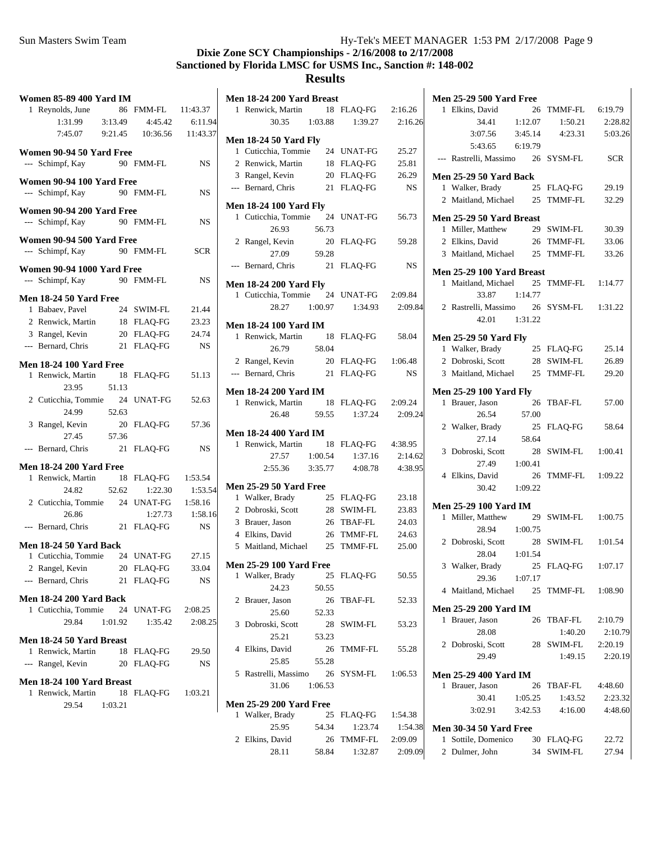## **Dixie Zone SCY Championships - 2/16/2008 to 2/17/2008 Sanctioned by Florida LMSC for USMS Inc., Sanction #: 148-002**

### **Results**

| <b>Women 85-89 400 Yard IM</b>                      |         |                       |                | Men 18-24 200 Yard Breast                                       |           |
|-----------------------------------------------------|---------|-----------------------|----------------|-----------------------------------------------------------------|-----------|
| 1 Reynolds, June                                    |         | 86 FMM-FL             | 11:43.37       | 1 Renwick, Martin<br>18 FLAQ-FG                                 | 2:16.26   |
| 1:31.99                                             | 3:13.49 | 4:45.42               | 6:11.94        | 30.35<br>1:03.88<br>1:39.27                                     | 2:16.26   |
| 7:45.07                                             | 9:21.45 | 10:36.56              | 11:43.37       | <b>Men 18-24 50 Yard Fly</b>                                    |           |
| Women 90-94 50 Yard Free                            |         |                       |                | 1 Cuticchia, Tommie<br>24 UNAT-FG                               | 25.27     |
| --- Schimpf, Kay                                    |         | 90 FMM-FL             | NS.            | 2 Renwick, Martin<br>18 FLAQ-FG                                 | 25.81     |
| Women 90-94 100 Yard Free                           |         |                       |                | 3 Rangel, Kevin<br>20 FLAQ-FG                                   | 26.29     |
| --- Schimpf, Kay                                    |         | 90 FMM-FL             | <b>NS</b>      | --- Bernard, Chris<br>21 FLAQ-FG                                | <b>NS</b> |
| Women 90-94 200 Yard Free                           |         |                       |                | <b>Men 18-24 100 Yard Fly</b>                                   |           |
| --- Schimpf, Kay                                    |         | 90 FMM-FL             | <b>NS</b>      | 1 Cuticchia, Tommie<br>24 UNAT-FG                               | 56.73     |
|                                                     |         |                       |                | 26.93<br>56.73                                                  |           |
| Women 90-94 500 Yard Free                           |         |                       |                | 2 Rangel, Kevin<br>20 FLAQ-FG                                   | 59.28     |
| --- Schimpf, Kay                                    |         | 90 FMM-FL             | <b>SCR</b>     | 27.09<br>59.28                                                  |           |
| Women 90-94 1000 Yard Free                          |         |                       |                | --- Bernard, Chris<br>21 FLAQ-FG                                | <b>NS</b> |
| --- Schimpf, Kay                                    |         | 90 FMM-FL             | NS.            | <b>Men 18-24 200 Yard Fly</b>                                   |           |
| <b>Men 18-24 50 Yard Free</b>                       |         |                       |                | 1 Cuticchia, Tommie<br>24 UNAT-FG                               | 2:09.84   |
| 1 Babaev, Pavel                                     |         | 24 SWIM-FL            | 21.44          | 28.27<br>1:00.97<br>1:34.93                                     | 2:09.84   |
| 2 Renwick, Martin                                   |         | 18 FLAQ-FG            | 23.23          | <b>Men 18-24 100 Yard IM</b>                                    |           |
| 3 Rangel, Kevin                                     |         | 20 FLAO-FG            | 24.74          | 1 Renwick, Martin<br>18 FLAQ-FG                                 | 58.04     |
| --- Bernard, Chris                                  |         | 21 FLAQ-FG            | NS.            | 26.79<br>58.04                                                  |           |
|                                                     |         |                       |                | 2 Rangel, Kevin<br>20 FLAQ-FG                                   | 1:06.48   |
| <b>Men 18-24 100 Yard Free</b><br>1 Renwick, Martin |         | 18 FLAQ-FG            | 51.13          | --- Bernard, Chris<br>21 FLAQ-FG                                | NS        |
| 23.95                                               | 51.13   |                       |                |                                                                 |           |
| 2 Cuticchia, Tommie                                 |         | 24 UNAT-FG            | 52.63          | <b>Men 18-24 200 Yard IM</b>                                    |           |
| 24.99                                               | 52.63   |                       |                | 1 Renwick, Martin<br>18 FLAQ-FG                                 | 2:09.24   |
| 3 Rangel, Kevin                                     |         | 20 FLAQ-FG            | 57.36          | 59.55<br>26.48<br>1:37.24                                       | 2:09.24   |
| 27.45                                               | 57.36   |                       |                | <b>Men 18-24 400 Yard IM</b>                                    |           |
| --- Bernard, Chris                                  |         | 21 FLAQ-FG            | NS.            | 1 Renwick, Martin<br>18 FLAQ-FG                                 | 4:38.95   |
|                                                     |         |                       |                | 27.57<br>1:00.54<br>1:37.16                                     | 2:14.62   |
| <b>Men 18-24 200 Yard Free</b>                      |         |                       |                | 2:55.36<br>3:35.77<br>4:08.78                                   | 4:38.95   |
| 1 Renwick, Martin                                   |         | 18 FLAQ-FG            | 1:53.54        | <b>Men 25-29 50 Yard Free</b>                                   |           |
| 24.82                                               | 52.62   | 1:22.30               | 1:53.54        | 1 Walker, Brady<br>25 FLAQ-FG                                   | 23.18     |
| 2 Cuticchia, Tommie<br>26.86                        |         | 24 UNAT-FG<br>1:27.73 | 1:58.16        | 2 Dobroski, Scott<br>28 SWIM-FL                                 | 23.83     |
|                                                     |         | 21 FLAO-FG            | 1:58.16<br>NS. | 3 Brauer, Jason<br>26 TBAF-FL                                   | 24.03     |
| --- Bernard, Chris                                  |         |                       |                | 4 Elkins, David<br>26 TMMF-FL                                   | 24.63     |
| Men 18-24 50 Yard Back                              |         |                       |                | 25 TMMF-FL<br>5 Maitland, Michael                               | 25.00     |
| 1 Cuticchia, Tommie                                 |         | 24 UNAT-FG            | 27.15          |                                                                 |           |
| 2 Rangel, Kevin                                     |         | 20 FLAQ-FG            | 33.04          | <b>Men 25-29 100 Yard Free</b><br>1 Walker, Brady<br>25 FLAQ-FG | 50.55     |
| --- Bernard, Chris                                  |         | 21 FLAQ-FG            | NS.            | 24.23<br>50.55                                                  |           |
| <b>Men 18-24 200 Yard Back</b>                      |         |                       |                | 2 Brauer, Jason<br>26 TBAF-FL                                   | 52.33     |
| 1 Cuticchia, Tommie                                 | 24      | UNAT-FG               | 2:08.25        | 25.60<br>52.33                                                  |           |
| 29.84                                               | 1:01.92 | 1:35.42               | 2:08.25        | 3 Dobroski, Scott<br>28 SWIM-FL                                 | 53.23     |
|                                                     |         |                       |                | 25.21<br>53.23                                                  |           |
| Men 18-24 50 Yard Breast<br>1 Renwick, Martin       |         | 18 FLAQ-FG            | 29.50          | 4 Elkins, David<br>26<br>TMMF-FL                                | 55.28     |
| --- Rangel, Kevin                                   |         | 20 FLAO-FG            | NS             | 25.85<br>55.28                                                  |           |
|                                                     |         |                       |                | 5 Rastrelli, Massimo<br>26 SYSM-FL                              | 1:06.53   |
| Men 18-24 100 Yard Breast                           |         |                       |                | 31.06<br>1:06.53                                                |           |
| 1 Renwick, Martin                                   |         | 18 FLAQ-FG            | 1:03.21        |                                                                 |           |
| 29.54                                               | 1:03.21 |                       |                | <b>Men 25-29 200 Yard Free</b>                                  |           |
|                                                     |         |                       |                | 1 Walker, Brady<br>25 FLAQ-FG                                   | 1:54.38   |
|                                                     |         |                       |                | 25.95<br>54.34<br>1:23.74                                       | 1:54.38   |
|                                                     |         |                       |                | 2 Elkins, David<br>26 TMMF-FL                                   | 2:09.09   |

| 200 Yard Breast |         |            |           | <b>Men 25-29 500 Yard Free</b>          |            |
|-----------------|---------|------------|-----------|-----------------------------------------|------------|
| ck, Martin      |         | 18 FLAQ-FG | 2:16.26   | 1 Elkins, David<br>26 TMMF-FL           | 6:19.79    |
| 30.35           | 1:03.88 | 1:39.27    | 2:16.26   | 34.41<br>1:12.07<br>1:50.21             | 2:28.82    |
| l 50 Yard Fly   |         |            |           | 3:07.56<br>4:23.31<br>3:45.14           | 5:03.26    |
| hia, Tommie     |         | 24 UNAT-FG | 25.27     | 5:43.65<br>6:19.79                      |            |
| ck, Martin      |         | 18 FLAO-FG | 25.81     | --- Rastrelli, Massimo<br>26 SYSM-FL    | <b>SCR</b> |
| l. Kevin        |         | 20 FLAQ-FG | 26.29     | <b>Men 25-29 50 Yard Back</b>           |            |
| d. Chris        |         | 21 FLAQ-FG | <b>NS</b> | 1 Walker, Brady<br>25 FLAQ-FG           | 29.19      |
|                 |         |            |           | 2 Maitland, Michael<br>25 TMMF-FL       | 32.29      |
| l 100 Yard Fly  |         |            |           |                                         |            |
| hia, Tommie     |         | 24 UNAT-FG | 56.73     | Men 25-29 50 Yard Breast                |            |
| 26.93           | 56.73   |            |           | 1 Miller, Matthew<br>29 SWIM-FL         | 30.39      |
| l, Kevin        |         | 20 FLAQ-FG | 59.28     | 2 Elkins, David<br>26 TMMF-FL           | 33.06      |
| 27.09           | 59.28   |            |           | 3 Maitland, Michael<br>25 TMMF-FL       | 33.26      |
| d, Chris        |         | 21 FLAQ-FG | <b>NS</b> | Men 25-29 100 Yard Breast               |            |
| l 200 Yard Flv  |         |            |           | 1 Maitland, Michael<br>25 TMMF-FL       | 1:14.77    |
| hia, Tommie     |         | 24 UNAT-FG | 2:09.84   | 33.87<br>1:14.77                        |            |
| 28.27           | 1:00.97 | 1:34.93    | 2:09.84   | 2 Rastrelli, Massimo<br>26 SYSM-FL      | 1:31.22    |
| 100 Yard IM     |         |            |           | 42.01<br>1:31.22                        |            |
| ck, Martin      |         | 18 FLAO-FG | 58.04     | <b>Men 25-29 50 Yard Fly</b>            |            |
| 26.79           | 58.04   |            |           | 1 Walker, Brady<br>25 FLAQ-FG           | 25.14      |
| l, Kevin        |         | 20 FLAQ-FG | 1:06.48   | 2 Dobroski, Scott<br>28 SWIM-FL         | 26.89      |
| d, Chris        |         | 21 FLAO-FG | <b>NS</b> | 3 Maitland, Michael<br>25 TMMF-FL       | 29.20      |
|                 |         |            |           |                                         |            |
| 200 Yard IM     |         |            |           | <b>Men 25-29 100 Yard Fly</b>           |            |
| ck, Martin      |         | 18 FLAQ-FG | 2:09.24   | 1 Brauer, Jason<br>26 TBAF-FL           | 57.00      |
| 26.48           | 59.55   | 1:37.24    | 2:09.24   | 26.54<br>57.00                          |            |
| 400 Yard IM     |         |            |           | 2 Walker, Brady<br>25 FLAQ-FG           | 58.64      |
| ck, Martin      |         | 18 FLAQ-FG | 4:38.95   | 27.14<br>58.64                          |            |
| 27.57           | 1:00.54 | 1:37.16    | 2:14.62   | 3 Dobroski, Scott<br>28 SWIM-FL         | 1:00.41    |
| :55.36          | 3:35.77 | 4:08.78    | 4:38.95   | 27.49<br>1:00.41                        |            |
| 50 Yard Free    |         |            |           | 26 TMMF-FL<br>4 Elkins, David           | 1:09.22    |
| r, Brady        |         | 25 FLAQ-FG | 23.18     | 30.42<br>1:09.22                        |            |
| ski, Scott      |         | 28 SWIM-FL | 23.83     | <b>Men 25-29 100 Yard IM</b>            |            |
| , Jason         |         | 26 TBAF-FL | 24.03     | 1 Miller, Matthew<br>29 SWIM-FL         | 1:00.75    |
| David           |         | 26 TMMF-FL | 24.63     | 28.94<br>1:00.75                        |            |
| nd. Michael     |         | 25 TMMF-FL | 25.00     | 2 Dobroski, Scott<br>28 SWIM-FL         | 1:01.54    |
|                 |         |            |           | 28.04<br>1:01.54                        |            |
| 100 Yard Free   |         |            |           | 3 Walker, Brady<br>25 FLAQ-FG           | 1:07.17    |
| r, Brady        |         | 25 FLAQ-FG | 50.55     | 29.36<br>1:07.17                        |            |
| 24.23           | 50.55   |            |           | 4 Maitland, Michael<br>25<br>TMMF-FL    | 1:08.90    |
| , Jason         | 26      | TBAF-FL    | 52.33     | Men 25-29 200 Yard IM                   |            |
| 25.60           | 52.33   |            |           | 1 Brauer, Jason<br><b>TBAF-FL</b><br>26 | 2:10.79    |
| ski, Scott      | 28      | SWIM-FL    | 53.23     | 28.08<br>1:40.20                        | 2:10.79    |
| 25.21           | 53.23   |            |           | 2 Dobroski, Scott<br>28 SWIM-FL         | 2:20.19    |
| , David         | 26      | TMMF-FL    | 55.28     | 29.49<br>1:49.15                        | 2:20.19    |
| 25.85           | 55.28   |            |           |                                         |            |
| lli, Massimo    | 26      | SYSM-FL    | 1:06.53   | <b>Men 25-29 400 Yard IM</b>            |            |
| 31.06           | 1:06.53 |            |           | 1 Brauer, Jason<br>26<br>TBAF-FL        | 4:48.60    |
| ) 200 Yard Free |         |            |           | 30.41<br>1:05.25<br>1:43.52             | 2:23.32    |
| r, Brady        |         | 25 FLAQ-FG | 1:54.38   | 3:02.91<br>3:42.53<br>4:16.00           | 4:48.60    |
| 25.95           | 54.34   | 1:23.74    | 1:54.38   | <b>Men 30-34 50 Yard Free</b>           |            |
| , David         | 26      | TMMF-FL    | 2:09.09   | 1 Sottile, Domenico<br>30 FLAQ-FG       | 22.72      |
| 28.11           | 58.84   | 1:32.87    | 2:09.09   | 2 Dulmer, John<br>34 SWIM-FL            | 27.94      |
|                 |         |            |           |                                         |            |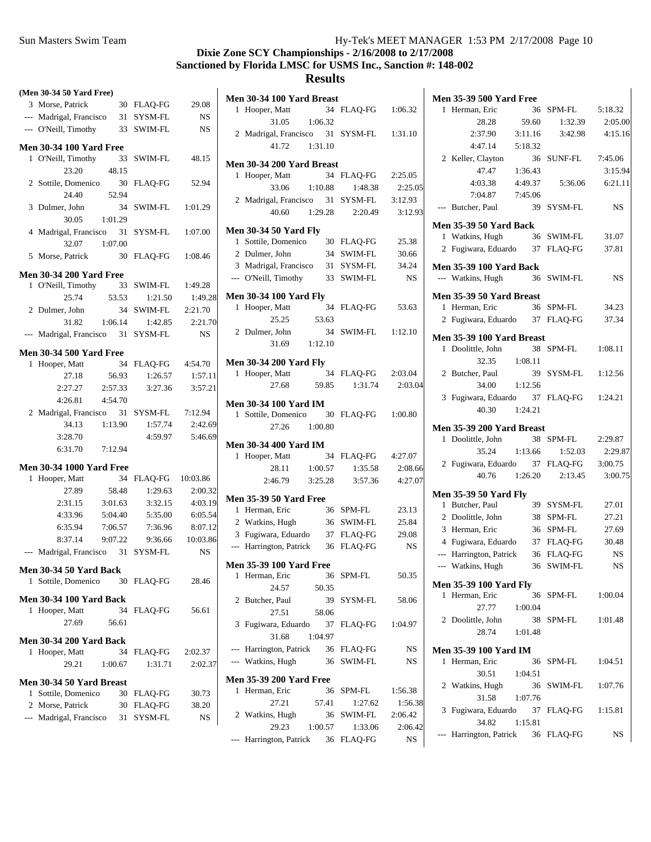| (Men 30-34 50 Yard Free)                         |         |                |           |
|--------------------------------------------------|---------|----------------|-----------|
| 3 Morse, Patrick                                 |         | 30 FLAO-FG     | 29.08     |
| --- Madrigal, Francisco 31 SYSM-FL               |         |                | <b>NS</b> |
| --- O'Neill, Timothy                             |         | 33 SWIM-FL     | <b>NS</b> |
| <b>Men 30-34 100 Yard Free</b>                   |         |                |           |
| 1 O'Neill, Timothy                               | 33      | SWIM-FL        | 48.15     |
| 23.20                                            | 48.15   |                |           |
| 2 Sottile, Domenico                              | 30      | <b>FLAQ-FG</b> | 52.94     |
| 24.40                                            | 52.94   |                |           |
| 3 Dulmer, John                                   | 34      | <b>SWIM-FL</b> | 1:01.29   |
| 30.05                                            | 1:01.29 |                |           |
| 4 Madrigal, Francisco 31 SYSM-FL                 |         |                | 1:07.00   |
| 32.07                                            | 1:07.00 |                |           |
| 5 Morse, Patrick                                 | 30      | <b>FLAQ-FG</b> | 1:08.46   |
| <b>Men 30-34 200 Yard Free</b>                   |         |                |           |
| 1 O'Neill, Timothy                               | 33      | SWIM-FL        | 1:49.28   |
| 25.74                                            | 53.53   | 1:21.50        | 1:49.28   |
| 2 Dulmer, John                                   |         | 34 SWIM-FL     | 2:21.70   |
| 31.82 1:06.14                                    |         | 1:42.85        | 2:21.70   |
| --- Madrigal, Francisco 31 SYSM-FL               |         |                | <b>NS</b> |
| <b>Men 30-34 500 Yard Free</b>                   |         |                |           |
| 1 Hooper, Matt                                   | 34      | FLAO-FG        | 4:54.70   |
| 27.18                                            | 56.93   | 1:26.57        | 1:57.11   |
| 2:27.27                                          | 2:57.33 | 3:27.36        | 3:57.21   |
| 4:26.81                                          | 4:54.70 |                |           |
| 2 Madrigal, Francisco 31 SYSM-FL                 |         |                | 7:12.94   |
| 34.13                                            | 1:13.90 | 1:57.74        | 2:42.69   |
| 3:28.70                                          |         | 4:59.97        | 5:46.69   |
| 6:31.70 7:12.94                                  |         |                |           |
| <b>Men 30-34 1000 Yard Free</b>                  |         |                |           |
| 1 Hooper, Matt                                   | 34      | FLAQ-FG        | 10:03.86  |
| 27.89                                            | 58.48   | 1:29.63        | 2:00.32   |
| 2:31.15                                          | 3:01.63 | 3:32.15        | 4:03.19   |
| 4:33.96                                          | 5:04.40 | 5:35.00        | 6:05.54   |
| 6:35.94                                          | 7:06.57 | 7:36.96        | 8:07.12   |
| 8:37.14                                          | 9:07.22 | 9:36.66        | 10:03.86  |
| --- Madrigal, Francisco 31 SYSM-FL               |         |                | <b>NS</b> |
|                                                  |         |                |           |
| Men 30-34 50 Yard Back<br>Sottile, Domenico<br>1 |         |                |           |
|                                                  |         | 30 FLAQ-FG     | 28.46     |
| <b>Men 30-34 100 Yard Back</b>                   |         |                |           |
| 1 Hooper, Matt                                   | 34      | FLAQ-FG        | 56.61     |
| 27.69                                            | 56.61   |                |           |
| <b>Men 30-34 200 Yard Back</b>                   |         |                |           |
| 1 Hooper, Matt                                   | 34      | FLAQ-FG        | 2:02.37   |
| 29.21                                            | 1:00.67 | 1:31.71        | 2:02.37   |
| Men 30-34 50 Yard Breast                         |         |                |           |
| 1 Sottile, Domenico                              |         | 30 FLAQ-FG     | 30.73     |
| 2 Morse, Patrick                                 |         | 30 FLAQ-FG     | 38.20     |
| --- Madrigal, Francisco                          |         | 31 SYSM-FL     | NS        |
|                                                  |         |                |           |

|                     | Men 30-34 100 Yard Breast          |                |           |
|---------------------|------------------------------------|----------------|-----------|
| 1                   | Hooper, Matt<br>34                 | FLAQ-FG        | 1:06.32   |
|                     | 31.05<br>1:06.32                   |                |           |
|                     | 2 Madrigal, Francisco 31 SYSM-FL   |                | 1:31.10   |
|                     | 41.72<br>1:31.10                   |                |           |
|                     | Men 30-34 200 Yard Breast          |                |           |
|                     | 34<br>1 Hooper, Matt               | FLAQ-FG        | 2:25.05   |
|                     | 33.06<br>1:10.88                   | 1:48.38        | 2:25.05   |
|                     | 2 Madrigal, Francisco 31           | SYSM-FL        | 3:12.93   |
|                     | 40.60<br>1:29.28                   | 2:20.49        | 3:12.93   |
|                     | <b>Men 30-34 50 Yard Fly</b>       |                |           |
| 1                   | Sottile, Domenico<br>30            | FLAQ-FG        | 25.38     |
|                     | 2 Dulmer, John<br>34               | <b>SWIM-FL</b> | 30.66     |
|                     | 3 Madrigal, Francisco<br>31        | SYSM-FL        | 34.24     |
|                     | --- O'Neill, Timothy<br>33         | <b>SWIM-FL</b> | <b>NS</b> |
|                     |                                    |                |           |
|                     | <b>Men 30-34 100 Yard Fly</b>      |                |           |
|                     | 34<br>1 Hooper, Matt               | FLAQ-FG        | 53.63     |
|                     | 25.25 53.63                        |                |           |
|                     | 34<br>2 Dulmer, John               | SWIM-FL        | 1:12.10   |
|                     | 31.69 1:12.10                      |                |           |
|                     | <b>Men 30-34 200 Yard Fly</b>      |                |           |
|                     | 1 Hooper, Matt<br>34               | FLAQ-FG        | 2:03.04   |
|                     | 27.68<br>59.85                     | 1:31.74        | 2:03.04   |
|                     | <b>Men 30-34 100 Yard IM</b>       |                |           |
|                     | 1 Sottile, Domenico<br>30          | FLAQ-FG        | 1:00.80   |
|                     | 1:00.80<br>27.26                   |                |           |
|                     |                                    |                |           |
|                     | <b>Men 30-34 400 Yard IM</b>       |                |           |
|                     | 1 Hooper, Matt<br>34               | FLAQ-FG        | 4:27.07   |
|                     | 1:00.57<br>28.11                   | 1:35.58        | 2:08.66   |
|                     | 3:25.28<br>2:46.79                 | 3:57.36        | 4:27.07   |
|                     | <b>Men 35-39 50 Yard Free</b>      |                |           |
|                     | 1 Herman, Eric<br>36               | SPM-FL         | 23.13     |
|                     | 2 Watkins, Hugh<br>36              | SWIM-FL        | 25.84     |
|                     | 3 Fugiwara, Eduardo<br>37          | FLAQ-FG        | 29.08     |
|                     | --- Harrington, Patrick<br>36      | <b>FLAQ-FG</b> | <b>NS</b> |
|                     | <b>Men 35-39 100 Yard Free</b>     |                |           |
| 1                   | Herman, Eric<br>36                 | SPM-FL         | 50.35     |
|                     | 24.57<br>50.35                     |                |           |
| 2                   | Butcher, Paul<br>39                | SYSM-FL        | 58.06     |
|                     | 27.51<br>58.06                     |                |           |
| $\mathfrak{Z}$      | Fugiwara, Eduardo<br>37            | FLAQ-FG        | 1:04.97   |
|                     | 31.68<br>1:04.97                   |                |           |
|                     | --- Harrington, Patrick 36 FLAQ-FG |                | NS        |
|                     | --- Watkins, Hugh<br>36            | SWIM-FL        | NS        |
|                     | <b>Men 35-39 200 Yard Free</b>     |                |           |
|                     | 1 Herman, Eric<br>36               | SPM-FL         | 1:56.38   |
|                     | 27.21<br>57.41                     | 1:27.62        | 1:56.38   |
| 2                   | Watkins, Hugh<br>36                | SWIM-FL        | 2:06.42   |
|                     | 29.23<br>1:00.57                   | 1:33.06        | 2:06.42   |
| $\qquad \qquad - -$ | Harrington, Patrick 36             | FLAQ-FG        | NS        |
|                     |                                    |                |           |

| <b>Men 35-39 500 Yard Free</b>                    |         |                |           |
|---------------------------------------------------|---------|----------------|-----------|
| 1 Herman, Eric                                    | 36      | SPM-FL         | 5:18.32   |
| 28.28                                             | 59.60   | 1:32.39        | 2:05.00   |
| 2:37.90                                           | 3:11.16 | 3:42.98        | 4:15.16   |
| 4:47.14                                           | 5:18.32 |                |           |
| 2 Keller, Clayton                                 | 36      | SUNF-FL        | 7:45.06   |
| 47.47                                             | 1:36.43 |                | 3:15.94   |
| 4:03.38                                           | 4:49.37 | 5:36.06        | 6:21.11   |
| 7:04.87                                           | 7:45.06 |                |           |
| --- Butcher, Paul                                 | 39      | <b>SYSM-FL</b> | <b>NS</b> |
| <b>Men 35-39 50 Yard Back</b>                     |         |                |           |
| 1 Watkins, Hugh                                   |         | 36 SWIM-FL     | 31.07     |
| 2 Fugiwara, Eduardo 37 FLAQ-FG                    |         |                | 37.81     |
| <b>Men 35-39 100 Yard Back</b>                    |         |                |           |
| --- Watkins, Hugh                                 | 36      | SWIM-FL        | <b>NS</b> |
| Men 35-39 50 Yard Breast                          |         |                |           |
| 1 Herman, Eric                                    |         | 36 SPM-FL      | 34.23     |
| 2 Fugiwara, Eduardo 37 FLAQ-FG                    |         |                | 37.34     |
| Men 35-39 100 Yard Breast                         |         |                |           |
| Doolittle, John<br>1                              | 38      | SPM-FL         | 1:08.11   |
| 32.35                                             | 1:08.11 |                |           |
| 2 Butcher, Paul                                   | 39      | SYSM-FL        | 1:12.56   |
| 34.00                                             | 1:12.56 |                |           |
| 3 Fugiwara, Eduardo                               |         | 37 FLAQ-FG     | 1:24.21   |
|                                                   |         |                |           |
| 40.30                                             | 1:24.21 |                |           |
|                                                   |         |                |           |
| Men 35-39 200 Yard Breast<br>Doolittle, John<br>1 |         | 38 SPM-FL      | 2:29.87   |
| 35.24                                             | 1:13.66 | 1:52.03        | 2:29.87   |
| 2 Fugiwara, Eduardo 37 FLAQ-FG                    |         |                | 3:00.75   |
| 40.76                                             | 1:26.20 | 2:13.45        | 3:00.75   |
|                                                   |         |                |           |
| <b>Men 35-39 50 Yard Fly</b><br>1 Butcher, Paul   |         | 39 SYSM-FL     | 27.01     |
| 2 Doolittle, John                                 |         | 38 SPM-FL      | 27.21     |
| 3 Herman, Eric                                    |         | 36 SPM-FL      | 27.69     |
| 4 Fugiwara, Eduardo                               |         | 37 FLAQ-FG     | 30.48     |
|                                                   | 36      | <b>FLAQ-FG</b> | <b>NS</b> |
| --- Harrington, Patrick<br>--- Watkins, Hugh      | 36      | SWIM-FL        | <b>NS</b> |
|                                                   |         |                |           |
| <b>Men 35-39 100 Yard Fly</b>                     |         |                |           |
| 1 Herman, Eric                                    | 36      | SPM-FL         | 1:00.04   |
| 27.77<br>2 Doolittle, John                        | 1:00.04 | 38 SPM-FL      | 1:01.48   |
| 28.74                                             | 1:01.48 |                |           |
|                                                   |         |                |           |
| <b>Men 35-39 100 Yard IM</b>                      |         |                |           |
| Herman, Eric<br>1                                 | 36      | SPM-FL         | 1:04.51   |
| 30.51                                             | 1:04.51 |                |           |
| 2 Watkins, Hugh                                   | 36      | SWIM-FL        | 1:07.76   |
| 31.58<br>3                                        | 1:07.76 |                |           |
| Fugiwara, Eduardo 37 FLAQ-FG<br>34.82             | 1:15.81 |                | 1:15.81   |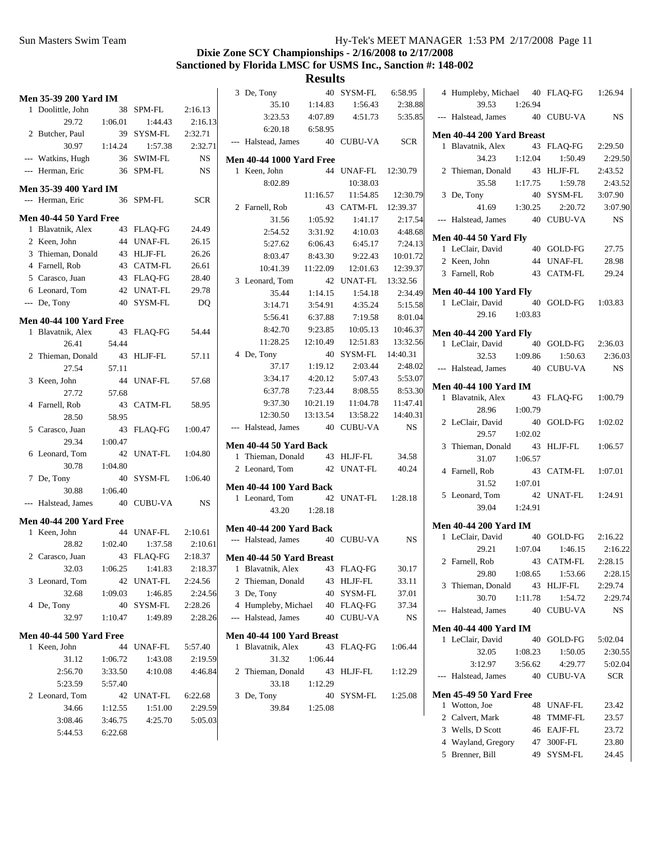### **Dixie Zone SCY Championships - 2/16/2008 to 2/17/2008 Sanctioned by Florida LMSC for USMS Inc., Sanction #: 148-002**

| <b>Men 35-39 200 Yard IM</b>   |         |            |            | 3 De, Tony                      |          | 40 SYSM-FL | 6:58.95    | 4 Humpleby, Michael 40 FLAQ-FG |         |            | 1:26.94    |
|--------------------------------|---------|------------|------------|---------------------------------|----------|------------|------------|--------------------------------|---------|------------|------------|
| 1 Doolittle, John              |         | 38 SPM-FL  | 2:16.13    | 35.10                           | 1:14.83  | 1:56.43    | 2:38.88    | 39.53                          | 1:26.94 |            |            |
| 29.72                          | 1:06.01 | 1:44.43    | 2:16.13    | 3:23.53                         | 4:07.89  | 4:51.73    | 5:35.85    | --- Halstead, James            |         | 40 CUBU-VA | <b>NS</b>  |
| 2 Butcher, Paul                |         | 39 SYSM-FL | 2:32.71    | 6:20.18                         | 6:58.95  |            |            | Men 40-44 200 Yard Breast      |         |            |            |
| 30.97                          | 1:14.24 | 1:57.38    | 2:32.71    | --- Halstead, James             |          | 40 CUBU-VA | <b>SCR</b> | 1 Blavatnik, Alex              |         | 43 FLAQ-FG | 2:29.50    |
| --- Watkins, Hugh              |         | 36 SWIM-FL | NS         | <b>Men 40-44 1000 Yard Free</b> |          |            |            | 34.23                          | 1:12.04 | 1:50.49    | 2:29.50    |
| --- Herman, Eric               |         | 36 SPM-FL  | NS.        | 1 Keen, John                    |          | 44 UNAF-FL | 12:30.79   | 2 Thieman, Donald              |         | 43 HLJF-FL | 2:43.52    |
|                                |         |            |            | 8:02.89                         |          | 10:38.03   |            | 35.58                          | 1:17.75 | 1:59.78    | 2:43.52    |
| <b>Men 35-39 400 Yard IM</b>   |         |            |            |                                 | 11:16.57 | 11:54.85   | 12:30.79   | 3 De, Tony                     |         | 40 SYSM-FL | 3:07.90    |
| --- Herman, Eric               |         | 36 SPM-FL  | <b>SCR</b> | 2 Farnell, Rob                  |          | 43 CATM-FL | 12:39.37   | 41.69                          | 1:30.25 | 2:20.72    | 3:07.90    |
| <b>Men 40-44 50 Yard Free</b>  |         |            |            | 31.56                           | 1:05.92  | 1:41.17    | 2:17.54    | --- Halstead, James            |         | 40 CUBU-VA | <b>NS</b>  |
| 1 Blavatnik, Alex              |         | 43 FLAQ-FG | 24.49      | 2:54.52                         | 3:31.92  | 4:10.03    | 4:48.68    |                                |         |            |            |
| 2 Keen, John                   |         | 44 UNAF-FL | 26.15      | 5:27.62                         | 6:06.43  | 6:45.17    | 7:24.13    | <b>Men 40-44 50 Yard Fly</b>   |         |            |            |
| 3 Thieman, Donald              |         | 43 HLJF-FL | 26.26      | 8:03.47                         | 8:43.30  | 9:22.43    | 10:01.72   | 1 LeClair, David               |         | 40 GOLD-FG | 27.75      |
| 4 Farnell, Rob                 |         | 43 CATM-FL | 26.61      | 10:41.39                        | 11:22.09 | 12:01.63   | 12:39.37   | 2 Keen, John                   |         | 44 UNAF-FL | 28.98      |
| 5 Carasco, Juan                |         | 43 FLAQ-FG | 28.40      | 3 Leonard, Tom                  |          | 42 UNAT-FL | 13:32.56   | 3 Farnell, Rob                 |         | 43 CATM-FL | 29.24      |
| 6 Leonard, Tom                 |         | 42 UNAT-FL | 29.78      | 35.44                           | 1:14.15  | 1:54.18    | 2:34.49    | <b>Men 40-44 100 Yard Fly</b>  |         |            |            |
| --- De, Tony                   |         | 40 SYSM-FL | DQ         | 3:14.71                         | 3:54.91  | 4:35.24    | 5:15.58    | 1 LeClair, David               |         | 40 GOLD-FG | 1:03.83    |
|                                |         |            |            | 5:56.41                         | 6:37.88  | 7:19.58    | 8:01.04    | 29.16                          | 1:03.83 |            |            |
| <b>Men 40-44 100 Yard Free</b> |         |            |            | 8:42.70                         | 9:23.85  | 10:05.13   | 10:46.37   |                                |         |            |            |
| 1 Blavatnik, Alex              |         | 43 FLAQ-FG | 54.44      | 11:28.25                        | 12:10.49 |            | 13:32.56   | <b>Men 40-44 200 Yard Fly</b>  |         |            |            |
| 26.41                          | 54.44   |            |            |                                 |          | 12:51.83   |            | 1 LeClair, David               |         | 40 GOLD-FG | 2:36.03    |
| 2 Thieman, Donald              |         | 43 HLJF-FL | 57.11      | 4 De, Tony<br>37.17             |          | 40 SYSM-FL | 14:40.31   | 32.53                          | 1:09.86 | 1:50.63    | 2:36.03    |
| 27.54                          | 57.11   |            |            |                                 | 1:19.12  | 2:03.44    | 2:48.02    | --- Halstead, James            |         | 40 CUBU-VA | <b>NS</b>  |
| 3 Keen, John                   |         | 44 UNAF-FL | 57.68      | 3:34.17                         | 4:20.12  | 5:07.43    | 5:53.07    | <b>Men 40-44 100 Yard IM</b>   |         |            |            |
| 27.72                          | 57.68   |            |            | 6:37.78                         | 7:23.44  | 8:08.55    | 8:53.30    | 1 Blavatnik, Alex              |         | 43 FLAQ-FG | 1:00.79    |
| 4 Farnell, Rob                 |         | 43 CATM-FL | 58.95      | 9:37.30                         | 10:21.19 | 11:04.78   | 11:47.41   | 28.96                          | 1:00.79 |            |            |
| 28.50                          | 58.95   |            |            | 12:30.50                        | 13:13.54 | 13:58.22   | 14:40.31   | 2 LeClair, David               |         | 40 GOLD-FG | 1:02.02    |
| 5 Carasco, Juan                |         | 43 FLAQ-FG | 1:00.47    | --- Halstead, James             |          | 40 CUBU-VA | <b>NS</b>  | 29.57                          | 1:02.02 |            |            |
| 29.34                          | 1:00.47 |            |            | Men 40-44 50 Yard Back          |          |            |            | 3 Thieman, Donald              |         | 43 HLJF-FL | 1:06.57    |
| 6 Leonard, Tom                 |         | 42 UNAT-FL | 1:04.80    | 1 Thieman, Donald               |          | 43 HLJF-FL | 34.58      | 31.07                          | 1:06.57 |            |            |
| 30.78                          | 1:04.80 |            |            | 2 Leonard, Tom                  |          | 42 UNAT-FL | 40.24      | 4 Farnell, Rob                 |         | 43 CATM-FL | 1:07.01    |
| 7 De, Tony                     |         | 40 SYSM-FL | 1:06.40    | <b>Men 40-44 100 Yard Back</b>  |          |            |            | 31.52                          | 1:07.01 |            |            |
| 30.88                          | 1:06.40 |            |            | 1 Leonard, Tom                  |          | 42 UNAT-FL | 1:28.18    | 5 Leonard, Tom                 |         | 42 UNAT-FL | 1:24.91    |
| --- Halstead, James            |         | 40 CUBU-VA | NS         | 43.20                           | 1:28.18  |            |            | 39.04                          | 1:24.91 |            |            |
| <b>Men 40-44 200 Yard Free</b> |         |            |            |                                 |          |            |            |                                |         |            |            |
| 1 Keen, John                   |         | 44 UNAF-FL | 2:10.61    | <b>Men 40-44 200 Yard Back</b>  |          |            |            | <b>Men 40-44 200 Yard IM</b>   |         |            |            |
| 28.82                          | 1:02.40 | 1:37.58    | 2:10.61    | --- Halstead, James             |          | 40 CUBU-VA | <b>NS</b>  | 1 LeClair, David               |         | 40 GOLD-FG | 2:16.22    |
| 2 Carasco, Juan                |         | 43 FLAQ-FG | 2:18.37    | Men 40-44 50 Yard Breast        |          |            |            | 29.21                          | 1:07.04 | 1:46.15    | 2:16.22    |
| 32.03                          | 1:06.25 | 1:41.83    | 2:18.37    | 1 Blavatnik, Alex               |          | 43 FLAQ-FG | 30.17      | 2 Farnell, Rob                 |         | 43 CATM-FL | 2:28.15    |
| 3 Leonard, Tom                 |         | 42 UNAT-FL | 2:24.56    | 2 Thieman, Donald               |          | 43 HLJF-FL | 33.11      | 29.80                          | 1:08.65 | 1:53.66    | 2:28.15    |
| 32.68                          | 1:09.03 | 1:46.85    | 2:24.56    | 3 De, Tony                      | 40       | SYSM-FL    | 37.01      | 3 Thieman, Donald              |         | 43 HLJF-FL | 2:29.74    |
| 4 De, Tony                     |         | 40 SYSM-FL | 2:28.26    | 4 Humpleby, Michael             |          | 40 FLAQ-FG | 37.34      | 30.70                          | 1:11.78 | 1:54.72    | 2:29.74    |
| 32.97                          | 1:10.47 | 1:49.89    | 2:28.26    | --- Halstead, James             |          | 40 CUBU-VA | NS         | --- Halstead, James            |         | 40 CUBU-VA | <b>NS</b>  |
|                                |         |            |            |                                 |          |            |            | <b>Men 40-44 400 Yard IM</b>   |         |            |            |
| <b>Men 40-44 500 Yard Free</b> |         |            |            | Men 40-44 100 Yard Breast       |          |            |            | 1 LeClair, David               |         | 40 GOLD-FG | 5:02.04    |
| 1 Keen, John                   |         | 44 UNAF-FL | 5:57.40    | 1 Blavatnik, Alex               |          | 43 FLAQ-FG | 1:06.44    | 32.05                          | 1:08.23 | 1:50.05    | 2:30.55    |
| 31.12                          | 1:06.72 | 1:43.08    | 2:19.59    | 31.32                           | 1:06.44  |            |            | 3:12.97                        | 3:56.62 | 4:29.77    | 5:02.04    |
| 2:56.70                        | 3:33.50 | 4:10.08    | 4:46.84    | 2 Thieman, Donald               |          | 43 HLJF-FL | 1:12.29    | --- Halstead, James            |         | 40 CUBU-VA | <b>SCR</b> |
| 5:23.59                        | 5:57.40 |            |            | 33.18                           | 1:12.29  |            |            |                                |         |            |            |
| 2 Leonard, Tom                 |         | 42 UNAT-FL | 6:22.68    | 3 De, Tony                      |          | 40 SYSM-FL | 1:25.08    | <b>Men 45-49 50 Yard Free</b>  |         |            |            |
| 34.66                          | 1:12.55 | 1:51.00    | 2:29.59    | 39.84                           | 1:25.08  |            |            | 1 Wotton, Joe                  |         | 48 UNAF-FL | 23.42      |
| 3:08.46                        | 3:46.75 | 4:25.70    | 5:05.03    |                                 |          |            |            | 2 Calvert, Mark                |         | 48 TMMF-FL | 23.57      |
| 5:44.53                        | 6:22.68 |            |            |                                 |          |            |            | 3 Wells, D Scott               |         | 46 EAJF-FL | 23.72      |
|                                |         |            |            |                                 |          |            |            | 4 Wayland, Gregory             |         | 47 300F-FL | 23.80      |
|                                |         |            |            |                                 |          |            |            | 5 Brenner, Bill                |         | 49 SYSM-FL | 24.45      |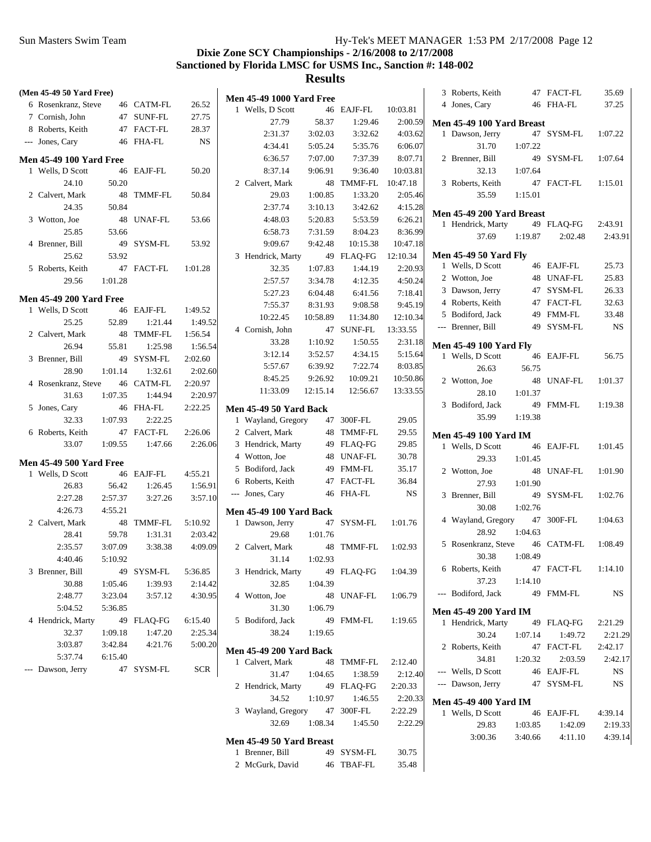## **Dixie Zone SCY Championships - 2/16/2008 to 2/17/2008 Sanctioned by Florida LMSC for USMS Inc., Sanction #: 148-002**

| 47 FACT-FL<br>(Men 45-49 50 Yard Free)<br>3 Roberts, Keith<br><b>Men 45-49 1000 Yard Free</b><br>46 CATM-FL<br>26.52<br>4 Jones, Cary<br>46 FHA-FL<br>6 Rosenkranz, Steve<br>46 EAJF-FL<br>10:03.81<br>1 Wells, D Scott<br>47 SUNF-FL<br>27.75<br>7 Cornish, John<br>58.37<br>27.79<br>1:29.46<br>2:00.59<br>Men 45-49 100 Yard Breast<br>28.37<br>8 Roberts, Keith<br>47 FACT-FL<br>4:03.62<br>2:31.37<br>3:02.03<br>3:32.62<br>47 SYSM-FL<br>1:07.22<br>1 Dawson, Jerry<br>$_{\rm NS}$<br>46 FHA-FL<br>--- Jones, Cary<br>5:05.24<br>6:06.07<br>31.70<br>1:07.22<br>4:34.41<br>5:35.76<br>8:07.71<br>7:07.00<br>7:37.39<br>2 Brenner, Bill<br>49 SYSM-FL<br>6:36.57<br><b>Men 45-49 100 Yard Free</b><br>1 Wells, D Scott<br>46 EAJF-FL<br>50.20<br>8:37.14<br>9:06.91<br>9:36.40<br>10:03.81<br>32.13<br>1:07.64<br>24.10<br>50.20<br>48 TMMF-FL<br>10:47.18<br>47 FACT-FL<br>2 Calvert, Mark<br>3 Roberts, Keith<br>1:00.85<br>1:33.20<br>2 Calvert, Mark<br>48 TMMF-FL<br>50.84<br>29.03<br>2:05.46<br>35.59<br>1:15.01<br>24.35<br>50.84<br>2:37.74<br>3:10.13<br>3:42.62<br>4:15.28<br>Men 45-49 200 Yard Breast<br>3 Wotton, Joe<br>48 UNAF-FL<br>4:48.03<br>5:20.83<br>5:53.59<br>6:26.21<br>53.66<br>1 Hendrick, Marty<br>49 FLAQ-FG<br>25.85<br>53.66<br>6:58.73<br>7:31.59<br>8:04.23<br>8:36.99<br>37.69<br>1:19.87<br>2:02.48<br>9:09.67<br>4 Brenner, Bill<br>49 SYSM-FL<br>53.92<br>9:42.48<br>10:15.38<br>10:47.18<br><b>Men 45-49 50 Yard Fly</b><br>25.62<br>53.92<br>49 FLAQ-FG<br>12:10.34<br>3 Hendrick, Marty<br>1 Wells, D Scott<br>46 EAJF-FL<br>1:07.83<br>5 Roberts, Keith<br>47 FACT-FL<br>1:01.28<br>32.35<br>1:44.19<br>2:20.93<br>2 Wotton, Joe<br>48 UNAF-FL<br>4:50.24<br>29.56<br>1:01.28<br>2:57.57<br>3:34.78<br>4:12.35<br>3 Dawson, Jerry<br>47 SYSM-FL<br>5:27.23<br>6:04.48<br>6:41.56<br>7:18.41<br><b>Men 45-49 200 Yard Free</b><br>47 FACT-FL<br>4 Roberts, Keith<br>9:08.58<br>7:55.37<br>8:31.93<br>9:45.19<br>1 Wells, D Scott<br>46 EAJF-FL<br>1:49.52<br>5 Bodiford, Jack<br>49 FMM-FL<br>10:58.89<br>12:10.34<br>10:22.45<br>11:34.80<br>25.25<br>52.89<br>1:21.44<br>1:49.52<br>--- Brenner, Bill<br>49 SYSM-FL<br>4 Cornish, John<br>47 SUNF-FL<br>13:33.55<br>1:56.54<br>2 Calvert, Mark<br>48 TMMF-FL<br>1:10.92<br>33.28<br>1:50.55<br>2:31.18<br><b>Men 45-49 100 Yard Fly</b><br>26.94<br>55.81<br>1:25.98<br>1:56.54<br>3:12.14<br>3:52.57<br>4:34.15<br>5:15.64<br>1 Wells, D Scott<br>46 EAJF-FL<br>3 Brenner, Bill<br>49 SYSM-FL<br>2:02.60<br>7:22.74<br>5:57.67<br>6:39.92<br>8:03.85<br>26.63<br>56.75<br>28.90<br>1:01.14<br>1:32.61<br>2:02.60<br>9:26.92<br>10:09.21<br>8:45.25<br>10:50.86<br>2 Wotton, Joe<br>48 UNAF-FL<br>4 Rosenkranz, Steve<br>46 CATM-FL<br>2:20.97<br>11:33.09<br>12:15.14<br>12:56.67<br>13:33.55<br>28.10<br>1:01.37<br>2:20.97<br>31.63<br>1:07.35<br>1:44.94<br>3 Bodiford, Jack<br>49 FMM-FL<br>5 Jones, Cary<br>46 FHA-FL<br>2:22.25<br><b>Men 45-49 50 Yard Back</b><br>35.99<br>1:19.38<br>1:07.93<br>2:22.25<br>32.33<br>47 300F-FL<br>29.05<br>1 Wayland, Gregory<br>6 Roberts, Keith<br>47 FACT-FL<br>2:26.06<br>2 Calvert, Mark<br>48 TMMF-FL<br>29.55<br><b>Men 45-49 100 Yard IM</b><br>33.07<br>1:09.55<br>1:47.66<br>2:26.06<br>29.85<br>3 Hendrick, Marty<br>49 FLAQ-FG<br>1 Wells, D Scott<br>46 EAJF-FL<br>1:01.45<br>30.78<br>4 Wotton, Joe<br>48<br>UNAF-FL<br>29.33<br>1:01.45<br><b>Men 45-49 500 Yard Free</b><br>5 Bodiford, Jack<br>49 FMM-FL<br>35.17<br>2 Wotton, Joe<br>48 UNAF-FL<br>1:01.90<br>1 Wells, D Scott<br>46 EAJF-FL<br>4:55.21<br>36.84<br>6 Roberts, Keith<br>47 FACT-FL<br>1:01.90<br>27.93<br>26.83<br>56.42<br>1:26.45<br>1:56.91<br>46 FHA-FL<br>NS<br>--- Jones, Cary<br>3 Brenner, Bill<br>49 SYSM-FL<br>3:27.26<br>3:57.10<br>2:27.28<br>2:57.37<br>1:02.76<br>30.08<br>4:26.73<br>4:55.21<br><b>Men 45-49 100 Yard Back</b><br>4 Wayland, Gregory<br>47 300F-FL<br>48 TMMF-FL<br>5:10.92<br>47 SYSM-FL<br>2 Calvert, Mark<br>1 Dawson, Jerry<br>1:01.76<br>28.92<br>1:04.63<br>1:01.76<br>28.41<br>59.78<br>1:31.31<br>2:03.42<br>29.68<br>5 Rosenkranz, Steve<br>46 CATM-FL<br>3:38.38<br>2:35.57<br>3:07.09<br>4:09.09<br>2 Calvert, Mark<br>48 TMMF-FL<br>1:02.93<br>30.38<br>1:08.49<br>5:10.92<br>1:02.93<br>4:40.46<br>31.14<br>6 Roberts, Keith<br>47 FACT-FL<br>49 SYSM-FL<br>5:36.85<br>49 FLAQ-FG<br>1:04.39<br>3 Brenner, Bill<br>3 Hendrick, Marty<br>37.23<br>1:14.10<br>30.88<br>32.85<br>1:05.46<br>1:39.93<br>2:14.42<br>1:04.39<br>--- Bodiford, Jack<br>49 FMM-FL<br>2:48.77<br>3:57.12<br>4:30.95<br>4 Wotton, Joe<br>48 UNAF-FL<br>1:06.79<br>3:23.04<br>5:04.52<br>5:36.85<br>31.30<br>1:06.79<br><b>Men 45-49 200 Yard IM</b><br>4 Hendrick, Marty<br>49 FLAQ-FG<br>5 Bodiford, Jack<br>1:19.65<br>6:15.40<br>49 FMM-FL<br>49 FLAQ-FG<br>1 Hendrick, Marty<br>32.37<br>1:47.20<br>38.24<br>1:09.18<br>2:25.34<br>1:19.65<br>30.24<br>1:07.14<br>1:49.72<br>3:03.87<br>3:42.84<br>4:21.76<br>5:00.20<br>2 Roberts, Keith<br>47 FACT-FL<br><b>Men 45-49 200 Yard Back</b><br>5:37.74<br>6:15.40<br>34.81<br>1:20.32<br>2:03.59<br>48 TMMF-FL<br>2:12.40<br>1 Calvert, Mark<br>--- Dawson, Jerry<br>47 SYSM-FL<br><b>SCR</b><br>--- Wells, D Scott<br>46 EAJF-FL<br>31.47<br>1:38.59<br>1:04.65<br>2:12.40<br>--- Dawson, Jerry<br>47 SYSM-FL<br>2:20.33<br>2 Hendrick, Marty<br>49 FLAQ-FG<br>34.52<br>1:10.97<br>1:46.55<br>2:20.33<br>Men 45-49 400 Yard IM<br>3 Wayland, Gregory<br>47 300F-FL<br>2:22.29<br>1 Wells, D Scott<br>46 EAJF-FL<br>32.69<br>1:08.34<br>2:22.29<br>1:45.50<br>29.83<br>1:42.09<br>1:03.85<br>3:00.36<br>3:40.66<br>4:11.10<br>Men 45-49 50 Yard Breast<br>1 Brenner, Bill<br>49 SYSM-FL<br>30.75<br>35.48<br>2 McGurk, David<br>46 TBAF-FL |  |  |  |  |  |  |         |
|-------------------------------------------------------------------------------------------------------------------------------------------------------------------------------------------------------------------------------------------------------------------------------------------------------------------------------------------------------------------------------------------------------------------------------------------------------------------------------------------------------------------------------------------------------------------------------------------------------------------------------------------------------------------------------------------------------------------------------------------------------------------------------------------------------------------------------------------------------------------------------------------------------------------------------------------------------------------------------------------------------------------------------------------------------------------------------------------------------------------------------------------------------------------------------------------------------------------------------------------------------------------------------------------------------------------------------------------------------------------------------------------------------------------------------------------------------------------------------------------------------------------------------------------------------------------------------------------------------------------------------------------------------------------------------------------------------------------------------------------------------------------------------------------------------------------------------------------------------------------------------------------------------------------------------------------------------------------------------------------------------------------------------------------------------------------------------------------------------------------------------------------------------------------------------------------------------------------------------------------------------------------------------------------------------------------------------------------------------------------------------------------------------------------------------------------------------------------------------------------------------------------------------------------------------------------------------------------------------------------------------------------------------------------------------------------------------------------------------------------------------------------------------------------------------------------------------------------------------------------------------------------------------------------------------------------------------------------------------------------------------------------------------------------------------------------------------------------------------------------------------------------------------------------------------------------------------------------------------------------------------------------------------------------------------------------------------------------------------------------------------------------------------------------------------------------------------------------------------------------------------------------------------------------------------------------------------------------------------------------------------------------------------------------------------------------------------------------------------------------------------------------------------------------------------------------------------------------------------------------------------------------------------------------------------------------------------------------------------------------------------------------------------------------------------------------------------------------------------------------------------------------------------------------------------------------------------------------------------------------------------------------------------------------------------------------------------------------------------------------------------------------------------------------------------------------------------------------------------------------------------------------------------------------------------------------------------------------------------------------------------------------------------------------------------------------------------------------------------------------------------------------------------------------------------------------------------------------------------------------------------------------------------------------------------------------------------------------------------------------------------------------------------------------------------------------------------------------------------------------------------------------------------------------------------------------------------------------------------------------------------------------------------------------------------------------------------------------------------------------------------------------------------------------------------------------------------------------------------------------------------------------------------------------------------------------------------------------------------------------------------------------------------------------------------------------------------------------------------------------|--|--|--|--|--|--|---------|
|                                                                                                                                                                                                                                                                                                                                                                                                                                                                                                                                                                                                                                                                                                                                                                                                                                                                                                                                                                                                                                                                                                                                                                                                                                                                                                                                                                                                                                                                                                                                                                                                                                                                                                                                                                                                                                                                                                                                                                                                                                                                                                                                                                                                                                                                                                                                                                                                                                                                                                                                                                                                                                                                                                                                                                                                                                                                                                                                                                                                                                                                                                                                                                                                                                                                                                                                                                                                                                                                                                                                                                                                                                                                                                                                                                                                                                                                                                                                                                                                                                                                                                                                                                                                                                                                                                                                                                                                                                                                                                                                                                                                                                                                                                                                                                                                                                                                                                                                                                                                                                                                                                                                                                                                                                                                                                                                                                                                                                                                                                                                                                                                                                                                                                                                           |  |  |  |  |  |  | 35.69   |
|                                                                                                                                                                                                                                                                                                                                                                                                                                                                                                                                                                                                                                                                                                                                                                                                                                                                                                                                                                                                                                                                                                                                                                                                                                                                                                                                                                                                                                                                                                                                                                                                                                                                                                                                                                                                                                                                                                                                                                                                                                                                                                                                                                                                                                                                                                                                                                                                                                                                                                                                                                                                                                                                                                                                                                                                                                                                                                                                                                                                                                                                                                                                                                                                                                                                                                                                                                                                                                                                                                                                                                                                                                                                                                                                                                                                                                                                                                                                                                                                                                                                                                                                                                                                                                                                                                                                                                                                                                                                                                                                                                                                                                                                                                                                                                                                                                                                                                                                                                                                                                                                                                                                                                                                                                                                                                                                                                                                                                                                                                                                                                                                                                                                                                                                           |  |  |  |  |  |  | 37.25   |
|                                                                                                                                                                                                                                                                                                                                                                                                                                                                                                                                                                                                                                                                                                                                                                                                                                                                                                                                                                                                                                                                                                                                                                                                                                                                                                                                                                                                                                                                                                                                                                                                                                                                                                                                                                                                                                                                                                                                                                                                                                                                                                                                                                                                                                                                                                                                                                                                                                                                                                                                                                                                                                                                                                                                                                                                                                                                                                                                                                                                                                                                                                                                                                                                                                                                                                                                                                                                                                                                                                                                                                                                                                                                                                                                                                                                                                                                                                                                                                                                                                                                                                                                                                                                                                                                                                                                                                                                                                                                                                                                                                                                                                                                                                                                                                                                                                                                                                                                                                                                                                                                                                                                                                                                                                                                                                                                                                                                                                                                                                                                                                                                                                                                                                                                           |  |  |  |  |  |  |         |
|                                                                                                                                                                                                                                                                                                                                                                                                                                                                                                                                                                                                                                                                                                                                                                                                                                                                                                                                                                                                                                                                                                                                                                                                                                                                                                                                                                                                                                                                                                                                                                                                                                                                                                                                                                                                                                                                                                                                                                                                                                                                                                                                                                                                                                                                                                                                                                                                                                                                                                                                                                                                                                                                                                                                                                                                                                                                                                                                                                                                                                                                                                                                                                                                                                                                                                                                                                                                                                                                                                                                                                                                                                                                                                                                                                                                                                                                                                                                                                                                                                                                                                                                                                                                                                                                                                                                                                                                                                                                                                                                                                                                                                                                                                                                                                                                                                                                                                                                                                                                                                                                                                                                                                                                                                                                                                                                                                                                                                                                                                                                                                                                                                                                                                                                           |  |  |  |  |  |  |         |
|                                                                                                                                                                                                                                                                                                                                                                                                                                                                                                                                                                                                                                                                                                                                                                                                                                                                                                                                                                                                                                                                                                                                                                                                                                                                                                                                                                                                                                                                                                                                                                                                                                                                                                                                                                                                                                                                                                                                                                                                                                                                                                                                                                                                                                                                                                                                                                                                                                                                                                                                                                                                                                                                                                                                                                                                                                                                                                                                                                                                                                                                                                                                                                                                                                                                                                                                                                                                                                                                                                                                                                                                                                                                                                                                                                                                                                                                                                                                                                                                                                                                                                                                                                                                                                                                                                                                                                                                                                                                                                                                                                                                                                                                                                                                                                                                                                                                                                                                                                                                                                                                                                                                                                                                                                                                                                                                                                                                                                                                                                                                                                                                                                                                                                                                           |  |  |  |  |  |  |         |
|                                                                                                                                                                                                                                                                                                                                                                                                                                                                                                                                                                                                                                                                                                                                                                                                                                                                                                                                                                                                                                                                                                                                                                                                                                                                                                                                                                                                                                                                                                                                                                                                                                                                                                                                                                                                                                                                                                                                                                                                                                                                                                                                                                                                                                                                                                                                                                                                                                                                                                                                                                                                                                                                                                                                                                                                                                                                                                                                                                                                                                                                                                                                                                                                                                                                                                                                                                                                                                                                                                                                                                                                                                                                                                                                                                                                                                                                                                                                                                                                                                                                                                                                                                                                                                                                                                                                                                                                                                                                                                                                                                                                                                                                                                                                                                                                                                                                                                                                                                                                                                                                                                                                                                                                                                                                                                                                                                                                                                                                                                                                                                                                                                                                                                                                           |  |  |  |  |  |  |         |
|                                                                                                                                                                                                                                                                                                                                                                                                                                                                                                                                                                                                                                                                                                                                                                                                                                                                                                                                                                                                                                                                                                                                                                                                                                                                                                                                                                                                                                                                                                                                                                                                                                                                                                                                                                                                                                                                                                                                                                                                                                                                                                                                                                                                                                                                                                                                                                                                                                                                                                                                                                                                                                                                                                                                                                                                                                                                                                                                                                                                                                                                                                                                                                                                                                                                                                                                                                                                                                                                                                                                                                                                                                                                                                                                                                                                                                                                                                                                                                                                                                                                                                                                                                                                                                                                                                                                                                                                                                                                                                                                                                                                                                                                                                                                                                                                                                                                                                                                                                                                                                                                                                                                                                                                                                                                                                                                                                                                                                                                                                                                                                                                                                                                                                                                           |  |  |  |  |  |  | 1:07.64 |
|                                                                                                                                                                                                                                                                                                                                                                                                                                                                                                                                                                                                                                                                                                                                                                                                                                                                                                                                                                                                                                                                                                                                                                                                                                                                                                                                                                                                                                                                                                                                                                                                                                                                                                                                                                                                                                                                                                                                                                                                                                                                                                                                                                                                                                                                                                                                                                                                                                                                                                                                                                                                                                                                                                                                                                                                                                                                                                                                                                                                                                                                                                                                                                                                                                                                                                                                                                                                                                                                                                                                                                                                                                                                                                                                                                                                                                                                                                                                                                                                                                                                                                                                                                                                                                                                                                                                                                                                                                                                                                                                                                                                                                                                                                                                                                                                                                                                                                                                                                                                                                                                                                                                                                                                                                                                                                                                                                                                                                                                                                                                                                                                                                                                                                                                           |  |  |  |  |  |  |         |
|                                                                                                                                                                                                                                                                                                                                                                                                                                                                                                                                                                                                                                                                                                                                                                                                                                                                                                                                                                                                                                                                                                                                                                                                                                                                                                                                                                                                                                                                                                                                                                                                                                                                                                                                                                                                                                                                                                                                                                                                                                                                                                                                                                                                                                                                                                                                                                                                                                                                                                                                                                                                                                                                                                                                                                                                                                                                                                                                                                                                                                                                                                                                                                                                                                                                                                                                                                                                                                                                                                                                                                                                                                                                                                                                                                                                                                                                                                                                                                                                                                                                                                                                                                                                                                                                                                                                                                                                                                                                                                                                                                                                                                                                                                                                                                                                                                                                                                                                                                                                                                                                                                                                                                                                                                                                                                                                                                                                                                                                                                                                                                                                                                                                                                                                           |  |  |  |  |  |  | 1:15.01 |
|                                                                                                                                                                                                                                                                                                                                                                                                                                                                                                                                                                                                                                                                                                                                                                                                                                                                                                                                                                                                                                                                                                                                                                                                                                                                                                                                                                                                                                                                                                                                                                                                                                                                                                                                                                                                                                                                                                                                                                                                                                                                                                                                                                                                                                                                                                                                                                                                                                                                                                                                                                                                                                                                                                                                                                                                                                                                                                                                                                                                                                                                                                                                                                                                                                                                                                                                                                                                                                                                                                                                                                                                                                                                                                                                                                                                                                                                                                                                                                                                                                                                                                                                                                                                                                                                                                                                                                                                                                                                                                                                                                                                                                                                                                                                                                                                                                                                                                                                                                                                                                                                                                                                                                                                                                                                                                                                                                                                                                                                                                                                                                                                                                                                                                                                           |  |  |  |  |  |  |         |
|                                                                                                                                                                                                                                                                                                                                                                                                                                                                                                                                                                                                                                                                                                                                                                                                                                                                                                                                                                                                                                                                                                                                                                                                                                                                                                                                                                                                                                                                                                                                                                                                                                                                                                                                                                                                                                                                                                                                                                                                                                                                                                                                                                                                                                                                                                                                                                                                                                                                                                                                                                                                                                                                                                                                                                                                                                                                                                                                                                                                                                                                                                                                                                                                                                                                                                                                                                                                                                                                                                                                                                                                                                                                                                                                                                                                                                                                                                                                                                                                                                                                                                                                                                                                                                                                                                                                                                                                                                                                                                                                                                                                                                                                                                                                                                                                                                                                                                                                                                                                                                                                                                                                                                                                                                                                                                                                                                                                                                                                                                                                                                                                                                                                                                                                           |  |  |  |  |  |  |         |
|                                                                                                                                                                                                                                                                                                                                                                                                                                                                                                                                                                                                                                                                                                                                                                                                                                                                                                                                                                                                                                                                                                                                                                                                                                                                                                                                                                                                                                                                                                                                                                                                                                                                                                                                                                                                                                                                                                                                                                                                                                                                                                                                                                                                                                                                                                                                                                                                                                                                                                                                                                                                                                                                                                                                                                                                                                                                                                                                                                                                                                                                                                                                                                                                                                                                                                                                                                                                                                                                                                                                                                                                                                                                                                                                                                                                                                                                                                                                                                                                                                                                                                                                                                                                                                                                                                                                                                                                                                                                                                                                                                                                                                                                                                                                                                                                                                                                                                                                                                                                                                                                                                                                                                                                                                                                                                                                                                                                                                                                                                                                                                                                                                                                                                                                           |  |  |  |  |  |  | 2:43.91 |
|                                                                                                                                                                                                                                                                                                                                                                                                                                                                                                                                                                                                                                                                                                                                                                                                                                                                                                                                                                                                                                                                                                                                                                                                                                                                                                                                                                                                                                                                                                                                                                                                                                                                                                                                                                                                                                                                                                                                                                                                                                                                                                                                                                                                                                                                                                                                                                                                                                                                                                                                                                                                                                                                                                                                                                                                                                                                                                                                                                                                                                                                                                                                                                                                                                                                                                                                                                                                                                                                                                                                                                                                                                                                                                                                                                                                                                                                                                                                                                                                                                                                                                                                                                                                                                                                                                                                                                                                                                                                                                                                                                                                                                                                                                                                                                                                                                                                                                                                                                                                                                                                                                                                                                                                                                                                                                                                                                                                                                                                                                                                                                                                                                                                                                                                           |  |  |  |  |  |  | 2:43.91 |
|                                                                                                                                                                                                                                                                                                                                                                                                                                                                                                                                                                                                                                                                                                                                                                                                                                                                                                                                                                                                                                                                                                                                                                                                                                                                                                                                                                                                                                                                                                                                                                                                                                                                                                                                                                                                                                                                                                                                                                                                                                                                                                                                                                                                                                                                                                                                                                                                                                                                                                                                                                                                                                                                                                                                                                                                                                                                                                                                                                                                                                                                                                                                                                                                                                                                                                                                                                                                                                                                                                                                                                                                                                                                                                                                                                                                                                                                                                                                                                                                                                                                                                                                                                                                                                                                                                                                                                                                                                                                                                                                                                                                                                                                                                                                                                                                                                                                                                                                                                                                                                                                                                                                                                                                                                                                                                                                                                                                                                                                                                                                                                                                                                                                                                                                           |  |  |  |  |  |  |         |
|                                                                                                                                                                                                                                                                                                                                                                                                                                                                                                                                                                                                                                                                                                                                                                                                                                                                                                                                                                                                                                                                                                                                                                                                                                                                                                                                                                                                                                                                                                                                                                                                                                                                                                                                                                                                                                                                                                                                                                                                                                                                                                                                                                                                                                                                                                                                                                                                                                                                                                                                                                                                                                                                                                                                                                                                                                                                                                                                                                                                                                                                                                                                                                                                                                                                                                                                                                                                                                                                                                                                                                                                                                                                                                                                                                                                                                                                                                                                                                                                                                                                                                                                                                                                                                                                                                                                                                                                                                                                                                                                                                                                                                                                                                                                                                                                                                                                                                                                                                                                                                                                                                                                                                                                                                                                                                                                                                                                                                                                                                                                                                                                                                                                                                                                           |  |  |  |  |  |  |         |
|                                                                                                                                                                                                                                                                                                                                                                                                                                                                                                                                                                                                                                                                                                                                                                                                                                                                                                                                                                                                                                                                                                                                                                                                                                                                                                                                                                                                                                                                                                                                                                                                                                                                                                                                                                                                                                                                                                                                                                                                                                                                                                                                                                                                                                                                                                                                                                                                                                                                                                                                                                                                                                                                                                                                                                                                                                                                                                                                                                                                                                                                                                                                                                                                                                                                                                                                                                                                                                                                                                                                                                                                                                                                                                                                                                                                                                                                                                                                                                                                                                                                                                                                                                                                                                                                                                                                                                                                                                                                                                                                                                                                                                                                                                                                                                                                                                                                                                                                                                                                                                                                                                                                                                                                                                                                                                                                                                                                                                                                                                                                                                                                                                                                                                                                           |  |  |  |  |  |  | 25.73   |
|                                                                                                                                                                                                                                                                                                                                                                                                                                                                                                                                                                                                                                                                                                                                                                                                                                                                                                                                                                                                                                                                                                                                                                                                                                                                                                                                                                                                                                                                                                                                                                                                                                                                                                                                                                                                                                                                                                                                                                                                                                                                                                                                                                                                                                                                                                                                                                                                                                                                                                                                                                                                                                                                                                                                                                                                                                                                                                                                                                                                                                                                                                                                                                                                                                                                                                                                                                                                                                                                                                                                                                                                                                                                                                                                                                                                                                                                                                                                                                                                                                                                                                                                                                                                                                                                                                                                                                                                                                                                                                                                                                                                                                                                                                                                                                                                                                                                                                                                                                                                                                                                                                                                                                                                                                                                                                                                                                                                                                                                                                                                                                                                                                                                                                                                           |  |  |  |  |  |  | 25.83   |
|                                                                                                                                                                                                                                                                                                                                                                                                                                                                                                                                                                                                                                                                                                                                                                                                                                                                                                                                                                                                                                                                                                                                                                                                                                                                                                                                                                                                                                                                                                                                                                                                                                                                                                                                                                                                                                                                                                                                                                                                                                                                                                                                                                                                                                                                                                                                                                                                                                                                                                                                                                                                                                                                                                                                                                                                                                                                                                                                                                                                                                                                                                                                                                                                                                                                                                                                                                                                                                                                                                                                                                                                                                                                                                                                                                                                                                                                                                                                                                                                                                                                                                                                                                                                                                                                                                                                                                                                                                                                                                                                                                                                                                                                                                                                                                                                                                                                                                                                                                                                                                                                                                                                                                                                                                                                                                                                                                                                                                                                                                                                                                                                                                                                                                                                           |  |  |  |  |  |  | 26.33   |
|                                                                                                                                                                                                                                                                                                                                                                                                                                                                                                                                                                                                                                                                                                                                                                                                                                                                                                                                                                                                                                                                                                                                                                                                                                                                                                                                                                                                                                                                                                                                                                                                                                                                                                                                                                                                                                                                                                                                                                                                                                                                                                                                                                                                                                                                                                                                                                                                                                                                                                                                                                                                                                                                                                                                                                                                                                                                                                                                                                                                                                                                                                                                                                                                                                                                                                                                                                                                                                                                                                                                                                                                                                                                                                                                                                                                                                                                                                                                                                                                                                                                                                                                                                                                                                                                                                                                                                                                                                                                                                                                                                                                                                                                                                                                                                                                                                                                                                                                                                                                                                                                                                                                                                                                                                                                                                                                                                                                                                                                                                                                                                                                                                                                                                                                           |  |  |  |  |  |  | 32.63   |
|                                                                                                                                                                                                                                                                                                                                                                                                                                                                                                                                                                                                                                                                                                                                                                                                                                                                                                                                                                                                                                                                                                                                                                                                                                                                                                                                                                                                                                                                                                                                                                                                                                                                                                                                                                                                                                                                                                                                                                                                                                                                                                                                                                                                                                                                                                                                                                                                                                                                                                                                                                                                                                                                                                                                                                                                                                                                                                                                                                                                                                                                                                                                                                                                                                                                                                                                                                                                                                                                                                                                                                                                                                                                                                                                                                                                                                                                                                                                                                                                                                                                                                                                                                                                                                                                                                                                                                                                                                                                                                                                                                                                                                                                                                                                                                                                                                                                                                                                                                                                                                                                                                                                                                                                                                                                                                                                                                                                                                                                                                                                                                                                                                                                                                                                           |  |  |  |  |  |  | 33.48   |
|                                                                                                                                                                                                                                                                                                                                                                                                                                                                                                                                                                                                                                                                                                                                                                                                                                                                                                                                                                                                                                                                                                                                                                                                                                                                                                                                                                                                                                                                                                                                                                                                                                                                                                                                                                                                                                                                                                                                                                                                                                                                                                                                                                                                                                                                                                                                                                                                                                                                                                                                                                                                                                                                                                                                                                                                                                                                                                                                                                                                                                                                                                                                                                                                                                                                                                                                                                                                                                                                                                                                                                                                                                                                                                                                                                                                                                                                                                                                                                                                                                                                                                                                                                                                                                                                                                                                                                                                                                                                                                                                                                                                                                                                                                                                                                                                                                                                                                                                                                                                                                                                                                                                                                                                                                                                                                                                                                                                                                                                                                                                                                                                                                                                                                                                           |  |  |  |  |  |  | NS      |
|                                                                                                                                                                                                                                                                                                                                                                                                                                                                                                                                                                                                                                                                                                                                                                                                                                                                                                                                                                                                                                                                                                                                                                                                                                                                                                                                                                                                                                                                                                                                                                                                                                                                                                                                                                                                                                                                                                                                                                                                                                                                                                                                                                                                                                                                                                                                                                                                                                                                                                                                                                                                                                                                                                                                                                                                                                                                                                                                                                                                                                                                                                                                                                                                                                                                                                                                                                                                                                                                                                                                                                                                                                                                                                                                                                                                                                                                                                                                                                                                                                                                                                                                                                                                                                                                                                                                                                                                                                                                                                                                                                                                                                                                                                                                                                                                                                                                                                                                                                                                                                                                                                                                                                                                                                                                                                                                                                                                                                                                                                                                                                                                                                                                                                                                           |  |  |  |  |  |  |         |
|                                                                                                                                                                                                                                                                                                                                                                                                                                                                                                                                                                                                                                                                                                                                                                                                                                                                                                                                                                                                                                                                                                                                                                                                                                                                                                                                                                                                                                                                                                                                                                                                                                                                                                                                                                                                                                                                                                                                                                                                                                                                                                                                                                                                                                                                                                                                                                                                                                                                                                                                                                                                                                                                                                                                                                                                                                                                                                                                                                                                                                                                                                                                                                                                                                                                                                                                                                                                                                                                                                                                                                                                                                                                                                                                                                                                                                                                                                                                                                                                                                                                                                                                                                                                                                                                                                                                                                                                                                                                                                                                                                                                                                                                                                                                                                                                                                                                                                                                                                                                                                                                                                                                                                                                                                                                                                                                                                                                                                                                                                                                                                                                                                                                                                                                           |  |  |  |  |  |  |         |
|                                                                                                                                                                                                                                                                                                                                                                                                                                                                                                                                                                                                                                                                                                                                                                                                                                                                                                                                                                                                                                                                                                                                                                                                                                                                                                                                                                                                                                                                                                                                                                                                                                                                                                                                                                                                                                                                                                                                                                                                                                                                                                                                                                                                                                                                                                                                                                                                                                                                                                                                                                                                                                                                                                                                                                                                                                                                                                                                                                                                                                                                                                                                                                                                                                                                                                                                                                                                                                                                                                                                                                                                                                                                                                                                                                                                                                                                                                                                                                                                                                                                                                                                                                                                                                                                                                                                                                                                                                                                                                                                                                                                                                                                                                                                                                                                                                                                                                                                                                                                                                                                                                                                                                                                                                                                                                                                                                                                                                                                                                                                                                                                                                                                                                                                           |  |  |  |  |  |  | 56.75   |
|                                                                                                                                                                                                                                                                                                                                                                                                                                                                                                                                                                                                                                                                                                                                                                                                                                                                                                                                                                                                                                                                                                                                                                                                                                                                                                                                                                                                                                                                                                                                                                                                                                                                                                                                                                                                                                                                                                                                                                                                                                                                                                                                                                                                                                                                                                                                                                                                                                                                                                                                                                                                                                                                                                                                                                                                                                                                                                                                                                                                                                                                                                                                                                                                                                                                                                                                                                                                                                                                                                                                                                                                                                                                                                                                                                                                                                                                                                                                                                                                                                                                                                                                                                                                                                                                                                                                                                                                                                                                                                                                                                                                                                                                                                                                                                                                                                                                                                                                                                                                                                                                                                                                                                                                                                                                                                                                                                                                                                                                                                                                                                                                                                                                                                                                           |  |  |  |  |  |  |         |
|                                                                                                                                                                                                                                                                                                                                                                                                                                                                                                                                                                                                                                                                                                                                                                                                                                                                                                                                                                                                                                                                                                                                                                                                                                                                                                                                                                                                                                                                                                                                                                                                                                                                                                                                                                                                                                                                                                                                                                                                                                                                                                                                                                                                                                                                                                                                                                                                                                                                                                                                                                                                                                                                                                                                                                                                                                                                                                                                                                                                                                                                                                                                                                                                                                                                                                                                                                                                                                                                                                                                                                                                                                                                                                                                                                                                                                                                                                                                                                                                                                                                                                                                                                                                                                                                                                                                                                                                                                                                                                                                                                                                                                                                                                                                                                                                                                                                                                                                                                                                                                                                                                                                                                                                                                                                                                                                                                                                                                                                                                                                                                                                                                                                                                                                           |  |  |  |  |  |  | 1:01.37 |
|                                                                                                                                                                                                                                                                                                                                                                                                                                                                                                                                                                                                                                                                                                                                                                                                                                                                                                                                                                                                                                                                                                                                                                                                                                                                                                                                                                                                                                                                                                                                                                                                                                                                                                                                                                                                                                                                                                                                                                                                                                                                                                                                                                                                                                                                                                                                                                                                                                                                                                                                                                                                                                                                                                                                                                                                                                                                                                                                                                                                                                                                                                                                                                                                                                                                                                                                                                                                                                                                                                                                                                                                                                                                                                                                                                                                                                                                                                                                                                                                                                                                                                                                                                                                                                                                                                                                                                                                                                                                                                                                                                                                                                                                                                                                                                                                                                                                                                                                                                                                                                                                                                                                                                                                                                                                                                                                                                                                                                                                                                                                                                                                                                                                                                                                           |  |  |  |  |  |  |         |
|                                                                                                                                                                                                                                                                                                                                                                                                                                                                                                                                                                                                                                                                                                                                                                                                                                                                                                                                                                                                                                                                                                                                                                                                                                                                                                                                                                                                                                                                                                                                                                                                                                                                                                                                                                                                                                                                                                                                                                                                                                                                                                                                                                                                                                                                                                                                                                                                                                                                                                                                                                                                                                                                                                                                                                                                                                                                                                                                                                                                                                                                                                                                                                                                                                                                                                                                                                                                                                                                                                                                                                                                                                                                                                                                                                                                                                                                                                                                                                                                                                                                                                                                                                                                                                                                                                                                                                                                                                                                                                                                                                                                                                                                                                                                                                                                                                                                                                                                                                                                                                                                                                                                                                                                                                                                                                                                                                                                                                                                                                                                                                                                                                                                                                                                           |  |  |  |  |  |  | 1:19.38 |
|                                                                                                                                                                                                                                                                                                                                                                                                                                                                                                                                                                                                                                                                                                                                                                                                                                                                                                                                                                                                                                                                                                                                                                                                                                                                                                                                                                                                                                                                                                                                                                                                                                                                                                                                                                                                                                                                                                                                                                                                                                                                                                                                                                                                                                                                                                                                                                                                                                                                                                                                                                                                                                                                                                                                                                                                                                                                                                                                                                                                                                                                                                                                                                                                                                                                                                                                                                                                                                                                                                                                                                                                                                                                                                                                                                                                                                                                                                                                                                                                                                                                                                                                                                                                                                                                                                                                                                                                                                                                                                                                                                                                                                                                                                                                                                                                                                                                                                                                                                                                                                                                                                                                                                                                                                                                                                                                                                                                                                                                                                                                                                                                                                                                                                                                           |  |  |  |  |  |  |         |
|                                                                                                                                                                                                                                                                                                                                                                                                                                                                                                                                                                                                                                                                                                                                                                                                                                                                                                                                                                                                                                                                                                                                                                                                                                                                                                                                                                                                                                                                                                                                                                                                                                                                                                                                                                                                                                                                                                                                                                                                                                                                                                                                                                                                                                                                                                                                                                                                                                                                                                                                                                                                                                                                                                                                                                                                                                                                                                                                                                                                                                                                                                                                                                                                                                                                                                                                                                                                                                                                                                                                                                                                                                                                                                                                                                                                                                                                                                                                                                                                                                                                                                                                                                                                                                                                                                                                                                                                                                                                                                                                                                                                                                                                                                                                                                                                                                                                                                                                                                                                                                                                                                                                                                                                                                                                                                                                                                                                                                                                                                                                                                                                                                                                                                                                           |  |  |  |  |  |  |         |
|                                                                                                                                                                                                                                                                                                                                                                                                                                                                                                                                                                                                                                                                                                                                                                                                                                                                                                                                                                                                                                                                                                                                                                                                                                                                                                                                                                                                                                                                                                                                                                                                                                                                                                                                                                                                                                                                                                                                                                                                                                                                                                                                                                                                                                                                                                                                                                                                                                                                                                                                                                                                                                                                                                                                                                                                                                                                                                                                                                                                                                                                                                                                                                                                                                                                                                                                                                                                                                                                                                                                                                                                                                                                                                                                                                                                                                                                                                                                                                                                                                                                                                                                                                                                                                                                                                                                                                                                                                                                                                                                                                                                                                                                                                                                                                                                                                                                                                                                                                                                                                                                                                                                                                                                                                                                                                                                                                                                                                                                                                                                                                                                                                                                                                                                           |  |  |  |  |  |  |         |
|                                                                                                                                                                                                                                                                                                                                                                                                                                                                                                                                                                                                                                                                                                                                                                                                                                                                                                                                                                                                                                                                                                                                                                                                                                                                                                                                                                                                                                                                                                                                                                                                                                                                                                                                                                                                                                                                                                                                                                                                                                                                                                                                                                                                                                                                                                                                                                                                                                                                                                                                                                                                                                                                                                                                                                                                                                                                                                                                                                                                                                                                                                                                                                                                                                                                                                                                                                                                                                                                                                                                                                                                                                                                                                                                                                                                                                                                                                                                                                                                                                                                                                                                                                                                                                                                                                                                                                                                                                                                                                                                                                                                                                                                                                                                                                                                                                                                                                                                                                                                                                                                                                                                                                                                                                                                                                                                                                                                                                                                                                                                                                                                                                                                                                                                           |  |  |  |  |  |  |         |
|                                                                                                                                                                                                                                                                                                                                                                                                                                                                                                                                                                                                                                                                                                                                                                                                                                                                                                                                                                                                                                                                                                                                                                                                                                                                                                                                                                                                                                                                                                                                                                                                                                                                                                                                                                                                                                                                                                                                                                                                                                                                                                                                                                                                                                                                                                                                                                                                                                                                                                                                                                                                                                                                                                                                                                                                                                                                                                                                                                                                                                                                                                                                                                                                                                                                                                                                                                                                                                                                                                                                                                                                                                                                                                                                                                                                                                                                                                                                                                                                                                                                                                                                                                                                                                                                                                                                                                                                                                                                                                                                                                                                                                                                                                                                                                                                                                                                                                                                                                                                                                                                                                                                                                                                                                                                                                                                                                                                                                                                                                                                                                                                                                                                                                                                           |  |  |  |  |  |  |         |
|                                                                                                                                                                                                                                                                                                                                                                                                                                                                                                                                                                                                                                                                                                                                                                                                                                                                                                                                                                                                                                                                                                                                                                                                                                                                                                                                                                                                                                                                                                                                                                                                                                                                                                                                                                                                                                                                                                                                                                                                                                                                                                                                                                                                                                                                                                                                                                                                                                                                                                                                                                                                                                                                                                                                                                                                                                                                                                                                                                                                                                                                                                                                                                                                                                                                                                                                                                                                                                                                                                                                                                                                                                                                                                                                                                                                                                                                                                                                                                                                                                                                                                                                                                                                                                                                                                                                                                                                                                                                                                                                                                                                                                                                                                                                                                                                                                                                                                                                                                                                                                                                                                                                                                                                                                                                                                                                                                                                                                                                                                                                                                                                                                                                                                                                           |  |  |  |  |  |  |         |
|                                                                                                                                                                                                                                                                                                                                                                                                                                                                                                                                                                                                                                                                                                                                                                                                                                                                                                                                                                                                                                                                                                                                                                                                                                                                                                                                                                                                                                                                                                                                                                                                                                                                                                                                                                                                                                                                                                                                                                                                                                                                                                                                                                                                                                                                                                                                                                                                                                                                                                                                                                                                                                                                                                                                                                                                                                                                                                                                                                                                                                                                                                                                                                                                                                                                                                                                                                                                                                                                                                                                                                                                                                                                                                                                                                                                                                                                                                                                                                                                                                                                                                                                                                                                                                                                                                                                                                                                                                                                                                                                                                                                                                                                                                                                                                                                                                                                                                                                                                                                                                                                                                                                                                                                                                                                                                                                                                                                                                                                                                                                                                                                                                                                                                                                           |  |  |  |  |  |  |         |
|                                                                                                                                                                                                                                                                                                                                                                                                                                                                                                                                                                                                                                                                                                                                                                                                                                                                                                                                                                                                                                                                                                                                                                                                                                                                                                                                                                                                                                                                                                                                                                                                                                                                                                                                                                                                                                                                                                                                                                                                                                                                                                                                                                                                                                                                                                                                                                                                                                                                                                                                                                                                                                                                                                                                                                                                                                                                                                                                                                                                                                                                                                                                                                                                                                                                                                                                                                                                                                                                                                                                                                                                                                                                                                                                                                                                                                                                                                                                                                                                                                                                                                                                                                                                                                                                                                                                                                                                                                                                                                                                                                                                                                                                                                                                                                                                                                                                                                                                                                                                                                                                                                                                                                                                                                                                                                                                                                                                                                                                                                                                                                                                                                                                                                                                           |  |  |  |  |  |  | 1:02.76 |
|                                                                                                                                                                                                                                                                                                                                                                                                                                                                                                                                                                                                                                                                                                                                                                                                                                                                                                                                                                                                                                                                                                                                                                                                                                                                                                                                                                                                                                                                                                                                                                                                                                                                                                                                                                                                                                                                                                                                                                                                                                                                                                                                                                                                                                                                                                                                                                                                                                                                                                                                                                                                                                                                                                                                                                                                                                                                                                                                                                                                                                                                                                                                                                                                                                                                                                                                                                                                                                                                                                                                                                                                                                                                                                                                                                                                                                                                                                                                                                                                                                                                                                                                                                                                                                                                                                                                                                                                                                                                                                                                                                                                                                                                                                                                                                                                                                                                                                                                                                                                                                                                                                                                                                                                                                                                                                                                                                                                                                                                                                                                                                                                                                                                                                                                           |  |  |  |  |  |  |         |
|                                                                                                                                                                                                                                                                                                                                                                                                                                                                                                                                                                                                                                                                                                                                                                                                                                                                                                                                                                                                                                                                                                                                                                                                                                                                                                                                                                                                                                                                                                                                                                                                                                                                                                                                                                                                                                                                                                                                                                                                                                                                                                                                                                                                                                                                                                                                                                                                                                                                                                                                                                                                                                                                                                                                                                                                                                                                                                                                                                                                                                                                                                                                                                                                                                                                                                                                                                                                                                                                                                                                                                                                                                                                                                                                                                                                                                                                                                                                                                                                                                                                                                                                                                                                                                                                                                                                                                                                                                                                                                                                                                                                                                                                                                                                                                                                                                                                                                                                                                                                                                                                                                                                                                                                                                                                                                                                                                                                                                                                                                                                                                                                                                                                                                                                           |  |  |  |  |  |  | 1:04.63 |
|                                                                                                                                                                                                                                                                                                                                                                                                                                                                                                                                                                                                                                                                                                                                                                                                                                                                                                                                                                                                                                                                                                                                                                                                                                                                                                                                                                                                                                                                                                                                                                                                                                                                                                                                                                                                                                                                                                                                                                                                                                                                                                                                                                                                                                                                                                                                                                                                                                                                                                                                                                                                                                                                                                                                                                                                                                                                                                                                                                                                                                                                                                                                                                                                                                                                                                                                                                                                                                                                                                                                                                                                                                                                                                                                                                                                                                                                                                                                                                                                                                                                                                                                                                                                                                                                                                                                                                                                                                                                                                                                                                                                                                                                                                                                                                                                                                                                                                                                                                                                                                                                                                                                                                                                                                                                                                                                                                                                                                                                                                                                                                                                                                                                                                                                           |  |  |  |  |  |  |         |
|                                                                                                                                                                                                                                                                                                                                                                                                                                                                                                                                                                                                                                                                                                                                                                                                                                                                                                                                                                                                                                                                                                                                                                                                                                                                                                                                                                                                                                                                                                                                                                                                                                                                                                                                                                                                                                                                                                                                                                                                                                                                                                                                                                                                                                                                                                                                                                                                                                                                                                                                                                                                                                                                                                                                                                                                                                                                                                                                                                                                                                                                                                                                                                                                                                                                                                                                                                                                                                                                                                                                                                                                                                                                                                                                                                                                                                                                                                                                                                                                                                                                                                                                                                                                                                                                                                                                                                                                                                                                                                                                                                                                                                                                                                                                                                                                                                                                                                                                                                                                                                                                                                                                                                                                                                                                                                                                                                                                                                                                                                                                                                                                                                                                                                                                           |  |  |  |  |  |  | 1:08.49 |
|                                                                                                                                                                                                                                                                                                                                                                                                                                                                                                                                                                                                                                                                                                                                                                                                                                                                                                                                                                                                                                                                                                                                                                                                                                                                                                                                                                                                                                                                                                                                                                                                                                                                                                                                                                                                                                                                                                                                                                                                                                                                                                                                                                                                                                                                                                                                                                                                                                                                                                                                                                                                                                                                                                                                                                                                                                                                                                                                                                                                                                                                                                                                                                                                                                                                                                                                                                                                                                                                                                                                                                                                                                                                                                                                                                                                                                                                                                                                                                                                                                                                                                                                                                                                                                                                                                                                                                                                                                                                                                                                                                                                                                                                                                                                                                                                                                                                                                                                                                                                                                                                                                                                                                                                                                                                                                                                                                                                                                                                                                                                                                                                                                                                                                                                           |  |  |  |  |  |  |         |
|                                                                                                                                                                                                                                                                                                                                                                                                                                                                                                                                                                                                                                                                                                                                                                                                                                                                                                                                                                                                                                                                                                                                                                                                                                                                                                                                                                                                                                                                                                                                                                                                                                                                                                                                                                                                                                                                                                                                                                                                                                                                                                                                                                                                                                                                                                                                                                                                                                                                                                                                                                                                                                                                                                                                                                                                                                                                                                                                                                                                                                                                                                                                                                                                                                                                                                                                                                                                                                                                                                                                                                                                                                                                                                                                                                                                                                                                                                                                                                                                                                                                                                                                                                                                                                                                                                                                                                                                                                                                                                                                                                                                                                                                                                                                                                                                                                                                                                                                                                                                                                                                                                                                                                                                                                                                                                                                                                                                                                                                                                                                                                                                                                                                                                                                           |  |  |  |  |  |  | 1:14.10 |
|                                                                                                                                                                                                                                                                                                                                                                                                                                                                                                                                                                                                                                                                                                                                                                                                                                                                                                                                                                                                                                                                                                                                                                                                                                                                                                                                                                                                                                                                                                                                                                                                                                                                                                                                                                                                                                                                                                                                                                                                                                                                                                                                                                                                                                                                                                                                                                                                                                                                                                                                                                                                                                                                                                                                                                                                                                                                                                                                                                                                                                                                                                                                                                                                                                                                                                                                                                                                                                                                                                                                                                                                                                                                                                                                                                                                                                                                                                                                                                                                                                                                                                                                                                                                                                                                                                                                                                                                                                                                                                                                                                                                                                                                                                                                                                                                                                                                                                                                                                                                                                                                                                                                                                                                                                                                                                                                                                                                                                                                                                                                                                                                                                                                                                                                           |  |  |  |  |  |  |         |
|                                                                                                                                                                                                                                                                                                                                                                                                                                                                                                                                                                                                                                                                                                                                                                                                                                                                                                                                                                                                                                                                                                                                                                                                                                                                                                                                                                                                                                                                                                                                                                                                                                                                                                                                                                                                                                                                                                                                                                                                                                                                                                                                                                                                                                                                                                                                                                                                                                                                                                                                                                                                                                                                                                                                                                                                                                                                                                                                                                                                                                                                                                                                                                                                                                                                                                                                                                                                                                                                                                                                                                                                                                                                                                                                                                                                                                                                                                                                                                                                                                                                                                                                                                                                                                                                                                                                                                                                                                                                                                                                                                                                                                                                                                                                                                                                                                                                                                                                                                                                                                                                                                                                                                                                                                                                                                                                                                                                                                                                                                                                                                                                                                                                                                                                           |  |  |  |  |  |  | NS      |
|                                                                                                                                                                                                                                                                                                                                                                                                                                                                                                                                                                                                                                                                                                                                                                                                                                                                                                                                                                                                                                                                                                                                                                                                                                                                                                                                                                                                                                                                                                                                                                                                                                                                                                                                                                                                                                                                                                                                                                                                                                                                                                                                                                                                                                                                                                                                                                                                                                                                                                                                                                                                                                                                                                                                                                                                                                                                                                                                                                                                                                                                                                                                                                                                                                                                                                                                                                                                                                                                                                                                                                                                                                                                                                                                                                                                                                                                                                                                                                                                                                                                                                                                                                                                                                                                                                                                                                                                                                                                                                                                                                                                                                                                                                                                                                                                                                                                                                                                                                                                                                                                                                                                                                                                                                                                                                                                                                                                                                                                                                                                                                                                                                                                                                                                           |  |  |  |  |  |  |         |
|                                                                                                                                                                                                                                                                                                                                                                                                                                                                                                                                                                                                                                                                                                                                                                                                                                                                                                                                                                                                                                                                                                                                                                                                                                                                                                                                                                                                                                                                                                                                                                                                                                                                                                                                                                                                                                                                                                                                                                                                                                                                                                                                                                                                                                                                                                                                                                                                                                                                                                                                                                                                                                                                                                                                                                                                                                                                                                                                                                                                                                                                                                                                                                                                                                                                                                                                                                                                                                                                                                                                                                                                                                                                                                                                                                                                                                                                                                                                                                                                                                                                                                                                                                                                                                                                                                                                                                                                                                                                                                                                                                                                                                                                                                                                                                                                                                                                                                                                                                                                                                                                                                                                                                                                                                                                                                                                                                                                                                                                                                                                                                                                                                                                                                                                           |  |  |  |  |  |  |         |
|                                                                                                                                                                                                                                                                                                                                                                                                                                                                                                                                                                                                                                                                                                                                                                                                                                                                                                                                                                                                                                                                                                                                                                                                                                                                                                                                                                                                                                                                                                                                                                                                                                                                                                                                                                                                                                                                                                                                                                                                                                                                                                                                                                                                                                                                                                                                                                                                                                                                                                                                                                                                                                                                                                                                                                                                                                                                                                                                                                                                                                                                                                                                                                                                                                                                                                                                                                                                                                                                                                                                                                                                                                                                                                                                                                                                                                                                                                                                                                                                                                                                                                                                                                                                                                                                                                                                                                                                                                                                                                                                                                                                                                                                                                                                                                                                                                                                                                                                                                                                                                                                                                                                                                                                                                                                                                                                                                                                                                                                                                                                                                                                                                                                                                                                           |  |  |  |  |  |  | 2:21.29 |
|                                                                                                                                                                                                                                                                                                                                                                                                                                                                                                                                                                                                                                                                                                                                                                                                                                                                                                                                                                                                                                                                                                                                                                                                                                                                                                                                                                                                                                                                                                                                                                                                                                                                                                                                                                                                                                                                                                                                                                                                                                                                                                                                                                                                                                                                                                                                                                                                                                                                                                                                                                                                                                                                                                                                                                                                                                                                                                                                                                                                                                                                                                                                                                                                                                                                                                                                                                                                                                                                                                                                                                                                                                                                                                                                                                                                                                                                                                                                                                                                                                                                                                                                                                                                                                                                                                                                                                                                                                                                                                                                                                                                                                                                                                                                                                                                                                                                                                                                                                                                                                                                                                                                                                                                                                                                                                                                                                                                                                                                                                                                                                                                                                                                                                                                           |  |  |  |  |  |  | 2:21.29 |
|                                                                                                                                                                                                                                                                                                                                                                                                                                                                                                                                                                                                                                                                                                                                                                                                                                                                                                                                                                                                                                                                                                                                                                                                                                                                                                                                                                                                                                                                                                                                                                                                                                                                                                                                                                                                                                                                                                                                                                                                                                                                                                                                                                                                                                                                                                                                                                                                                                                                                                                                                                                                                                                                                                                                                                                                                                                                                                                                                                                                                                                                                                                                                                                                                                                                                                                                                                                                                                                                                                                                                                                                                                                                                                                                                                                                                                                                                                                                                                                                                                                                                                                                                                                                                                                                                                                                                                                                                                                                                                                                                                                                                                                                                                                                                                                                                                                                                                                                                                                                                                                                                                                                                                                                                                                                                                                                                                                                                                                                                                                                                                                                                                                                                                                                           |  |  |  |  |  |  | 2:42.17 |
|                                                                                                                                                                                                                                                                                                                                                                                                                                                                                                                                                                                                                                                                                                                                                                                                                                                                                                                                                                                                                                                                                                                                                                                                                                                                                                                                                                                                                                                                                                                                                                                                                                                                                                                                                                                                                                                                                                                                                                                                                                                                                                                                                                                                                                                                                                                                                                                                                                                                                                                                                                                                                                                                                                                                                                                                                                                                                                                                                                                                                                                                                                                                                                                                                                                                                                                                                                                                                                                                                                                                                                                                                                                                                                                                                                                                                                                                                                                                                                                                                                                                                                                                                                                                                                                                                                                                                                                                                                                                                                                                                                                                                                                                                                                                                                                                                                                                                                                                                                                                                                                                                                                                                                                                                                                                                                                                                                                                                                                                                                                                                                                                                                                                                                                                           |  |  |  |  |  |  | 2:42.17 |
|                                                                                                                                                                                                                                                                                                                                                                                                                                                                                                                                                                                                                                                                                                                                                                                                                                                                                                                                                                                                                                                                                                                                                                                                                                                                                                                                                                                                                                                                                                                                                                                                                                                                                                                                                                                                                                                                                                                                                                                                                                                                                                                                                                                                                                                                                                                                                                                                                                                                                                                                                                                                                                                                                                                                                                                                                                                                                                                                                                                                                                                                                                                                                                                                                                                                                                                                                                                                                                                                                                                                                                                                                                                                                                                                                                                                                                                                                                                                                                                                                                                                                                                                                                                                                                                                                                                                                                                                                                                                                                                                                                                                                                                                                                                                                                                                                                                                                                                                                                                                                                                                                                                                                                                                                                                                                                                                                                                                                                                                                                                                                                                                                                                                                                                                           |  |  |  |  |  |  | NS      |
|                                                                                                                                                                                                                                                                                                                                                                                                                                                                                                                                                                                                                                                                                                                                                                                                                                                                                                                                                                                                                                                                                                                                                                                                                                                                                                                                                                                                                                                                                                                                                                                                                                                                                                                                                                                                                                                                                                                                                                                                                                                                                                                                                                                                                                                                                                                                                                                                                                                                                                                                                                                                                                                                                                                                                                                                                                                                                                                                                                                                                                                                                                                                                                                                                                                                                                                                                                                                                                                                                                                                                                                                                                                                                                                                                                                                                                                                                                                                                                                                                                                                                                                                                                                                                                                                                                                                                                                                                                                                                                                                                                                                                                                                                                                                                                                                                                                                                                                                                                                                                                                                                                                                                                                                                                                                                                                                                                                                                                                                                                                                                                                                                                                                                                                                           |  |  |  |  |  |  | NS      |
|                                                                                                                                                                                                                                                                                                                                                                                                                                                                                                                                                                                                                                                                                                                                                                                                                                                                                                                                                                                                                                                                                                                                                                                                                                                                                                                                                                                                                                                                                                                                                                                                                                                                                                                                                                                                                                                                                                                                                                                                                                                                                                                                                                                                                                                                                                                                                                                                                                                                                                                                                                                                                                                                                                                                                                                                                                                                                                                                                                                                                                                                                                                                                                                                                                                                                                                                                                                                                                                                                                                                                                                                                                                                                                                                                                                                                                                                                                                                                                                                                                                                                                                                                                                                                                                                                                                                                                                                                                                                                                                                                                                                                                                                                                                                                                                                                                                                                                                                                                                                                                                                                                                                                                                                                                                                                                                                                                                                                                                                                                                                                                                                                                                                                                                                           |  |  |  |  |  |  |         |
|                                                                                                                                                                                                                                                                                                                                                                                                                                                                                                                                                                                                                                                                                                                                                                                                                                                                                                                                                                                                                                                                                                                                                                                                                                                                                                                                                                                                                                                                                                                                                                                                                                                                                                                                                                                                                                                                                                                                                                                                                                                                                                                                                                                                                                                                                                                                                                                                                                                                                                                                                                                                                                                                                                                                                                                                                                                                                                                                                                                                                                                                                                                                                                                                                                                                                                                                                                                                                                                                                                                                                                                                                                                                                                                                                                                                                                                                                                                                                                                                                                                                                                                                                                                                                                                                                                                                                                                                                                                                                                                                                                                                                                                                                                                                                                                                                                                                                                                                                                                                                                                                                                                                                                                                                                                                                                                                                                                                                                                                                                                                                                                                                                                                                                                                           |  |  |  |  |  |  |         |
|                                                                                                                                                                                                                                                                                                                                                                                                                                                                                                                                                                                                                                                                                                                                                                                                                                                                                                                                                                                                                                                                                                                                                                                                                                                                                                                                                                                                                                                                                                                                                                                                                                                                                                                                                                                                                                                                                                                                                                                                                                                                                                                                                                                                                                                                                                                                                                                                                                                                                                                                                                                                                                                                                                                                                                                                                                                                                                                                                                                                                                                                                                                                                                                                                                                                                                                                                                                                                                                                                                                                                                                                                                                                                                                                                                                                                                                                                                                                                                                                                                                                                                                                                                                                                                                                                                                                                                                                                                                                                                                                                                                                                                                                                                                                                                                                                                                                                                                                                                                                                                                                                                                                                                                                                                                                                                                                                                                                                                                                                                                                                                                                                                                                                                                                           |  |  |  |  |  |  | 4:39.14 |
|                                                                                                                                                                                                                                                                                                                                                                                                                                                                                                                                                                                                                                                                                                                                                                                                                                                                                                                                                                                                                                                                                                                                                                                                                                                                                                                                                                                                                                                                                                                                                                                                                                                                                                                                                                                                                                                                                                                                                                                                                                                                                                                                                                                                                                                                                                                                                                                                                                                                                                                                                                                                                                                                                                                                                                                                                                                                                                                                                                                                                                                                                                                                                                                                                                                                                                                                                                                                                                                                                                                                                                                                                                                                                                                                                                                                                                                                                                                                                                                                                                                                                                                                                                                                                                                                                                                                                                                                                                                                                                                                                                                                                                                                                                                                                                                                                                                                                                                                                                                                                                                                                                                                                                                                                                                                                                                                                                                                                                                                                                                                                                                                                                                                                                                                           |  |  |  |  |  |  | 2:19.33 |
|                                                                                                                                                                                                                                                                                                                                                                                                                                                                                                                                                                                                                                                                                                                                                                                                                                                                                                                                                                                                                                                                                                                                                                                                                                                                                                                                                                                                                                                                                                                                                                                                                                                                                                                                                                                                                                                                                                                                                                                                                                                                                                                                                                                                                                                                                                                                                                                                                                                                                                                                                                                                                                                                                                                                                                                                                                                                                                                                                                                                                                                                                                                                                                                                                                                                                                                                                                                                                                                                                                                                                                                                                                                                                                                                                                                                                                                                                                                                                                                                                                                                                                                                                                                                                                                                                                                                                                                                                                                                                                                                                                                                                                                                                                                                                                                                                                                                                                                                                                                                                                                                                                                                                                                                                                                                                                                                                                                                                                                                                                                                                                                                                                                                                                                                           |  |  |  |  |  |  | 4:39.14 |
|                                                                                                                                                                                                                                                                                                                                                                                                                                                                                                                                                                                                                                                                                                                                                                                                                                                                                                                                                                                                                                                                                                                                                                                                                                                                                                                                                                                                                                                                                                                                                                                                                                                                                                                                                                                                                                                                                                                                                                                                                                                                                                                                                                                                                                                                                                                                                                                                                                                                                                                                                                                                                                                                                                                                                                                                                                                                                                                                                                                                                                                                                                                                                                                                                                                                                                                                                                                                                                                                                                                                                                                                                                                                                                                                                                                                                                                                                                                                                                                                                                                                                                                                                                                                                                                                                                                                                                                                                                                                                                                                                                                                                                                                                                                                                                                                                                                                                                                                                                                                                                                                                                                                                                                                                                                                                                                                                                                                                                                                                                                                                                                                                                                                                                                                           |  |  |  |  |  |  |         |
|                                                                                                                                                                                                                                                                                                                                                                                                                                                                                                                                                                                                                                                                                                                                                                                                                                                                                                                                                                                                                                                                                                                                                                                                                                                                                                                                                                                                                                                                                                                                                                                                                                                                                                                                                                                                                                                                                                                                                                                                                                                                                                                                                                                                                                                                                                                                                                                                                                                                                                                                                                                                                                                                                                                                                                                                                                                                                                                                                                                                                                                                                                                                                                                                                                                                                                                                                                                                                                                                                                                                                                                                                                                                                                                                                                                                                                                                                                                                                                                                                                                                                                                                                                                                                                                                                                                                                                                                                                                                                                                                                                                                                                                                                                                                                                                                                                                                                                                                                                                                                                                                                                                                                                                                                                                                                                                                                                                                                                                                                                                                                                                                                                                                                                                                           |  |  |  |  |  |  |         |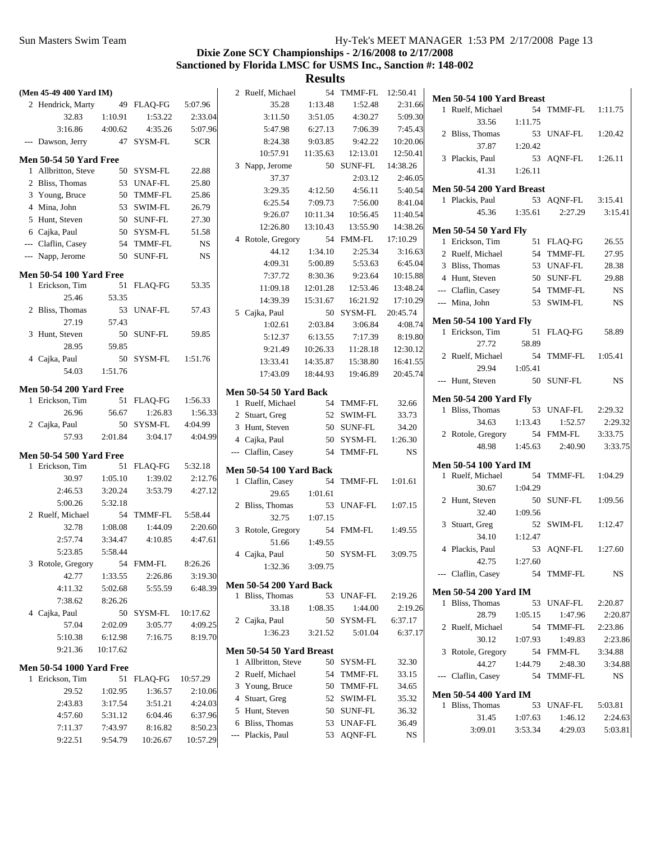## **Dixie Zone SCY Championships - 2/16/2008 to 2/17/2008 Sanctioned by Florida LMSC for USMS Inc., Sanction #: 148-002**

| (Men 45-49 400 Yard IM)                           |          |            |             | 2 Ruelf, Michael               |          | 54 TMMF-FL | 12:50.41  |                                               |         |            |           |
|---------------------------------------------------|----------|------------|-------------|--------------------------------|----------|------------|-----------|-----------------------------------------------|---------|------------|-----------|
| 2 Hendrick, Marty                                 |          | 49 FLAQ-FG | 5:07.96     | 35.28                          | 1:13.48  | 1:52.48    | 2:31.66   | Men 50-54 100 Yard Breast<br>1 Ruelf, Michael |         | 54 TMMF-FL | 1:11.75   |
| 32.83                                             | 1:10.91  | 1:53.22    | 2:33.04     | 3:11.50                        | 3:51.05  | 4:30.27    | 5:09.30   | 33.56                                         | 1:11.75 |            |           |
| 3:16.86                                           | 4:00.62  | 4:35.26    | 5:07.96     | 5:47.98                        | 6:27.13  | 7:06.39    | 7:45.43   | 2 Bliss, Thomas                               |         | 53 UNAF-FL | 1:20.42   |
| --- Dawson, Jerry                                 |          | 47 SYSM-FL | <b>SCR</b>  | 8:24.38                        | 9:03.85  | 9:42.22    | 10:20.06  | 37.87                                         | 1:20.42 |            |           |
|                                                   |          |            |             | 10:57.91                       | 11:35.63 | 12:13.01   | 12:50.41  | 3 Plackis, Paul                               |         |            | 1:26.11   |
| <b>Men 50-54 50 Yard Free</b>                     |          |            |             | 3 Napp, Jerome                 |          | 50 SUNF-FL | 14:38.26  |                                               |         | 53 AQNF-FL |           |
| 1 Allbritton, Steve                               |          | 50 SYSM-FL | 22.88       | 37.37                          |          | 2:03.12    | 2:46.05   | 41.31                                         | 1:26.11 |            |           |
| 2 Bliss, Thomas                                   |          | 53 UNAF-FL | 25.80       | 3:29.35                        | 4:12.50  | 4:56.11    | 5:40.54   | Men 50-54 200 Yard Breast                     |         |            |           |
| 3 Young, Bruce                                    |          | 50 TMMF-FL | 25.86       | 6:25.54                        | 7:09.73  | 7:56.00    | 8:41.04   | 1 Plackis, Paul                               |         | 53 AQNF-FL | 3:15.41   |
| 4 Mina, John                                      |          | 53 SWIM-FL | 26.79       | 9:26.07                        | 10:11.34 | 10:56.45   | 11:40.54  | 45.36                                         | 1:35.61 | 2:27.29    | 3:15.41   |
| 5 Hunt, Steven                                    |          | 50 SUNF-FL | 27.30       | 12:26.80                       | 13:10.43 | 13:55.90   | 14:38.26  |                                               |         |            |           |
| 6 Cajka, Paul                                     |          | 50 SYSM-FL | 51.58       | 4 Rotole, Gregory              |          | 54 FMM-FL  | 17:10.29  | <b>Men 50-54 50 Yard Fly</b>                  |         |            |           |
| --- Claflin, Casey                                |          | 54 TMMF-FL | $_{\rm NS}$ | 44.12                          | 1:34.10  | 2:25.34    | 3:16.63   | 1 Erickson, Tim                               |         | 51 FLAQ-FG | 26.55     |
| --- Napp, Jerome                                  |          | 50 SUNF-FL | $_{\rm NS}$ | 4:09.31                        | 5:00.89  | 5:53.63    | 6:45.04   | 2 Ruelf, Michael                              |         | 54 TMMF-FL | 27.95     |
| <b>Men 50-54 100 Yard Free</b>                    |          |            |             | 7:37.72                        | 8:30.36  | 9:23.64    | 10:15.88  | 3 Bliss, Thomas                               |         | 53 UNAF-FL | 28.38     |
| 1 Erickson, Tim                                   |          | 51 FLAQ-FG | 53.35       | 11:09.18                       | 12:01.28 | 12:53.46   | 13:48.24  | 4 Hunt, Steven                                |         | 50 SUNF-FL | 29.88     |
| 25.46                                             | 53.35    |            |             | 14:39.39                       |          |            |           | --- Claflin, Casey                            |         | 54 TMMF-FL | <b>NS</b> |
| 2 Bliss, Thomas                                   |          | 53 UNAF-FL | 57.43       |                                | 15:31.67 | 16:21.92   | 17:10.29  | --- Mina, John                                |         | 53 SWIM-FL | <b>NS</b> |
| 27.19                                             | 57.43    |            |             | 5 Cajka, Paul                  |          | 50 SYSM-FL | 20:45.74  | <b>Men 50-54 100 Yard Fly</b>                 |         |            |           |
| 3 Hunt, Steven                                    |          | 50 SUNF-FL | 59.85       | 1:02.61                        | 2:03.84  | 3:06.84    | 4:08.74   | 1 Erickson, Tim                               |         | 51 FLAQ-FG | 58.89     |
| 28.95                                             | 59.85    |            |             | 5:12.37                        | 6:13.55  | 7:17.39    | 8:19.80   | 27.72                                         | 58.89   |            |           |
| 4 Cajka, Paul                                     |          | 50 SYSM-FL | 1:51.76     | 9:21.49                        | 10:26.33 | 11:28.18   | 12:30.12  | 2 Ruelf, Michael                              |         | 54 TMMF-FL | 1:05.41   |
|                                                   |          |            |             | 13:33.41                       | 14:35.87 | 15:38.80   | 16:41.55  | 29.94                                         | 1:05.41 |            |           |
| 54.03                                             | 1:51.76  |            |             | 17:43.09                       | 18:44.93 | 19:46.89   | 20:45.74  | --- Hunt, Steven                              |         | 50 SUNF-FL | NS        |
| <b>Men 50-54 200 Yard Free</b>                    |          |            |             | Men 50-54 50 Yard Back         |          |            |           |                                               |         |            |           |
| 1 Erickson, Tim                                   |          | 51 FLAQ-FG | 1:56.33     | 1 Ruelf, Michael               |          | 54 TMMF-FL | 32.66     | <b>Men 50-54 200 Yard Fly</b>                 |         |            |           |
| 26.96                                             | 56.67    | 1:26.83    | 1:56.33     | 2 Stuart, Greg                 |          | 52 SWIM-FL | 33.73     | 1 Bliss, Thomas                               |         | 53 UNAF-FL | 2:29.32   |
| 2 Cajka, Paul                                     |          | 50 SYSM-FL | 4:04.99     | 3 Hunt, Steven                 |          | 50 SUNF-FL | 34.20     | 34.63                                         | 1:13.43 | 1:52.57    | 2:29.32   |
| 57.93                                             | 2:01.84  | 3:04.17    | 4:04.99     | 4 Cajka, Paul                  |          | 50 SYSM-FL | 1:26.30   | 2 Rotole, Gregory                             |         | 54 FMM-FL  | 3:33.75   |
|                                                   |          |            |             | --- Claflin, Casey             |          | 54 TMMF-FL | <b>NS</b> | 48.98                                         | 1:45.63 | 2:40.90    | 3:33.75   |
| <b>Men 50-54 500 Yard Free</b><br>1 Erickson, Tim |          | 51 FLAQ-FG | 5:32.18     |                                |          |            |           | <b>Men 50-54 100 Yard IM</b>                  |         |            |           |
|                                                   |          |            |             | <b>Men 50-54 100 Yard Back</b> |          |            |           | 1 Ruelf, Michael                              |         | 54 TMMF-FL | 1:04.29   |
| 30.97                                             | 1:05.10  | 1:39.02    | 2:12.76     | 1 Claflin, Casey               |          | 54 TMMF-FL | 1:01.61   | 30.67                                         | 1:04.29 |            |           |
| 2:46.53                                           | 3:20.24  | 3:53.79    | 4:27.12     | 29.65                          | 1:01.61  |            |           | 2 Hunt, Steven                                |         | 50 SUNF-FL | 1:09.56   |
| 5:00.26                                           | 5:32.18  |            |             | 2 Bliss, Thomas                |          | 53 UNAF-FL | 1:07.15   | 32.40                                         | 1:09.56 |            |           |
| 2 Ruelf, Michael                                  |          | 54 TMMF-FL | 5:58.44     | 32.75                          | 1:07.15  |            |           | 3 Stuart, Greg                                |         | 52 SWIM-FL | 1:12.47   |
| 32.78                                             | 1:08.08  | 1:44.09    | 2:20.60     | 3 Rotole, Gregory              |          | 54 FMM-FL  | 1:49.55   | 34.10                                         | 1:12.47 |            |           |
| 2:57.74                                           | 3:34.47  | 4:10.85    | 4:47.61     | 51.66                          | 1:49.55  |            |           | 4 Plackis, Paul                               |         | 53 AQNF-FL | 1:27.60   |
| 5:23.85                                           | 5:58.44  |            |             | 4 Cajka, Paul                  |          | 50 SYSM-FL | 3:09.75   |                                               |         |            |           |
| 3 Rotole, Gregory                                 |          | 54 FMM-FL  | 8:26.26     | 1:32.36                        | 3:09.75  |            |           | 42.75<br>--- Claflin, Casey                   | 1:27.60 | 54 TMMF-FL | NS        |
| 42.77                                             | 1:33.55  | 2:26.86    | 3:19.30     | <b>Men 50-54 200 Yard Back</b> |          |            |           |                                               |         |            |           |
| 4:11.32                                           | 5:02.68  | 5:55.59    | 6:48.39     | 1 Bliss, Thomas                |          | 53 UNAF-FL | 2:19.26   | <b>Men 50-54 200 Yard IM</b>                  |         |            |           |
| 7:38.62                                           | 8:26.26  |            |             | 33.18                          | 1:08.35  | 1:44.00    | 2:19.26   | 1 Bliss, Thomas                               |         | 53 UNAF-FL | 2:20.87   |
| 4 Cajka, Paul                                     |          | 50 SYSM-FL | 10:17.62    | 2 Cajka, Paul                  |          | 50 SYSM-FL | 6:37.17   | 28.79                                         | 1:05.15 | 1:47.96    | 2:20.87   |
| 57.04                                             | 2:02.09  | 3:05.77    | 4:09.25     |                                |          |            |           | 2 Ruelf, Michael                              |         | 54 TMMF-FL | 2:23.86   |
| 5:10.38                                           | 6:12.98  | 7:16.75    | 8:19.70     | 1:36.23                        | 3:21.52  | 5:01.04    | 6:37.17   | 30.12                                         | 1:07.93 | 1:49.83    | 2:23.86   |
| 9:21.36                                           | 10:17.62 |            |             | Men 50-54 50 Yard Breast       |          |            |           | 3 Rotole, Gregory                             |         | 54 FMM-FL  | 3:34.88   |
| <b>Men 50-54 1000 Yard Free</b>                   |          |            |             | 1 Allbritton, Steve            |          | 50 SYSM-FL | 32.30     | 44.27                                         | 1:44.79 | 2:48.30    | 3:34.88   |
| 1 Erickson, Tim                                   |          | 51 FLAQ-FG | 10:57.29    | 2 Ruelf, Michael               |          | 54 TMMF-FL | 33.15     | --- Claflin, Casey                            |         | 54 TMMF-FL | NS        |
| 29.52                                             | 1:02.95  | 1:36.57    | 2:10.06     | 3 Young, Bruce                 |          | 50 TMMF-FL | 34.65     |                                               |         |            |           |
|                                                   |          |            |             | 4 Stuart, Greg                 |          | 52 SWIM-FL | 35.32     | <b>Men 50-54 400 Yard IM</b>                  |         |            |           |
| 2:43.83                                           | 3:17.54  | 3:51.21    | 4:24.03     | 5 Hunt, Steven                 |          | 50 SUNF-FL | 36.32     | 1 Bliss, Thomas                               |         | 53 UNAF-FL | 5:03.81   |
| 4:57.60                                           | 5:31.12  | 6:04.46    | 6:37.96     | 6 Bliss, Thomas                |          | 53 UNAF-FL | 36.49     | 31.45                                         | 1:07.63 | 1:46.12    | 2:24.63   |
| 7:11.37                                           | 7:43.97  | 8:16.82    | 8:50.23     | --- Plackis, Paul              |          | 53 AQNF-FL | NS        | 3:09.01                                       | 3:53.34 | 4:29.03    | 5:03.81   |
| 9:22.51                                           | 9:54.79  | 10:26.67   | 10:57.29    |                                |          |            |           |                                               |         |            |           |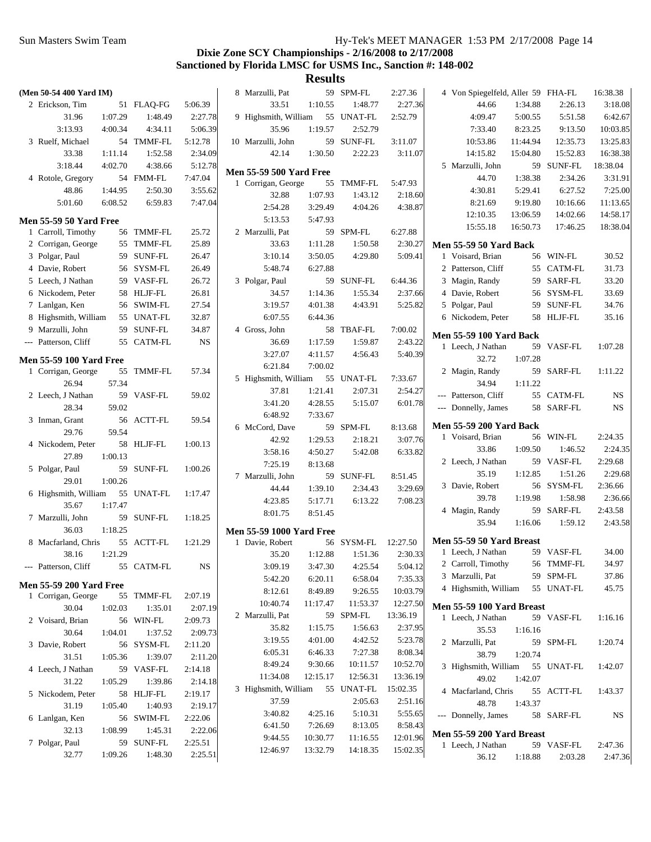## **Dixie Zone SCY Championships - 2/16/2008 to 2/17/2008 Sanctioned by Florida LMSC for USMS Inc., Sanction #: 148-002**

| (Men 50-54 400 Yard IM)                             |         |                          |           | 8 Marzulli, Pat                                      |                    | 59 SPM-FL  | 2:27.36  | 4 Von Spiegelfeld, Aller 59 FHA-FL                 |          |                       | 16:38.38           |
|-----------------------------------------------------|---------|--------------------------|-----------|------------------------------------------------------|--------------------|------------|----------|----------------------------------------------------|----------|-----------------------|--------------------|
| 2 Erickson, Tim                                     |         | 51 FLAQ-FG               | 5:06.39   | 33.51                                                | 1:10.55            | 1:48.77    | 2:27.36  | 44.66                                              | 1:34.88  | 2:26.13               | 3:18.08            |
| 31.96                                               | 1:07.29 | 1:48.49                  | 2:27.78   | 9 Highsmith, William                                 |                    | 55 UNAT-FL | 2:52.79  | 4:09.47                                            | 5:00.55  | 5:51.58               | 6:42.67            |
| 3:13.93                                             | 4:00.34 | 4:34.11                  | 5:06.39   | 35.96                                                | 1:19.57            | 2:52.79    |          | 7:33.40                                            | 8:23.25  | 9:13.50               | 10:03.85           |
| 3 Ruelf, Michael                                    |         | 54 TMMF-FL               | 5:12.78   | 10 Marzulli, John                                    |                    | 59 SUNF-FL | 3:11.07  | 10:53.86                                           | 11:44.94 | 12:35.73              | 13:25.83           |
| 33.38                                               | 1:11.14 | 1:52.58                  | 2:34.09   | 42.14                                                | 1:30.50            | 2:22.23    | 3:11.07  | 14:15.82                                           | 15:04.80 | 15:52.83              | 16:38.38           |
| 3:18.44                                             | 4:02.70 | 4:38.66                  | 5:12.78   |                                                      |                    |            |          | 5 Marzulli, John                                   |          | 59 SUNF-FL            | 18:38.04           |
| 4 Rotole, Gregory                                   |         | 54 FMM-FL                | 7:47.04   | <b>Men 55-59 500 Yard Free</b><br>1 Corrigan, George |                    | 55 TMMF-FL | 5:47.93  | 44.70                                              | 1:38.38  | 2:34.26               | 3:31.91            |
| 48.86                                               | 1:44.95 | 2:50.30                  | 3:55.62   | 32.88                                                | 1:07.93            | 1:43.12    | 2:18.60  | 4:30.81                                            | 5:29.41  | 6:27.52               | 7:25.00            |
| 5:01.60                                             | 6:08.52 | 6:59.83                  | 7:47.04   | 2:54.28                                              | 3:29.49            | 4:04.26    | 4:38.87  | 8:21.69                                            | 9:19.80  | 10:16.66              | 11:13.65           |
|                                                     |         |                          |           | 5:13.53                                              | 5:47.93            |            |          | 12:10.35                                           | 13:06.59 | 14:02.66              | 14:58.17           |
| <b>Men 55-59 50 Yard Free</b><br>1 Carroll, Timothy |         | 56 TMMF-FL               | 25.72     | 2 Marzulli, Pat                                      |                    | 59 SPM-FL  | 6:27.88  | 15:55.18                                           | 16:50.73 | 17:46.25              | 18:38.04           |
|                                                     |         |                          | 25.89     | 33.63                                                |                    | 1:50.58    | 2:30.27  |                                                    |          |                       |                    |
| 2 Corrigan, George<br>3 Polgar, Paul                |         | 55 TMMF-FL<br>59 SUNF-FL | 26.47     | 3:10.14                                              | 1:11.28<br>3:50.05 | 4:29.80    | 5:09.41  | <b>Men 55-59 50 Yard Back</b>                      |          | 56 WIN-FL             | 30.52              |
|                                                     |         |                          |           | 5:48.74                                              | 6:27.88            |            |          | 1 Voisard, Brian                                   |          |                       | 31.73              |
| 4 Davie, Robert                                     |         | 56 SYSM-FL               | 26.49     |                                                      |                    |            |          | 2 Patterson, Cliff                                 |          | 55 CATM-FL            |                    |
| 5 Leech, J Nathan                                   |         | 59 VASF-FL               | 26.72     | 3 Polgar, Paul                                       |                    | 59 SUNF-FL | 6:44.36  | 3 Magin, Randy                                     |          | 59 SARF-FL            | 33.20              |
| 6 Nickodem, Peter                                   |         | 58 HLJF-FL               | 26.81     | 34.57                                                | 1:14.36            | 1:55.34    | 2:37.66  | 4 Davie, Robert                                    |          | 56 SYSM-FL            | 33.69              |
| 7 Lanlgan, Ken                                      |         | 56 SWIM-FL               | 27.54     | 3:19.57                                              | 4:01.38            | 4:43.91    | 5:25.82  | 5 Polgar, Paul                                     |          | 59 SUNF-FL            | 34.76              |
| 8 Highsmith, William                                |         | 55 UNAT-FL               | 32.87     | 6:07.55                                              | 6:44.36            |            |          | 6 Nickodem, Peter                                  |          | 58 HLJF-FL            | 35.16              |
| 9 Marzulli, John                                    |         | 59 SUNF-FL               | 34.87     | 4 Gross, John                                        |                    | 58 TBAF-FL | 7:00.02  | <b>Men 55-59 100 Yard Back</b>                     |          |                       |                    |
| --- Patterson, Cliff                                |         | 55 CATM-FL               | <b>NS</b> | 36.69                                                | 1:17.59            | 1:59.87    | 2:43.22  | 1 Leech, J Nathan                                  |          | 59 VASF-FL            | 1:07.28            |
| <b>Men 55-59 100 Yard Free</b>                      |         |                          |           | 3:27.07                                              | 4:11.57            | 4:56.43    | 5:40.39  | 32.72                                              | 1:07.28  |                       |                    |
| 1 Corrigan, George                                  |         | 55 TMMF-FL               | 57.34     | 6:21.84                                              | 7:00.02            |            |          | 2 Magin, Randy                                     |          | 59 SARF-FL            | 1:11.22            |
| 26.94                                               | 57.34   |                          |           | 5 Highsmith, William                                 |                    | 55 UNAT-FL | 7:33.67  | 34.94                                              | 1:11.22  |                       |                    |
| 2 Leech, J Nathan                                   |         | 59 VASF-FL               | 59.02     | 37.81                                                | 1:21.41            | 2:07.31    | 2:54.27  | --- Patterson, Cliff                               |          | 55 CATM-FL            | NS                 |
| 28.34                                               | 59.02   |                          |           | 3:41.20                                              | 4:28.55            | 5:15.07    | 6:01.78  | --- Donnelly, James                                |          | 58 SARF-FL            | <b>NS</b>          |
| 3 Inman, Grant                                      |         | 56 ACTT-FL               | 59.54     | 6:48.92                                              | 7:33.67            |            |          |                                                    |          |                       |                    |
| 29.76                                               | 59.54   |                          |           | 6 McCord, Dave                                       |                    | 59 SPM-FL  | 8:13.68  | <b>Men 55-59 200 Yard Back</b><br>1 Voisard, Brian |          | 56 WIN-FL             | 2:24.35            |
| 4 Nickodem, Peter                                   |         | 58 HLJF-FL               | 1:00.13   | 42.92                                                | 1:29.53            | 2:18.21    | 3:07.76  | 33.86                                              | 1:09.50  | 1:46.52               | 2:24.35            |
| 27.89                                               | 1:00.13 |                          |           | 3:58.16                                              | 4:50.27            | 5:42.08    | 6:33.82  | 2 Leech, J Nathan                                  |          | 59 VASF-FL            | 2:29.68            |
| 5 Polgar, Paul                                      |         | 59 SUNF-FL               | 1:00.26   | 7:25.19                                              | 8:13.68            |            |          | 35.19                                              |          | 1:51.26               | 2:29.68            |
| 29.01                                               | 1:00.26 |                          |           | 7 Marzulli, John                                     |                    | 59 SUNF-FL | 8:51.45  | 3 Davie, Robert                                    | 1:12.85  | 56 SYSM-FL            | 2:36.66            |
| 6 Highsmith, William                                |         | 55 UNAT-FL               | 1:17.47   | 44.44                                                | 1:39.10            | 2:34.43    | 3:29.69  | 39.78                                              |          |                       |                    |
| 35.67                                               | 1:17.47 |                          |           | 4:23.85                                              | 5:17.71            | 6:13.22    | 7:08.23  |                                                    | 1:19.98  | 1:58.98<br>59 SARF-FL | 2:36.66<br>2:43.58 |
| 7 Marzulli, John                                    |         | 59 SUNF-FL               | 1:18.25   | 8:01.75                                              | 8:51.45            |            |          | 4 Magin, Randy                                     | 1:16.06  |                       |                    |
| 36.03                                               | 1:18.25 |                          |           | <b>Men 55-59 1000 Yard Free</b>                      |                    |            |          | 35.94                                              |          | 1:59.12               | 2:43.58            |
| 8 Macfarland, Chris                                 |         | 55 ACTT-FL               | 1:21.29   | 1 Davie, Robert                                      |                    | 56 SYSM-FL | 12:27.50 | Men 55-59 50 Yard Breast                           |          |                       |                    |
| 38.16                                               | 1:21.29 |                          |           | 35.20                                                | 1:12.88            | 1:51.36    | 2:30.33  | 1 Leech, J Nathan                                  |          | 59 VASF-FL            | 34.00              |
| --- Patterson, Cliff                                |         | 55 CATM-FL               | NS        | 3:09.19                                              | 3:47.30            | 4:25.54    | 5:04.12  | 2 Carroll, Timothy                                 |          | 56 TMMF-FL            | 34.97              |
|                                                     |         |                          |           | 5:42.20                                              | 6:20.11            | 6:58.04    | 7:35.33  | 3 Marzulli, Pat                                    |          | 59 SPM-FL             | 37.86              |
| <b>Men 55-59 200 Yard Free</b>                      |         |                          |           | 8:12.61                                              | 8:49.89            | 9:26.55    | 10:03.79 | 4 Highsmith, William                               |          | 55 UNAT-FL            | 45.75              |
| 1 Corrigan, George                                  |         | 55 TMMF-FL               | 2:07.19   | 10:40.74                                             | 11:17.47           | 11:53.37   | 12:27.50 | Men 55-59 100 Yard Breast                          |          |                       |                    |
| 30.04                                               | 1:02.03 | 1:35.01                  | 2:07.19   | 2 Marzulli, Pat                                      |                    | 59 SPM-FL  | 13:36.19 | 1 Leech, J Nathan                                  |          | 59 VASF-FL            | 1:16.16            |
| 2 Voisard, Brian                                    |         | 56 WIN-FL                | 2:09.73   | 35.82                                                | 1:15.75            | 1:56.63    | 2:37.95  | 35.53                                              | 1:16.16  |                       |                    |
| 30.64                                               | 1:04.01 | 1:37.52                  | 2:09.73   | 3:19.55                                              | 4:01.00            | 4:42.52    | 5:23.78  | 2 Marzulli, Pat                                    |          | 59 SPM-FL             | 1:20.74            |
| 3 Davie, Robert                                     |         | 56 SYSM-FL               | 2:11.20   | 6:05.31                                              | 6:46.33            | 7:27.38    | 8:08.34  | 38.79                                              | 1:20.74  |                       |                    |
| 31.51                                               | 1:05.36 | 1:39.07                  | 2:11.20   | 8:49.24                                              | 9:30.66            | 10:11.57   | 10:52.70 | 3 Highsmith, William                               |          | 55 UNAT-FL            | 1:42.07            |
| 4 Leech, J Nathan                                   |         | 59 VASF-FL               | 2:14.18   | 11:34.08                                             | 12:15.17           | 12:56.31   | 13:36.19 | 49.02                                              | 1:42.07  |                       |                    |
| 31.22                                               | 1:05.29 | 1:39.86                  | 2:14.18   | 3 Highsmith, William                                 |                    | 55 UNAT-FL | 15:02.35 | 4 Macfarland, Chris                                |          |                       |                    |
| 5 Nickodem, Peter                                   |         | 58 HLJF-FL               | 2:19.17   | 37.59                                                |                    | 2:05.63    | 2:51.16  | 48.78                                              | 1:43.37  | 55 ACTT-FL            | 1:43.37            |
| 31.19                                               | 1:05.40 | 1:40.93                  | 2:19.17   | 3:40.82                                              | 4:25.16            | 5:10.31    | 5:55.65  | --- Donnelly, James                                |          | 58 SARF-FL            | NS                 |
| 6 Lanlgan, Ken                                      |         | 56 SWIM-FL               | 2:22.06   | 6:41.50                                              | 7:26.69            | 8:13.05    | 8:58.43  |                                                    |          |                       |                    |
| 32.13                                               | 1:08.99 | 1:45.31                  | 2:22.06   | 9:44.55                                              | 10:30.77           | 11:16.55   | 12:01.96 | Men 55-59 200 Yard Breast                          |          |                       |                    |
| 7 Polgar, Paul                                      |         | 59 SUNF-FL               | 2:25.51   | 12:46.97                                             | 13:32.79           | 14:18.35   | 15:02.35 | 1 Leech, J Nathan                                  |          | 59 VASF-FL            | 2:47.36            |
| 32.77                                               | 1:09.26 | 1:48.30                  | 2:25.51   |                                                      |                    |            |          | 36.12                                              | 1:18.88  | 2:03.28               | 2:47.36            |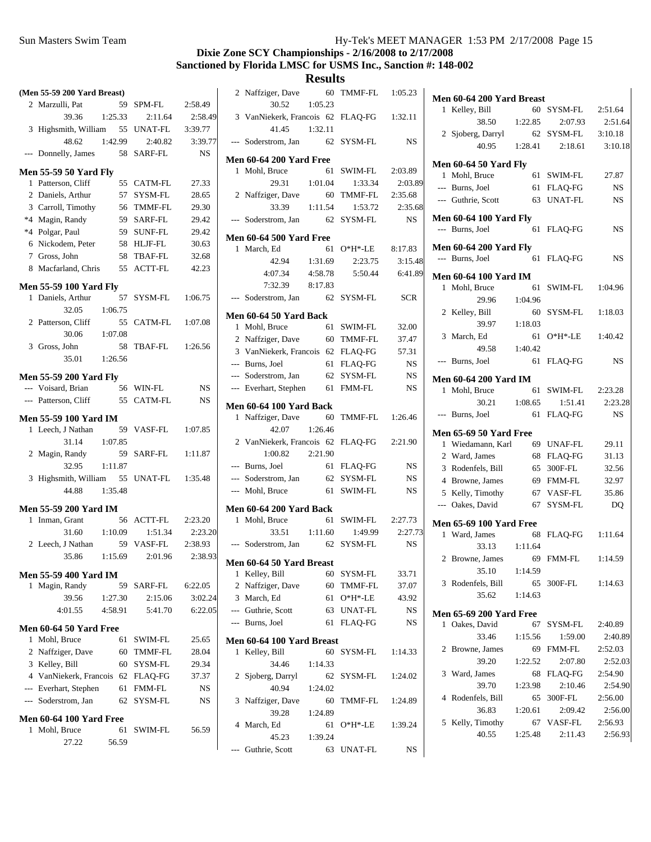| (Men 55-59 200 Yard Breast)                        |         |                |           | 2 Naffziger, Dave                               |         | 60 TMMF-FL   | 1:05.23    |
|----------------------------------------------------|---------|----------------|-----------|-------------------------------------------------|---------|--------------|------------|
| 2 Marzulli, Pat                                    |         | 59 SPM-FL      | 2:58.49   | 30.52                                           | 1:05.23 |              |            |
| 39.36                                              | 1:25.33 | 2:11.64        | 2:58.49   | 3 VanNiekerk, Francois 62 FLAQ-FG               |         |              | 1:32.11    |
| 3 Highsmith, William                               |         | 55 UNAT-FL     | 3:39.77   | 41.45                                           | 1:32.11 |              |            |
| 48.62                                              | 1:42.99 | 2:40.82        | 3:39.77   | --- Soderstrom, Jan                             |         | 62 SYSM-FL   | <b>NS</b>  |
| --- Donnelly, James                                |         | 58 SARF-FL     | <b>NS</b> | <b>Men 60-64 200 Yard Free</b>                  |         |              |            |
|                                                    |         |                |           | 1 Mohl, Bruce                                   |         | 61 SWIM-FL   | 2:03.89    |
| <b>Men 55-59 50 Yard Fly</b><br>1 Patterson, Cliff |         | 55 CATM-FL     | 27.33     | 29.31                                           | 1:01.04 | 1:33.34      | 2:03.89    |
| 2 Daniels, Arthur                                  | 57      | SYSM-FL        | 28.65     | 2 Naffziger, Dave                               |         | 60 TMMF-FL   | 2:35.68    |
| 3 Carroll, Timothy                                 |         | 56 TMMF-FL     | 29.30     | 33.39                                           | 1:11.54 | 1:53.72      | 2:35.68    |
| *4 Magin, Randy                                    |         | 59 SARF-FL     | 29.42     | --- Soderstrom, Jan                             |         | 62 SYSM-FL   | NS.        |
| *4 Polgar, Paul                                    |         | 59 SUNF-FL     | 29.42     |                                                 |         |              |            |
| 6 Nickodem, Peter                                  |         | 58 HLJF-FL     | 30.63     | <b>Men 60-64 500 Yard Free</b>                  |         |              |            |
| 7 Gross, John                                      |         | 58 TBAF-FL     | 32.68     | 1 March, Ed                                     |         | 61 O*H*-LE   | 8:17.83    |
| 8 Macfarland, Chris                                |         | 55 ACTT-FL     | 42.23     | 42.94                                           | 1:31.69 | 2:23.75      | 3:15.48    |
|                                                    |         |                |           | 4:07.34                                         | 4:58.78 | 5:50.44      | 6:41.89    |
| <b>Men 55-59 100 Yard Fly</b>                      |         |                |           | 7:32.39                                         | 8:17.83 |              |            |
| 1 Daniels, Arthur                                  |         | 57 SYSM-FL     | 1:06.75   | --- Soderstrom, Jan                             |         | 62 SYSM-FL   | <b>SCR</b> |
| 32.05                                              | 1:06.75 |                |           | <b>Men 60-64 50 Yard Back</b>                   |         |              |            |
| 2 Patterson, Cliff                                 |         | 55 CATM-FL     | 1:07.08   | 1 Mohl, Bruce                                   |         | 61 SWIM-FL   | 32.00      |
| 30.06                                              | 1:07.08 |                |           | 2 Naffziger, Dave                               |         | 60 TMMF-FL   | 37.47      |
| 3 Gross, John                                      | 1:26.56 | 58 TBAF-FL     | 1:26.56   | 3 VanNiekerk, Francois 62 FLAQ-FG               |         |              | 57.31      |
| 35.01                                              |         |                |           | --- Burns, Joel                                 |         | 61 FLAQ-FG   | NS         |
| <b>Men 55-59 200 Yard Fly</b>                      |         |                |           | --- Soderstrom, Jan                             |         | 62 SYSM-FL   | NS.        |
| --- Voisard, Brian                                 |         | 56 WIN-FL      | NS        | --- Everhart, Stephen                           |         | 61 FMM-FL    | <b>NS</b>  |
| --- Patterson, Cliff                               |         | 55 CATM-FL     | NS        | <b>Men 60-64 100 Yard Back</b>                  |         |              |            |
| <b>Men 55-59 100 Yard IM</b>                       |         |                |           | 1 Naffziger, Dave                               |         | 60 TMMF-FL   | 1:26.46    |
| 1 Leech, J Nathan                                  |         | 59 VASF-FL     | 1:07.85   | 42.07                                           | 1:26.46 |              |            |
| 31.14                                              | 1:07.85 |                |           | 2 VanNiekerk, Francois 62 FLAQ-FG               |         |              | 2:21.90    |
| 2 Magin, Randy                                     |         | 59 SARF-FL     | 1:11.87   | 1:00.82                                         | 2:21.90 |              |            |
| 32.95                                              | 1:11.87 |                |           | --- Burns, Joel                                 |         | 61 FLAQ-FG   | NS.        |
| 3 Highsmith, William                               |         | 55 UNAT-FL     | 1:35.48   | --- Soderstrom, Jan                             |         | 62 SYSM-FL   | NS.        |
| 44.88                                              | 1:35.48 |                |           | --- Mohl, Bruce                                 |         | 61 SWIM-FL   | NS.        |
|                                                    |         |                |           |                                                 |         |              |            |
| <b>Men 55-59 200 Yard IM</b><br>1 Inman, Grant     |         | 56 ACTT-FL     | 2:23.20   | <b>Men 60-64 200 Yard Back</b><br>1 Mohl, Bruce |         | 61 SWIM-FL   | 2:27.73    |
| 31.60                                              | 1:10.09 | 1:51.34        | 2:23.20   | 33.51                                           | 1:11.60 | 1:49.99      | 2:27.73    |
| 2 Leech, J Nathan                                  |         | 59 VASF-FL     | 2:38.93   | --- Soderstrom, Jan                             |         | 62 SYSM-FL   | NS.        |
| 35.86                                              | 1:15.69 | 2:01.96        | 2:38.93   |                                                 |         |              |            |
|                                                    |         |                |           | Men 60-64 50 Yard Breast                        |         |              |            |
| <b>Men 55-59 400 Yard IM</b>                       |         |                |           | 1 Kelley, Bill                                  |         | 60 SYSM-FL   | 33.71      |
| 1 Magin, Randy                                     |         | 59 SARF-FL     | 6:22.05   | 2 Naffziger, Dave                               | 60      | TMMF-FL      | 37.07      |
| 39.56                                              | 1:27.30 | 2:15.06        | 3:02.24   | 3 March, Ed                                     | 61      | $O*H*-LE$    | 43.92      |
| 4:01.55                                            | 4:58.91 | 5:41.70        | 6:22.05   | --- Guthrie, Scott                              |         | 63 UNAT-FL   | NS         |
| <b>Men 60-64 50 Yard Free</b>                      |         |                |           | --- Burns, Joel                                 |         | 61 FLAQ-FG   | NS         |
| 1 Mohl, Bruce                                      | 61      | <b>SWIM-FL</b> | 25.65     | Men 60-64 100 Yard Breast                       |         |              |            |
| 2 Naffziger, Dave                                  |         | 60 TMMF-FL     | 28.04     | 1 Kelley, Bill                                  |         | 60 SYSM-FL   | 1:14.33    |
| 3 Kelley, Bill                                     | 60      | SYSM-FL        | 29.34     | 34.46                                           | 1:14.33 |              |            |
| 4 VanNiekerk, Francois 62 FLAQ-FG                  |         |                | 37.37     | 2 Sjoberg, Darryl                               |         | 62 SYSM-FL   | 1:24.02    |
| --- Everhart, Stephen                              |         | 61 FMM-FL      | NS        | 40.94                                           | 1:24.02 |              |            |
| --- Soderstrom, Jan                                | 62      | SYSM-FL        | NS        | 3 Naffziger, Dave                               |         | 60 TMMF-FL   | 1:24.89    |
|                                                    |         |                |           | 39.28                                           | 1:24.89 |              |            |
| <b>Men 60-64 100 Yard Free</b>                     | 61      | SWIM-FL        | 56.59     | 4 March, Ed                                     |         | 61 $O*H*-LE$ | 1:39.24    |
| 1 Mohl, Bruce<br>27.22                             | 56.59   |                |           | 45.23                                           | 1:39.24 |              |            |
|                                                    |         |                |           | --- Guthrie, Scott                              |         | 63 UNAT-FL   | NS         |
|                                                    |         |                |           |                                                 |         |              |            |

| Men 60-64 200 Yard Breast                     |         |                     |                |
|-----------------------------------------------|---------|---------------------|----------------|
| 1 Kelley, Bill                                |         | 60 SYSM-FL          | 2:51.64        |
| 38.50 1:22.85                                 |         | 2:07.93             | 2:51.64        |
| 2 Sjoberg, Darryl                             | 62      | SYSM-FL             | 3:10.18        |
| 40.95                                         |         | $1:28.41$ $2:18.61$ | 3:10.18        |
|                                               |         |                     |                |
| <b>Men 60-64 50 Yard Fly</b><br>1 Mohl, Bruce | 61      | SWIM-FL             | 27.87          |
| --- Burns, Joel                               |         | 61 FLAQ-FG          | NS             |
| --- Guthrie, Scott                            | 63      | UNAT-FL             | <b>NS</b>      |
|                                               |         |                     |                |
| <b>Men 60-64 100 Yard Fly</b>                 |         |                     |                |
| --- Burns, Joel                               | 61      | FLAQ-FG             | NS             |
| <b>Men 60-64 200 Yard Fly</b>                 |         |                     |                |
| --- Burns, Joel                               | 61      | FLAQ-FG             | NS             |
| <b>Men 60-64 100 Yard IM</b>                  |         |                     |                |
| 1 Mohl, Bruce                                 | 61      | SWIM-FL             | 1:04.96        |
| 29.96 1:04.96                                 |         |                     |                |
| 2 Kelley, Bill                                | - 60    | SYSM-FL             | 1:18.03        |
| 39.97                                         | 1:18.03 |                     |                |
| 3 March, Ed                                   | 61      | $O*H*-LE$           | 1:40.42        |
| 49.58                                         | 1:40.42 |                     |                |
| --- Burns, Joel                               | 61      | FLAQ-FG             | <b>NS</b>      |
| <b>Men 60-64 200 Yard IM</b>                  |         |                     |                |
| 1 Mohl, Bruce                                 | 61      | SWIM-FL             | 2:23.28        |
| 30.21 1:08.65                                 |         | 1:51.41             | 2:23.28        |
| --- Burns, Joel                               | 61      | FLAQ-FG             | <b>NS</b>      |
| <b>Men 65-69 50 Yard Free</b>                 |         |                     |                |
| 1 Wiedamann, Karl                             | 69      | UNAF-FL             | 29.11          |
| 2 Ward, James                                 | 68      | <b>FLAQ-FG</b>      | 31.13          |
| 3 Rodenfels, Bill                             | 65      | 300F-FL             | 32.56          |
| 4 Browne, James                               | 69      | <b>FMM-FL</b>       | 32.97          |
| 5 Kelly, Timothy                              | 67      | VASF-FL             | 35.86          |
| --- Oakes, David                              | 67      | SYSM-FL             | D <sub>O</sub> |
| <b>Men 65-69 100 Yard Free</b>                |         |                     |                |
| 1 Ward, James                                 | 68      | FLAQ-FG             | 1:11.64        |
| 33.13                                         | 1:11.64 |                     |                |
| Browne, James<br>2                            | 69      | <b>FMM-FL</b>       | 1:14.59        |
| 35.10                                         | 1:14.59 |                     |                |
| 3 Rodenfels, Bill                             | 65      | 300F-FL             | 1:14.63        |
| 35.62                                         | 1:14.63 |                     |                |
| <b>Men 65-69 200 Yard Free</b>                |         |                     |                |
| 1 Oakes, David                                | 67      | SYSM-FL             | 2:40.89        |
| 33.46                                         | 1:15.56 | 1:59.00             | 2:40.89        |
| 2 Browne, James                               | 69      | <b>FMM-FL</b>       | 2:52.03        |
| 39.20                                         | 1:22.52 | 2:07.80             | 2:52.03        |
| 3 Ward, James                                 | 68      | FLAQ-FG             | 2:54.90        |
| 39.70                                         | 1:23.98 | 2:10.46             | 2:54.90        |
| $\overline{4}$<br>Rodenfels, Bill             | 65      | 300F-FL             | 2:56.00        |
| 36.83                                         | 1:20.61 | 2:09.42             | 2:56.00        |
| 5 Kelly, Timothy                              | 67      | VASF-FL             | 2:56.93        |
| 40.55                                         | 1:25.48 | 2:11.43             | 2:56.93        |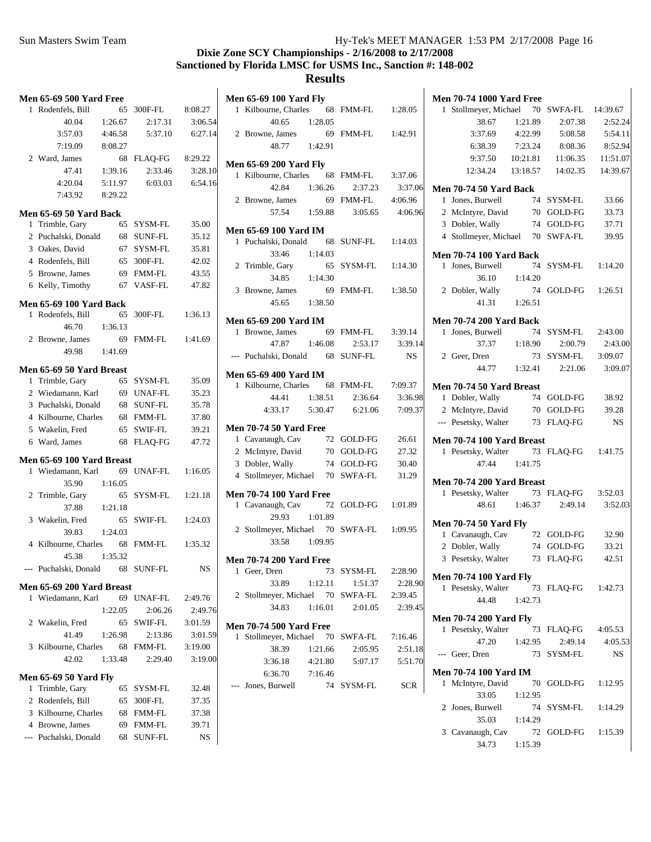|                | <b>Men 65-69 500 Yard Free</b>           |         |          |                    |                |
|----------------|------------------------------------------|---------|----------|--------------------|----------------|
| $\mathbf{1}$   | Rodenfels, Bill                          |         | 65       | 300F-FL            | 8:08.27        |
|                | 40.04                                    | 1:26.67 |          | 2:17.31            | 3:06.54        |
|                | 3:57.03                                  | 4:46.58 |          | 5:37.10            | 6:27.14        |
|                | 7:19.09                                  | 8:08.27 |          |                    |                |
|                | 2 Ward, James                            |         | 68       | <b>FLAQ-FG</b>     | 8:29.22        |
|                | 47.41                                    | 1:39.16 |          | 2:33.46            | 3:28.10        |
|                | 4:20.04                                  | 5:11.97 |          | 6:03.03            | 6:54.16        |
|                | 7:43.92                                  | 8:29.22 |          |                    |                |
|                | Men 65-69 50 Yard Back                   |         |          |                    |                |
| 1              | Trimble, Gary                            |         | 65       | SYSM-FL            | 35.00          |
| $\overline{2}$ | Puchalski, Donald                        |         |          | 68 SUNF-FL         | 35.12          |
|                | 3 Oakes, David                           |         | 67       | SYSM-FL            | 35.81          |
|                | 4 Rodenfels, Bill                        |         | 65       | 300F-FL            | 42.02          |
|                | 5 Browne, James                          |         | 69       | FMM-FL             | 43.55          |
|                | 6 Kelly, Timothy                         |         | 67       | VASF-FL            | 47.82          |
|                | <b>Men 65-69 100 Yard Back</b>           |         |          |                    |                |
|                | 1 Rodenfels, Bill                        |         | 65       | 300F-FL            | 1:36.13        |
|                | 46.70                                    | 1:36.13 |          |                    |                |
|                | 2 Browne, James                          |         | 69       | <b>FMM-FL</b>      | 1:41.69        |
|                | 49.98                                    | 1:41.69 |          |                    |                |
|                |                                          |         |          |                    |                |
|                | Men 65-69 50 Yard Breast                 |         |          |                    |                |
| 1              | Trimble, Gary                            |         | 65<br>69 | SYSM-FL            | 35.09          |
|                | 2 Wiedamann, Karl<br>3 Puchalski, Donald |         |          | UNAF-FL<br>SUNF-FL | 35.23<br>35.78 |
|                | 4 Kilbourne, Charles                     |         | 68<br>68 | FMM-FL             | 37.80          |
|                | 5 Wakelin, Fred                          |         | 65       | SWIF-FL            | 39.21          |
|                | 6 Ward, James                            |         | 68       | <b>FLAQ-FG</b>     | 47.72          |
|                |                                          |         |          |                    |                |
|                | Men 65-69 100 Yard Breast                |         |          |                    |                |
| 1              | Wiedamann, Karl                          |         | 69       | UNAF-FL            | 1:16.05        |
|                | 35.90                                    | 1:16.05 |          |                    |                |
| 2              | Trimble, Gary                            |         | 65       | SYSM-FL            | 1:21.18        |
|                | 37.88                                    | 1:21.18 |          |                    |                |
| 3              | Wakelin, Fred<br>39.83                   | 1:24.03 | 65       | <b>SWIF-FL</b>     | 1:24.03        |
|                | 4 Kilbourne, Charles 68                  |         |          | <b>FMM-FL</b>      | 1:35.32        |
|                | 45.38                                    | 1:35.32 |          |                    |                |
| $---$          | Puchalski, Donald 68                     |         |          | SUNF-FL            | NS             |
|                |                                          |         |          |                    |                |
|                | Men 65-69 200 Yard Breast                |         |          |                    |                |
| 1              | Wiedamann, Karl                          |         | 69       | UNAF-FL            | 2:49.76        |
|                |                                          | 1:22.05 |          | 2:06.26            | 2:49.76        |
|                | 2 Wakelin, Fred                          |         | 65       | SWIF-FL            | 3:01.59        |
|                | 41.49                                    | 1:26.98 |          | 2:13.86            | 3:01.59        |
| 3              | Kilbourne, Charles<br>42.02              |         | - 68     | FMM-FL<br>2:29.40  | 3:19.00        |
|                |                                          | 1:33.48 |          |                    | 3:19.00        |
|                | <b>Men 65-69 50 Yard Fly</b>             |         |          |                    |                |
| 1              | Trimble, Gary                            |         | 65       | SYSM-FL            | 32.48          |
|                | 2 Rodenfels, Bill                        |         | 65       | 300F-FL            | 37.35          |
|                | 3 Kilbourne, Charles                     |         | 68       | <b>FMM-FL</b>      | 37.38          |
|                | 4 Browne, James                          |         | 69       | <b>FMM-FL</b>      | 39.71          |
|                | --- Puchalski, Donald                    |         | 68       | SUNF-FL            | NS             |

|                                                                                                                                                                  |                                                                                                                                                                                                                                                                                                                                                                                                                             | 3:37.06                                                                                                                                                                                                                                                                                                                                                                                                                                                                                                                                                                                                                                                                                                                                                                                                                                                                                                               |
|------------------------------------------------------------------------------------------------------------------------------------------------------------------|-----------------------------------------------------------------------------------------------------------------------------------------------------------------------------------------------------------------------------------------------------------------------------------------------------------------------------------------------------------------------------------------------------------------------------|-----------------------------------------------------------------------------------------------------------------------------------------------------------------------------------------------------------------------------------------------------------------------------------------------------------------------------------------------------------------------------------------------------------------------------------------------------------------------------------------------------------------------------------------------------------------------------------------------------------------------------------------------------------------------------------------------------------------------------------------------------------------------------------------------------------------------------------------------------------------------------------------------------------------------|
|                                                                                                                                                                  |                                                                                                                                                                                                                                                                                                                                                                                                                             | 3:37.06                                                                                                                                                                                                                                                                                                                                                                                                                                                                                                                                                                                                                                                                                                                                                                                                                                                                                                               |
|                                                                                                                                                                  |                                                                                                                                                                                                                                                                                                                                                                                                                             |                                                                                                                                                                                                                                                                                                                                                                                                                                                                                                                                                                                                                                                                                                                                                                                                                                                                                                                       |
|                                                                                                                                                                  |                                                                                                                                                                                                                                                                                                                                                                                                                             | 4:06.96                                                                                                                                                                                                                                                                                                                                                                                                                                                                                                                                                                                                                                                                                                                                                                                                                                                                                                               |
|                                                                                                                                                                  |                                                                                                                                                                                                                                                                                                                                                                                                                             |                                                                                                                                                                                                                                                                                                                                                                                                                                                                                                                                                                                                                                                                                                                                                                                                                                                                                                                       |
|                                                                                                                                                                  |                                                                                                                                                                                                                                                                                                                                                                                                                             |                                                                                                                                                                                                                                                                                                                                                                                                                                                                                                                                                                                                                                                                                                                                                                                                                                                                                                                       |
|                                                                                                                                                                  |                                                                                                                                                                                                                                                                                                                                                                                                                             |                                                                                                                                                                                                                                                                                                                                                                                                                                                                                                                                                                                                                                                                                                                                                                                                                                                                                                                       |
|                                                                                                                                                                  |                                                                                                                                                                                                                                                                                                                                                                                                                             |                                                                                                                                                                                                                                                                                                                                                                                                                                                                                                                                                                                                                                                                                                                                                                                                                                                                                                                       |
|                                                                                                                                                                  |                                                                                                                                                                                                                                                                                                                                                                                                                             |                                                                                                                                                                                                                                                                                                                                                                                                                                                                                                                                                                                                                                                                                                                                                                                                                                                                                                                       |
|                                                                                                                                                                  |                                                                                                                                                                                                                                                                                                                                                                                                                             |                                                                                                                                                                                                                                                                                                                                                                                                                                                                                                                                                                                                                                                                                                                                                                                                                                                                                                                       |
|                                                                                                                                                                  |                                                                                                                                                                                                                                                                                                                                                                                                                             |                                                                                                                                                                                                                                                                                                                                                                                                                                                                                                                                                                                                                                                                                                                                                                                                                                                                                                                       |
|                                                                                                                                                                  |                                                                                                                                                                                                                                                                                                                                                                                                                             |                                                                                                                                                                                                                                                                                                                                                                                                                                                                                                                                                                                                                                                                                                                                                                                                                                                                                                                       |
|                                                                                                                                                                  |                                                                                                                                                                                                                                                                                                                                                                                                                             |                                                                                                                                                                                                                                                                                                                                                                                                                                                                                                                                                                                                                                                                                                                                                                                                                                                                                                                       |
|                                                                                                                                                                  |                                                                                                                                                                                                                                                                                                                                                                                                                             |                                                                                                                                                                                                                                                                                                                                                                                                                                                                                                                                                                                                                                                                                                                                                                                                                                                                                                                       |
|                                                                                                                                                                  |                                                                                                                                                                                                                                                                                                                                                                                                                             |                                                                                                                                                                                                                                                                                                                                                                                                                                                                                                                                                                                                                                                                                                                                                                                                                                                                                                                       |
|                                                                                                                                                                  |                                                                                                                                                                                                                                                                                                                                                                                                                             | NS                                                                                                                                                                                                                                                                                                                                                                                                                                                                                                                                                                                                                                                                                                                                                                                                                                                                                                                    |
|                                                                                                                                                                  |                                                                                                                                                                                                                                                                                                                                                                                                                             |                                                                                                                                                                                                                                                                                                                                                                                                                                                                                                                                                                                                                                                                                                                                                                                                                                                                                                                       |
|                                                                                                                                                                  |                                                                                                                                                                                                                                                                                                                                                                                                                             |                                                                                                                                                                                                                                                                                                                                                                                                                                                                                                                                                                                                                                                                                                                                                                                                                                                                                                                       |
|                                                                                                                                                                  | 2:36.64                                                                                                                                                                                                                                                                                                                                                                                                                     | 3:36.98                                                                                                                                                                                                                                                                                                                                                                                                                                                                                                                                                                                                                                                                                                                                                                                                                                                                                                               |
|                                                                                                                                                                  |                                                                                                                                                                                                                                                                                                                                                                                                                             | 7:09.37                                                                                                                                                                                                                                                                                                                                                                                                                                                                                                                                                                                                                                                                                                                                                                                                                                                                                                               |
|                                                                                                                                                                  |                                                                                                                                                                                                                                                                                                                                                                                                                             |                                                                                                                                                                                                                                                                                                                                                                                                                                                                                                                                                                                                                                                                                                                                                                                                                                                                                                                       |
|                                                                                                                                                                  |                                                                                                                                                                                                                                                                                                                                                                                                                             | 26.61                                                                                                                                                                                                                                                                                                                                                                                                                                                                                                                                                                                                                                                                                                                                                                                                                                                                                                                 |
|                                                                                                                                                                  |                                                                                                                                                                                                                                                                                                                                                                                                                             | 27.32                                                                                                                                                                                                                                                                                                                                                                                                                                                                                                                                                                                                                                                                                                                                                                                                                                                                                                                 |
|                                                                                                                                                                  |                                                                                                                                                                                                                                                                                                                                                                                                                             |                                                                                                                                                                                                                                                                                                                                                                                                                                                                                                                                                                                                                                                                                                                                                                                                                                                                                                                       |
|                                                                                                                                                                  |                                                                                                                                                                                                                                                                                                                                                                                                                             |                                                                                                                                                                                                                                                                                                                                                                                                                                                                                                                                                                                                                                                                                                                                                                                                                                                                                                                       |
|                                                                                                                                                                  |                                                                                                                                                                                                                                                                                                                                                                                                                             |                                                                                                                                                                                                                                                                                                                                                                                                                                                                                                                                                                                                                                                                                                                                                                                                                                                                                                                       |
|                                                                                                                                                                  |                                                                                                                                                                                                                                                                                                                                                                                                                             |                                                                                                                                                                                                                                                                                                                                                                                                                                                                                                                                                                                                                                                                                                                                                                                                                                                                                                                       |
|                                                                                                                                                                  |                                                                                                                                                                                                                                                                                                                                                                                                                             |                                                                                                                                                                                                                                                                                                                                                                                                                                                                                                                                                                                                                                                                                                                                                                                                                                                                                                                       |
|                                                                                                                                                                  |                                                                                                                                                                                                                                                                                                                                                                                                                             |                                                                                                                                                                                                                                                                                                                                                                                                                                                                                                                                                                                                                                                                                                                                                                                                                                                                                                                       |
|                                                                                                                                                                  |                                                                                                                                                                                                                                                                                                                                                                                                                             |                                                                                                                                                                                                                                                                                                                                                                                                                                                                                                                                                                                                                                                                                                                                                                                                                                                                                                                       |
|                                                                                                                                                                  |                                                                                                                                                                                                                                                                                                                                                                                                                             |                                                                                                                                                                                                                                                                                                                                                                                                                                                                                                                                                                                                                                                                                                                                                                                                                                                                                                                       |
|                                                                                                                                                                  |                                                                                                                                                                                                                                                                                                                                                                                                                             |                                                                                                                                                                                                                                                                                                                                                                                                                                                                                                                                                                                                                                                                                                                                                                                                                                                                                                                       |
|                                                                                                                                                                  |                                                                                                                                                                                                                                                                                                                                                                                                                             | 2:28.90<br>2:28.90                                                                                                                                                                                                                                                                                                                                                                                                                                                                                                                                                                                                                                                                                                                                                                                                                                                                                                    |
|                                                                                                                                                                  |                                                                                                                                                                                                                                                                                                                                                                                                                             | 2:39.45                                                                                                                                                                                                                                                                                                                                                                                                                                                                                                                                                                                                                                                                                                                                                                                                                                                                                                               |
|                                                                                                                                                                  |                                                                                                                                                                                                                                                                                                                                                                                                                             | 2:39.45                                                                                                                                                                                                                                                                                                                                                                                                                                                                                                                                                                                                                                                                                                                                                                                                                                                                                                               |
|                                                                                                                                                                  |                                                                                                                                                                                                                                                                                                                                                                                                                             |                                                                                                                                                                                                                                                                                                                                                                                                                                                                                                                                                                                                                                                                                                                                                                                                                                                                                                                       |
|                                                                                                                                                                  |                                                                                                                                                                                                                                                                                                                                                                                                                             |                                                                                                                                                                                                                                                                                                                                                                                                                                                                                                                                                                                                                                                                                                                                                                                                                                                                                                                       |
|                                                                                                                                                                  |                                                                                                                                                                                                                                                                                                                                                                                                                             | 7:16.46                                                                                                                                                                                                                                                                                                                                                                                                                                                                                                                                                                                                                                                                                                                                                                                                                                                                                                               |
|                                                                                                                                                                  |                                                                                                                                                                                                                                                                                                                                                                                                                             | 2:51.18                                                                                                                                                                                                                                                                                                                                                                                                                                                                                                                                                                                                                                                                                                                                                                                                                                                                                                               |
|                                                                                                                                                                  |                                                                                                                                                                                                                                                                                                                                                                                                                             | 5:51.70                                                                                                                                                                                                                                                                                                                                                                                                                                                                                                                                                                                                                                                                                                                                                                                                                                                                                                               |
|                                                                                                                                                                  |                                                                                                                                                                                                                                                                                                                                                                                                                             |                                                                                                                                                                                                                                                                                                                                                                                                                                                                                                                                                                                                                                                                                                                                                                                                                                                                                                                       |
|                                                                                                                                                                  |                                                                                                                                                                                                                                                                                                                                                                                                                             | <b>SCR</b>                                                                                                                                                                                                                                                                                                                                                                                                                                                                                                                                                                                                                                                                                                                                                                                                                                                                                                            |
|                                                                                                                                                                  |                                                                                                                                                                                                                                                                                                                                                                                                                             |                                                                                                                                                                                                                                                                                                                                                                                                                                                                                                                                                                                                                                                                                                                                                                                                                                                                                                                       |
|                                                                                                                                                                  |                                                                                                                                                                                                                                                                                                                                                                                                                             |                                                                                                                                                                                                                                                                                                                                                                                                                                                                                                                                                                                                                                                                                                                                                                                                                                                                                                                       |
|                                                                                                                                                                  |                                                                                                                                                                                                                                                                                                                                                                                                                             |                                                                                                                                                                                                                                                                                                                                                                                                                                                                                                                                                                                                                                                                                                                                                                                                                                                                                                                       |
|                                                                                                                                                                  |                                                                                                                                                                                                                                                                                                                                                                                                                             |                                                                                                                                                                                                                                                                                                                                                                                                                                                                                                                                                                                                                                                                                                                                                                                                                                                                                                                       |
| 2 Browne, James<br>2 Browne, James<br>1 Cavanaugh, Cav<br>3 Dobler, Wally<br>1 Geer, Dren<br>33.89<br>34.83<br>38.39<br>3:36.18<br>6:36.70<br>--- Jones, Burwell | <b>Men 65-69 100 Yard Fly</b><br>48.77 1:42.91<br><b>Men 65-69 200 Yard Fly</b><br><b>Men 65-69 100 Yard IM</b><br>33.46 1:14.03<br>34.85 1:14.30<br><b>Men 65-69 200 Yard IM</b><br><b>Men 65-69 400 Yard IM</b><br><b>Men 70-74 50 Yard Free</b><br><b>Men 70-74 100 Yard Free</b><br>29.93 1:01.89<br>33.58 1:09.95<br><b>Men 70-74 200 Yard Free</b><br><b>Men 70-74 500 Yard Free</b><br>1:21.66<br>4:21.80<br>7:16.46 | 1 Kilbourne, Charles 68 FMM-FL 1:28.05<br>40.65 1:28.05<br>69 FMM-FL 1:42.91<br>1 Kilbourne, Charles 68 FMM-FL<br>42.84 1:36.26<br>2:37.23<br>69 FMM-FL 4:06.96<br>$57.54$ 1:59.88 3:05.65<br>1 Puchalski, Donald 68 SUNF-FL 1:14.03<br>2 Trimble, Gary 65 SYSM-FL 1:14.30<br>3 Browne, James 69 FMM-FL 1:38.50<br>45.65 1:38.50<br>1 Browne, James 69 FMM-FL 3:39.14<br>47.87 1:46.08 2:53.17 3:39.14<br>--- Puchalski, Donald 68 SUNF-FL<br>1 Kilbourne, Charles 68 FMM-FL 7:09.37<br>44.41 1:38.51<br>4:33.17   5:30.47   6:21.06<br>72 GOLD-FG<br>2 McIntyre, David 70 GOLD-FG<br>74 GOLD-FG 30.40<br>4 Stollmeyer, Michael 70 SWFA-FL 31.29<br>1 Cavanaugh, Cav 72 GOLD-FG 1:01.89<br>2 Stollmeyer, Michael 70 SWFA-FL 1:09.95<br>73<br>SYSM-FL<br>1:12.11<br>1:51.37<br>SWFA-FL<br>2 Stollmeyer, Michael 70<br>2:01.05<br>1:16.01<br>1 Stollmeyer, Michael 70<br>SWFA-FL<br>2:05.95<br>5:07.17<br>74<br>SYSM-FL |

| <b>Men 70-74 1000 Yard Free</b>                        |               |                       |                    |  |  |  |  |
|--------------------------------------------------------|---------------|-----------------------|--------------------|--|--|--|--|
| 1 Stollmeyer, Michael 70 SWFA-FL 14:39.67              |               |                       |                    |  |  |  |  |
| 38.67                                                  | 1:21.89       | 2:07.38               | 2:52.24            |  |  |  |  |
| 3:37.69                                                | 4:22.99       | 5:08.58               | 5:54.11            |  |  |  |  |
| 6:38.39                                                | 7:23.24       | 8:08.36               | 8:52.94            |  |  |  |  |
| 9:37.50                                                | 10:21.81      | 11:06.35              | 11:51.07           |  |  |  |  |
| 12:34.24                                               | 13:18.57      | 14:02.35              | 14:39.67           |  |  |  |  |
| <b>Men 70-74 50 Yard Back</b>                          |               |                       |                    |  |  |  |  |
| Jones, Burwell<br>1                                    |               | 74 SYSM-FL            | 33.66              |  |  |  |  |
| 2 McIntyre, David                                      |               | 70 GOLD-FG            | 33.73              |  |  |  |  |
| 3 Dobler, Wally                                        |               | 74 GOLD-FG            | 37.71              |  |  |  |  |
| 4 Stollmeyer, Michael 70 SWFA-FL                       |               |                       | 39.95              |  |  |  |  |
|                                                        |               |                       |                    |  |  |  |  |
| <b>Men 70-74 100 Yard Back</b><br>Jones, Burwell<br>1  | 74            | SYSM-FL               | 1:14.20            |  |  |  |  |
| 36.10                                                  | 1:14.20       |                       |                    |  |  |  |  |
| 2 Dobler, Wally                                        | 74            | GOLD-FG               | 1:26.51            |  |  |  |  |
| 41.31 1:26.51                                          |               |                       |                    |  |  |  |  |
|                                                        |               |                       |                    |  |  |  |  |
| <b>Men 70-74 200 Yard Back</b>                         |               |                       |                    |  |  |  |  |
| Jones, Burwell<br>1                                    | 74            | SYSM-FL               | 2:43.00            |  |  |  |  |
| 37.37                                                  | 1:18.90       | 2:00.79               | 2:43.00            |  |  |  |  |
| 2 Geer, Dren                                           |               | 73 SYSM-FL            | 3:09.07            |  |  |  |  |
|                                                        |               | 44.77 1:32.41 2:21.06 | 3:09.07            |  |  |  |  |
| Men 70-74 50 Yard Breast                               |               |                       |                    |  |  |  |  |
| 1 Dobler, Wally                                        |               | 74 GOLD-FG            | 38.92              |  |  |  |  |
| 2 McIntyre, David                                      |               | 70 GOLD-FG            | 39.28              |  |  |  |  |
| --- Pesetsky, Walter                                   |               | 73 FLAQ-FG            | <b>NS</b>          |  |  |  |  |
| Men 70-74 100 Yard Breast                              |               |                       |                    |  |  |  |  |
| 1 Pesetsky, Walter 73 FLAQ-FG                          |               |                       | 1:41.75            |  |  |  |  |
| 47.44 1:41.75                                          |               |                       |                    |  |  |  |  |
|                                                        |               |                       |                    |  |  |  |  |
| Men 70-74 200 Yard Breast                              |               |                       |                    |  |  |  |  |
| 1 Pesetsky, Walter 73 FLAQ-FG<br>48.61 1:46.37 2:49.14 |               |                       | 3:52.03<br>3:52.03 |  |  |  |  |
|                                                        |               |                       |                    |  |  |  |  |
| <b>Men 70-74 50 Yard Fly</b>                           |               |                       |                    |  |  |  |  |
| 1 Cavanaugh, Cav                                       |               | 72 GOLD-FG            | 32.90              |  |  |  |  |
| 2 Dobler, Wally                                        |               | 74 GOLD-FG            | 33.21              |  |  |  |  |
| 3<br>Pesetsky, Walter                                  | 73            | <b>FLAO-FG</b>        | 42.51              |  |  |  |  |
| <b>Men 70-74 100 Yard Fly</b>                          |               |                       |                    |  |  |  |  |
| 1 Pesetsky, Walter                                     |               | 73 FLAO-FG            | 1:42.73            |  |  |  |  |
| 44.48                                                  | 1:42.73       |                       |                    |  |  |  |  |
| <b>Men 70-74 200 Yard Flv</b>                          |               |                       |                    |  |  |  |  |
| Pesetsky, Walter<br>1                                  |               | 73 FLAQ-FG            | 4:05.53            |  |  |  |  |
|                                                        | 47.20 1:42.95 | 2:49.14               | 4:05.53            |  |  |  |  |
| --- Geer, Dren                                         |               | 73 SYSM-FL            | <b>NS</b>          |  |  |  |  |
|                                                        |               |                       |                    |  |  |  |  |
| <b>Men 70-74 100 Yard IM</b><br>1 McIntyre, David      |               | 70 GOLD-FG            | 1:12.95            |  |  |  |  |
| 33.05                                                  | 1:12.95       |                       |                    |  |  |  |  |
| 2 Jones, Burwell                                       |               | 74 SYSM-FL            | 1:14.29            |  |  |  |  |
| 35.03                                                  | 1:14.29       |                       |                    |  |  |  |  |
| 3 Cavanaugh, Cav                                       |               | 72 GOLD-FG            | 1:15.39            |  |  |  |  |
| 34.73                                                  | 1:15.39       |                       |                    |  |  |  |  |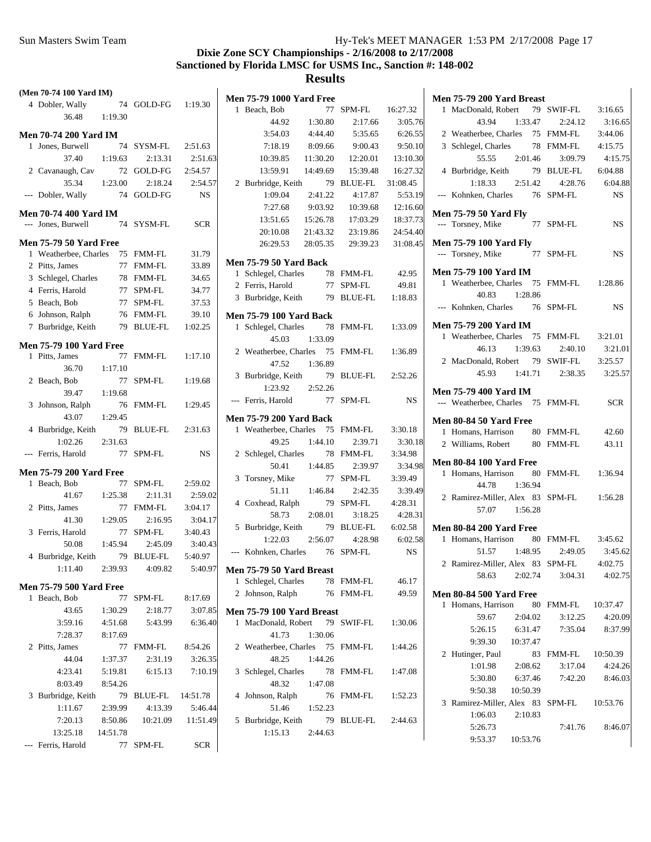## **Dixie Zone SCY Championships - 2/16/2008 to 2/17/2008 Sanctioned by Florida LMSC for USMS Inc., Sanction #: 148-002**

| (Men 70-74 100 Yard IM)        |          |                      |            | <b>Men 75-79 1000 Yard Free</b>                       |          |               |           | <b>Men 75-79 200 Yard Breast</b>  |            |            |
|--------------------------------|----------|----------------------|------------|-------------------------------------------------------|----------|---------------|-----------|-----------------------------------|------------|------------|
| 4 Dobler, Wally                |          | 74 GOLD-FG           | 1:19.30    | 1 Beach, Bob                                          |          | 77 SPM-FL     | 16:27.32  | 1 MacDonald, Robert               | 79 SWIF-FL | 3:16.65    |
| 36.48                          | 1:19.30  |                      |            | 44.92                                                 | 1:30.80  | 2:17.66       | 3:05.76   | 43.94<br>1:33.47                  | 2:24.12    | 3:16.65    |
| <b>Men 70-74 200 Yard IM</b>   |          |                      |            | 3:54.03                                               | 4:44.40  | 5:35.65       | 6:26.55   | 2 Weatherbee, Charles             | 75 FMM-FL  | 3:44.06    |
| 1 Jones, Burwell               |          | 74 SYSM-FL           | 2:51.63    | 7:18.19                                               | 8:09.66  | 9:00.43       | 9:50.10   | 3 Schlegel, Charles               | 78 FMM-FL  | 4:15.75    |
| 37.40                          | 1:19.63  | 2:13.31              | 2:51.63    | 10:39.85                                              | 11:30.20 | 12:20.01      | 13:10.30  | 55.55<br>2:01.46                  | 3:09.79    | 4:15.75    |
| 2 Cavanaugh, Cav               |          | 72 GOLD-FG           | 2:54.57    | 13:59.91                                              | 14:49.69 | 15:39.48      | 16:27.32  | 4 Burbridge, Keith                | 79 BLUE-FL | 6:04.88    |
| 35.34                          | 1:23.00  | 2:18.24              | 2:54.57    | 2 Burbridge, Keith                                    |          | 79 BLUE-FL    | 31:08.45  | 1:18.33<br>2:51.42                | 4:28.76    | 6:04.88    |
| --- Dobler, Wally              |          | 74 GOLD-FG           | NS         | 1:09.04                                               | 2:41.22  | 4:17.87       | 5:53.19   | --- Kohnken, Charles              | 76 SPM-FL  | <b>NS</b>  |
|                                |          |                      |            | 7:27.68                                               | 9:03.92  | 10:39.68      | 12:16.60  |                                   |            |            |
| <b>Men 70-74 400 Yard IM</b>   |          |                      |            | 13:51.65                                              | 15:26.78 | 17:03.29      | 18:37.73  | <b>Men 75-79 50 Yard Fly</b>      |            |            |
| --- Jones, Burwell             |          | 74 SYSM-FL           | <b>SCR</b> | 20:10.08                                              | 21:43.32 | 23:19.86      | 24:54.40  | --- Torsney, Mike                 | 77 SPM-FL  | <b>NS</b>  |
| <b>Men 75-79 50 Yard Free</b>  |          |                      |            | 26:29.53                                              | 28:05.35 | 29:39.23      | 31:08.45  | <b>Men 75-79 100 Yard Fly</b>     |            |            |
| 1 Weatherbee, Charles          |          | 75 FMM-FL            | 31.79      |                                                       |          |               |           | --- Torsney, Mike                 | 77 SPM-FL  | <b>NS</b>  |
| 2 Pitts, James                 |          | 77 FMM-FL            | 33.89      | <b>Men 75-79 50 Yard Back</b>                         |          |               |           |                                   |            |            |
| 3 Schlegel, Charles            |          | 78 FMM-FL            | 34.65      | 1 Schlegel, Charles                                   |          | 78 FMM-FL     | 42.95     | <b>Men 75-79 100 Yard IM</b>      |            |            |
| 4 Ferris, Harold               |          | 77 SPM-FL            | 34.77      | 2 Ferris, Harold                                      |          | 77 SPM-FL     | 49.81     | 1 Weatherbee, Charles             | 75 FMM-FL  | 1:28.86    |
| 5 Beach, Bob                   |          | 77 SPM-FL            | 37.53      | 3 Burbridge, Keith                                    |          | 79 BLUE-FL    | 1:18.83   | 1:28.86<br>40.83                  |            |            |
| 6 Johnson, Ralph               |          | 76 FMM-FL            | 39.10      |                                                       |          |               |           | --- Kohnken, Charles              | 76 SPM-FL  | <b>NS</b>  |
| 7 Burbridge, Keith             |          | 79 BLUE-FL           | 1:02.25    | <b>Men 75-79 100 Yard Back</b><br>1 Schlegel, Charles |          | 78 FMM-FL     | 1:33.09   | <b>Men 75-79 200 Yard IM</b>      |            |            |
|                                |          |                      |            | 45.03                                                 | 1:33.09  |               |           | 1 Weatherbee, Charles 75 FMM-FL   |            | 3:21.01    |
| <b>Men 75-79 100 Yard Free</b> |          |                      |            | 2 Weatherbee, Charles 75 FMM-FL                       |          |               |           | 46.13<br>1:39.63                  | 2:40.10    | 3:21.01    |
| 1 Pitts, James                 |          | 77 FMM-FL            | 1:17.10    |                                                       |          |               | 1:36.89   | 2 MacDonald, Robert               | 79 SWIF-FL | 3:25.57    |
| 36.70                          | 1:17.10  |                      |            | 47.52                                                 | 1:36.89  |               |           | 45.93<br>1:41.71                  | 2:38.35    | 3:25.57    |
| 2 Beach, Bob                   |          | 77 SPM-FL            | 1:19.68    | 3 Burbridge, Keith                                    |          | 79 BLUE-FL    | 2:52.26   |                                   |            |            |
| 39.47                          | 1:19.68  |                      |            | 1:23.92                                               | 2:52.26  |               |           | <b>Men 75-79 400 Yard IM</b>      |            |            |
| 3 Johnson, Ralph               |          | 76 FMM-FL            | 1:29.45    | --- Ferris, Harold                                    |          | 77 SPM-FL     | <b>NS</b> | --- Weatherbee, Charles 75 FMM-FL |            | <b>SCR</b> |
| 43.07                          | 1:29.45  |                      |            | <b>Men 75-79 200 Yard Back</b>                        |          |               |           | Men 80-84 50 Yard Free            |            |            |
| 4 Burbridge, Keith             |          | 79 BLUE-FL           | 2:31.63    | 1 Weatherbee, Charles 75 FMM-FL                       |          |               | 3:30.18   | 1 Homans, Harrison                | 80 FMM-FL  | 42.60      |
| 1:02.26                        | 2:31.63  |                      |            | 49.25                                                 | 1:44.10  | 2:39.71       | 3:30.18   | 2 Williams, Robert                | 80 FMM-FL  | 43.11      |
| --- Ferris, Harold             |          | 77 SPM-FL            | <b>NS</b>  | 2 Schlegel, Charles                                   |          | 78 FMM-FL     | 3:34.98   |                                   |            |            |
|                                |          |                      |            | 50.41                                                 | 1:44.85  | 2:39.97       | 3:34.98   | <b>Men 80-84 100 Yard Free</b>    |            |            |
| <b>Men 75-79 200 Yard Free</b> |          | 77 SPM-FL            | 2:59.02    | 3 Torsney, Mike                                       |          | 77 SPM-FL     | 3:39.49   | 1 Homans, Harrison                | 80 FMM-FL  | 1:36.94    |
| 1 Beach, Bob                   | 1:25.38  |                      | 2:59.02    | 51.11                                                 | 1:46.84  | 2:42.35       | 3:39.49   | 44.78<br>1:36.94                  |            |            |
| 41.67                          |          | 2:11.31<br>77 FMM-FL |            | 4 Coxhead, Ralph                                      |          | 79 SPM-FL     | 4:28.31   | 2 Ramirez-Miller, Alex 83 SPM-FL  |            | 1:56.28    |
| 2 Pitts, James                 |          |                      | 3:04.17    | 58.73                                                 | 2:08.01  | 3:18.25       | 4:28.31   | 57.07<br>1:56.28                  |            |            |
| 41.30                          | 1:29.05  | 2:16.95              | 3:04.17    | 5 Burbridge, Keith                                    |          | 79 BLUE-FL    | 6:02.58   | <b>Men 80-84 200 Yard Free</b>    |            |            |
| 3 Ferris, Harold               |          | 77 SPM-FL            | 3:40.43    | 1:22.03                                               | 2:56.07  | 4:28.98       | 6:02.58   | 1 Homans, Harrison                | 80 FMM-FL  | 3:45.62    |
| 50.08                          | 1:45.94  | 2:45.09              | 3:40.43    | --- Kohnken, Charles                                  |          | 76 SPM-FL     | <b>NS</b> | 1:48.95<br>51.57                  | 2:49.05    | 3:45.62    |
| 4 Burbridge, Keith             |          | 79 BLUE-FL           | 5:40.97    |                                                       |          |               |           | 2 Ramirez-Miller, Alex 83 SPM-FL  |            | 4:02.75    |
| 1:11.40                        | 2:39.93  | 4:09.82              | 5:40.97    | Men 75-79 50 Yard Breast                              |          |               |           | 58.63<br>2:02.74                  | 3:04.31    | 4:02.75    |
| <b>Men 75-79 500 Yard Free</b> |          |                      |            | 1 Schlegel, Charles                                   |          | $78\;$ FMM-FL | 46.17     |                                   |            |            |
| 1 Beach, Bob                   |          | 77 SPM-FL            | 8:17.69    | 2 Johnson, Ralph                                      |          | 76 FMM-FL     | 49.59     | <b>Men 80-84 500 Yard Free</b>    |            |            |
| 43.65                          | 1:30.29  | 2:18.77              | 3:07.85    | Men 75-79 100 Yard Breast                             |          |               |           | 1 Homans, Harrison                | 80 FMM-FL  | 10:37.47   |
| 3:59.16                        | 4:51.68  | 5:43.99              | 6:36.40    | 1 MacDonald, Robert                                   |          | 79 SWIF-FL    | 1:30.06   | 2:04.02<br>59.67                  | 3:12.25    | 4:20.09    |
| 7:28.37                        | 8:17.69  |                      |            | 41.73                                                 | 1:30.06  |               |           | 5:26.15<br>6:31.47                | 7:35.04    | 8:37.99    |
| 2 Pitts, James                 |          | 77 FMM-FL            | 8:54.26    | 2 Weatherbee, Charles 75 FMM-FL                       |          |               | 1:44.26   | 9:39.30<br>10:37.47               |            |            |
| 44.04                          | 1:37.37  | 2:31.19              | 3:26.35    | 48.25                                                 | 1:44.26  |               |           | 2 Hutinger, Paul                  | 83 FMM-FL  | 10:50.39   |
| 4:23.41                        | 5:19.81  | 6:15.13              | 7:10.19    | 3 Schlegel, Charles                                   |          | 78 FMM-FL     | 1:47.08   | 2:08.62<br>1:01.98                | 3:17.04    | 4:24.26    |
| 8:03.49                        | 8:54.26  |                      |            | 48.32                                                 | 1:47.08  |               |           | 5:30.80<br>6:37.46                | 7:42.20    | 8:46.03    |
| 3 Burbridge, Keith             |          | 79 BLUE-FL           | 14:51.78   | 4 Johnson, Ralph                                      |          | 76 FMM-FL     | 1:52.23   | 9:50.38<br>10:50.39               |            |            |
| 1:11.67                        | 2:39.99  | 4:13.39              | 5:46.44    | 51.46                                                 | 1:52.23  |               |           | 3 Ramirez-Miller, Alex 83 SPM-FL  |            | 10:53.76   |
| 7:20.13                        | 8:50.86  | 10:21.09             | 11:51.49   | 5 Burbridge, Keith                                    |          | 79 BLUE-FL    | 2:44.63   | 1:06.03<br>2:10.83                |            |            |
| 13:25.18                       | 14:51.78 |                      |            | 1:15.13                                               | 2:44.63  |               |           | 5:26.73                           | 7:41.76    | 8:46.07    |
|                                |          |                      |            |                                                       |          |               |           | 9:53.37<br>10:53.76               |            |            |
| --- Ferris, Harold             |          | 77 SPM-FL            | <b>SCR</b> |                                                       |          |               |           |                                   |            |            |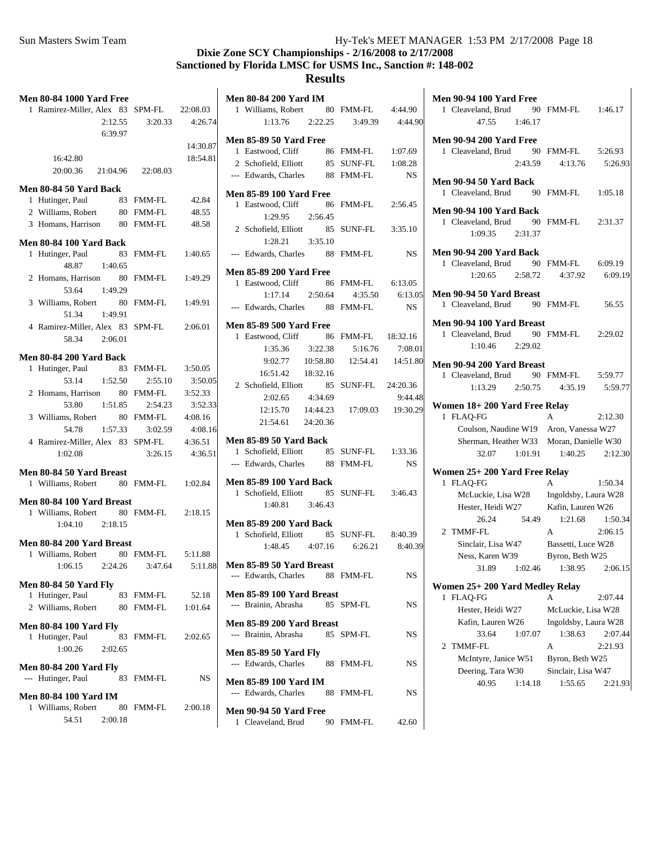| <b>Men 80-84 1000 Yard Free</b>  |           |          | <b>Men 80-84 200 Yard IM</b>                        |                         |                      |
|----------------------------------|-----------|----------|-----------------------------------------------------|-------------------------|----------------------|
| 1 Ramirez-Miller, Alex 83 SPM-FL |           | 22:08.03 | 1 Williams, Robert                                  | 80 FMM-FL               | 4:44.90              |
| 2:12.55                          | 3:20.33   | 4:26.74  | 1:13.76<br>2:22.25                                  | 3:49.39                 | 4:44.90              |
| 6:39.97                          |           |          | <b>Men 85-89 50 Yard Free</b>                       |                         |                      |
|                                  |           | 14:30.87 | 1 Eastwood, Cliff                                   | 86 FMM-FL               | 1:07.69              |
| 16:42.80<br>20:00.36<br>21:04.96 | 22:08.03  | 18:54.81 | 2 Schofield, Elliott                                | 85 SUNF-FL              | 1:08.28              |
|                                  |           |          | --- Edwards, Charles                                | 88 FMM-FL               | <b>NS</b>            |
| Men 80-84 50 Yard Back           |           |          | <b>Men 85-89 100 Yard Free</b>                      |                         |                      |
| 1 Hutinger, Paul                 | 83 FMM-FL | 42.84    | 1 Eastwood, Cliff                                   | 86 FMM-FL               | 2:56.45              |
| 2 Williams, Robert               | 80 FMM-FL | 48.55    | 1:29.95<br>2:56.45                                  |                         |                      |
| 3 Homans, Harrison               | 80 FMM-FL | 48.58    | 2 Schofield, Elliott                                | 85 SUNF-FL              | 3:35.10              |
| Men 80-84 100 Yard Back          |           |          | 1:28.21<br>3:35.10                                  |                         |                      |
| 1 Hutinger, Paul                 | 83 FMM-FL | 1:40.65  | --- Edwards, Charles                                | 88 FMM-FL               | <b>NS</b>            |
| 48.87<br>1:40.65                 |           |          | <b>Men 85-89 200 Yard Free</b>                      |                         |                      |
| 2 Homans, Harrison               | 80 FMM-FL | 1:49.29  | 1 Eastwood, Cliff                                   | 86 FMM-FL               | 6:13.05              |
| 53.64<br>1:49.29                 |           |          | 1:17.14<br>2:50.64                                  | 4:35.50                 | 6:13.05              |
| 3 Williams, Robert               | 80 FMM-FL | 1:49.91  | --- Edwards, Charles                                | 88 FMM-FL               | NS.                  |
| 51.34<br>1:49.91                 |           |          |                                                     |                         |                      |
| 4 Ramirez-Miller, Alex 83 SPM-FL |           | 2:06.01  | <b>Men 85-89 500 Yard Free</b><br>1 Eastwood, Cliff | 86 FMM-FL               | 18:32.16             |
| 58.34<br>2:06.01                 |           |          | 1:35.36<br>3:22.38                                  | 5:16.76                 | 7:08.01              |
| <b>Men 80-84 200 Yard Back</b>   |           |          | 9:02.77<br>10:58.80                                 | 12:54.41                | 14:51.80             |
| 1 Hutinger, Paul                 | 83 FMM-FL | 3:50.05  | 16:51.42<br>18:32.16                                |                         |                      |
| 53.14<br>1:52.50                 | 2:55.10   | 3:50.05  | 2 Schofield, Elliott                                | 85 SUNF-FL              | 24:20.36             |
| 2 Homans, Harrison               | 80 FMM-FL | 3:52.33  | 2:02.65<br>4:34.69                                  |                         | 9:44.48              |
| 53.80<br>1:51.85                 | 2:54.23   | 3:52.33  | 12:15.70<br>14:44.23                                | 17:09.03                | 19:30.29             |
| 3 Williams, Robert               | 80 FMM-FL | 4:08.16  | 21:54.61<br>24:20.36                                |                         |                      |
| 54.78<br>1:57.33                 | 3:02.59   | 4:08.16  |                                                     |                         |                      |
| 4 Ramirez-Miller, Alex 83 SPM-FL |           | 4:36.51  | <b>Men 85-89 50 Yard Back</b>                       |                         |                      |
| 1:02.08                          | 3:26.15   | 4:36.51  | 1 Schofield, Elliott<br>--- Edwards, Charles        | 85 SUNF-FL<br>88 FMM-FL | 1:33.36<br><b>NS</b> |
| Men 80-84 50 Yard Breast         |           |          |                                                     |                         |                      |
| 1 Williams, Robert               | 80 FMM-FL | 1:02.84  | <b>Men 85-89 100 Yard Back</b>                      |                         |                      |
| Men 80-84 100 Yard Breast        |           |          | 1 Schofield, Elliott                                | 85 SUNF-FL              | 3:46.43              |
| 1 Williams, Robert               | 80 FMM-FL | 2:18.15  | 1:40.81<br>3:46.43                                  |                         |                      |
| 1:04.10<br>2:18.15               |           |          | <b>Men 85-89 200 Yard Back</b>                      |                         |                      |
|                                  |           |          | 1 Schofield, Elliott                                | 85 SUNF-FL              | 8:40.39              |
| Men 80-84 200 Yard Breast        | 80 FMM-FL |          | 4:07.16<br>1:48.45                                  | 6:26.21                 | 8:40.39              |
| 1 Williams, Robert<br>1:06.15    |           | 5:11.88  | Men 85-89 50 Yard Breast                            |                         |                      |
| 2:24.26                          | 3:47.64   | 5:11.88  | --- Edwards, Charles                                | 88 FMM-FL               | NS.                  |
| <b>Men 80-84 50 Yard Fly</b>     |           |          |                                                     |                         |                      |
| 1 Hutinger, Paul                 | 83 FMM-FL | 52.18    | Men 85-89 100 Yard Breast                           |                         |                      |
| 2 Williams, Robert               | 80 FMM-FL | 1:01.64  | --- Brainin, Abrasha                                | 85 SPM-FL               | NS.                  |
| <b>Men 80-84 100 Yard Fly</b>    |           |          | Men 85-89 200 Yard Breast                           |                         |                      |
| 1 Hutinger, Paul                 | 83 FMM-FL | 2:02.65  | --- Brainin, Abrasha                                | 85 SPM-FL               | NS                   |
| 1:00.26<br>2:02.65               |           |          | <b>Men 85-89 50 Yard Fly</b>                        |                         |                      |
| <b>Men 80-84 200 Yard Fly</b>    |           |          | --- Edwards, Charles                                | 88 FMM-FL               | NS.                  |
| --- Hutinger, Paul               | 83 FMM-FL | NS.      |                                                     |                         |                      |
|                                  |           |          | Men 85-89 100 Yard IM<br>--- Edwards, Charles       | 88 FMM-FL               | NS                   |
| <b>Men 80-84 100 Yard IM</b>     |           |          |                                                     |                         |                      |
| 1 Williams, Robert               | 80 FMM-FL | 2:00.18  | <b>Men 90-94 50 Yard Free</b>                       |                         |                      |
| 2:00.18<br>54.51                 |           |          | 1 Cleaveland, Brud                                  | 90 FMM-FL               | 42.60                |

|        |                     | <b>Men 90-94 100 Yard Free</b>           |                      |
|--------|---------------------|------------------------------------------|----------------------|
| 4-FL   | 4:44.90             | 1 Cleaveland, Brud                       | 90 FMM-FL 1:46.17    |
| :49.39 | 4:44.90             | 47.55<br>1:46.17                         |                      |
|        |                     | <b>Men 90-94 200 Yard Free</b>           |                      |
| 4-FL   | 1:07.69             | 1 Cleaveland, Brud                       | 90 FMM-FL<br>5:26.93 |
| F-FL   | 1:08.28             | 2:43.59                                  | 5:26.93<br>4:13.76   |
| 4-FL   | <b>NS</b>           | Men 90-94 50 Yard Back                   |                      |
|        |                     | 1 Cleaveland, Brud 90 FMM-FL             | 1:05.18              |
| 4-FL   | 2:56.45             |                                          |                      |
|        |                     | <b>Men 90-94 100 Yard Back</b>           |                      |
| F-FL   | 3:35.10             | 1 Cleaveland, Brud                       | 90 FMM-FL<br>2:31.37 |
|        |                     | 1:09.35<br>2:31.37                       |                      |
| 1-FL   | <b>NS</b>           | <b>Men 90-94 200 Yard Back</b>           |                      |
|        |                     | 1 Cleaveland, Brud                       | 90 FMM-FL<br>6:09.19 |
| 4-FL   | 6:13.05             | 1:20.65<br>2:58.72                       | 4:37.92<br>6:09.19   |
| :35.50 | 6:13.05             | Men 90-94 50 Yard Breast                 |                      |
| 4-FL   | <b>NS</b>           | 1 Cleaveland, Brud 90 FMM-FL             | 56.55                |
|        |                     |                                          |                      |
|        |                     | Men 90-94 100 Yard Breast                | 90 FMM-FL<br>2:29.02 |
| 4-FL   | 18:32.16            | 1 Cleaveland, Brud<br>1:10.46<br>2:29.02 |                      |
| :16.76 | 7:08.01             |                                          |                      |
| :54.41 | 14:51.80            | Men 90-94 200 Yard Breast                |                      |
|        |                     | 1 Cleaveland, Brud                       | 90 FMM-FL<br>5:59.77 |
| F-FL   | 24:20.36            | $1:13.29$ $2:50.75$ $4:35.19$            | 5:59.77              |
| :09.03 | 9:44.48<br>19:30.29 | Women 18+200 Yard Free Relay             |                      |
|        |                     | 1 FLAQ-FG                                | 2:12.30<br>A         |
|        |                     | Coulson, Naudine W19 Aron, Vanessa W27   |                      |
|        |                     | Sherman, Heather W33 Moran, Danielle W30 |                      |
| F-FL   | 1:33.36             | 32.07 1:01.91                            | 1:40.25<br>2:12.30   |
| 1-FL   | <b>NS</b>           | Women 25+200 Yard Free Relay             |                      |
|        |                     | 1 FLAQ-FG                                | 1:50.34<br>A         |
| F-FL   | 3:46.43             | McLuckie, Lisa W28                       | Ingoldsby, Laura W28 |
|        |                     | Hester, Heidi W27                        | Kafin, Lauren W26    |
|        |                     | 26.24<br>54.49                           | 1:21.68<br>1:50.34   |
| F-FL   | 8:40.39             | 2 TMMF-FL                                | 2:06.15<br>A         |
| :26.21 | 8:40.39             | Sinclair, Lisa W47                       | Bassetti, Luce W28   |
|        |                     | Ness, Karen W39                          | Byron, Beth W25      |
|        |                     | 31.89<br>1:02.46                         | 2:06.15<br>1:38.95   |
| ⁄I-FL  | NS                  | Women 25+200 Yard Medley Relay           |                      |
|        |                     | 1 FLAQ-FG                                | 2:07.44<br>А         |
| l-FL   | NS                  | Hester, Heidi W27                        | McLuckie, Lisa W28   |
|        |                     | Kafin, Lauren W26                        | Ingoldsby, Laura W28 |
| l-FL   | NS                  | 33.64<br>1:07.07                         | 1:38.63<br>2:07.44   |
|        |                     | 2 TMMF-FL                                | А<br>2:21.93         |
|        |                     | McIntyre, Janice W51                     | Byron, Beth W25      |
| ⁄I-FL  | NS                  | Deering, Tara W30                        | Sinclair, Lisa W47   |
|        |                     | 40.95<br>1:14.18                         | 2:21.93<br>1:55.65   |
| ⁄I-FL  | NS                  |                                          |                      |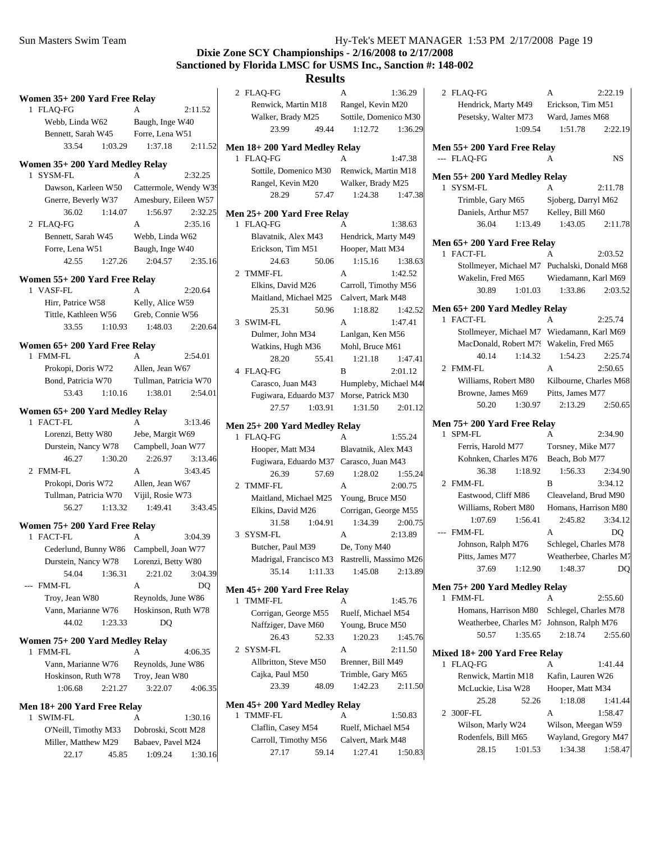## **Dixie Zone SCY Championships - 2/16/2008 to 2/17/2008 Sanctioned by Florida LMSC for USMS Inc., Sanction #: 148-002**

| Women 35+200 Yard Free Relay<br>1 FLAQ-FG<br>A |                                           | 2:11.52               | 2 FLAQ-FG<br>Renwick, Martin M18<br>Walker, Brady M25 |                              | 1:36.29<br>A<br>Rangel, Kevin M20<br>Sottile, Domenico M30 |                                        | 2 FLAQ-FG<br>Hendrick, Marty M49<br>Pesetsky, Walter M73 |         | 2:22.19<br>A<br>Erickson, Tim M51<br>Ward, James M68 |                                            |                                            |                                              |           |
|------------------------------------------------|-------------------------------------------|-----------------------|-------------------------------------------------------|------------------------------|------------------------------------------------------------|----------------------------------------|----------------------------------------------------------|---------|------------------------------------------------------|--------------------------------------------|--------------------------------------------|----------------------------------------------|-----------|
|                                                | Webb, Linda W62                           | Baugh, Inge W40       |                                                       |                              | 23.99                                                      | 49.44                                  | 1:12.72                                                  | 1:36.29 |                                                      |                                            | 1:09.54                                    | 1:51.78                                      | 2:22.19   |
|                                                | Bennett, Sarah W45                        | Forre, Lena W51       |                                                       |                              |                                                            |                                        |                                                          |         |                                                      |                                            |                                            |                                              |           |
|                                                | 33.54<br>1:03.29                          | 1:37.18               | 2:11.52                                               |                              | Men 18+200 Yard Medley Relay                               |                                        |                                                          |         |                                                      | Men 55+200 Yard Free Relay                 |                                            |                                              |           |
|                                                | Women 35+200 Yard Medley Relay            |                       |                                                       |                              | 1 FLAQ-FG                                                  |                                        | A                                                        | 1:47.38 |                                                      | --- FLAQ-FG                                |                                            | A                                            | <b>NS</b> |
|                                                | 1 SYSM-FL                                 | A                     | 2:32.25                                               |                              | Sottile, Domenico M30 Renwick, Martin M18                  |                                        |                                                          |         |                                                      | Men 55+200 Yard Medley Relay               |                                            |                                              |           |
|                                                | Dawson, Karleen W50                       | Cattermole, Wendy W39 |                                                       |                              | Rangel, Kevin M20                                          |                                        | Walker, Brady M25                                        |         |                                                      | 1 SYSM-FL                                  |                                            | A                                            | 2:11.78   |
|                                                | Gnerre, Beverly W37                       | Amesbury, Eileen W57  |                                                       |                              | 28.29                                                      | 57.47                                  | 1:24.38                                                  | 1:47.38 |                                                      | Trimble, Gary M65                          |                                            | Sjoberg, Darryl M62                          |           |
|                                                | 36.02<br>1:14.07                          | 1:56.97               | 2:32.25                                               |                              | Men 25+200 Yard Free Relay                                 |                                        |                                                          |         |                                                      | Daniels, Arthur M57                        |                                            | Kelley, Bill M60                             |           |
|                                                | 2 FLAQ-FG                                 | A                     | 2:35.16                                               |                              | 1 FLAQ-FG                                                  |                                        | A                                                        | 1:38.63 |                                                      | 36.04                                      | 1:13.49                                    | 1:43.05                                      | 2:11.78   |
|                                                | Bennett, Sarah W45                        | Webb, Linda W62       |                                                       |                              | Blavatnik, Alex M43                                        |                                        | Hendrick, Marty M49                                      |         |                                                      |                                            |                                            |                                              |           |
|                                                | Forre, Lena W51                           | Baugh, Inge W40       |                                                       |                              | Erickson, Tim M51                                          |                                        | Hooper, Matt M34                                         |         |                                                      | Men 65+200 Yard Free Relay<br>1 FACT-FL    |                                            | A                                            | 2:03.52   |
|                                                | 42.55<br>1:27.26                          | 2:04.57               | 2:35.16                                               |                              | 24.63                                                      | 50.06                                  | 1:15.16                                                  | 1:38.63 |                                                      |                                            |                                            | Stollmeyer, Michael M7 Puchalski, Donald M68 |           |
|                                                |                                           |                       |                                                       |                              | 2 TMMF-FL                                                  |                                        | A                                                        | 1:42.52 |                                                      | Wakelin, Fred M65                          |                                            | Wiedamann, Karl M69                          |           |
|                                                | Women 55+200 Yard Free Relay<br>1 VASF-FL | A                     | 2:20.64                                               |                              | Elkins, David M26                                          |                                        | Carroll, Timothy M56                                     |         |                                                      | 30.89                                      | 1:01.03                                    | 1:33.86                                      | 2:03.52   |
|                                                | Hirr, Patrice W58                         | Kelly, Alice W59      |                                                       |                              | Maitland, Michael M25 Calvert, Mark M48                    |                                        |                                                          |         |                                                      |                                            |                                            |                                              |           |
|                                                | Tittle, Kathleen W56                      | Greb, Connie W56      |                                                       |                              | 25.31                                                      | 50.96                                  | 1:18.82                                                  | 1:42.52 |                                                      | Men 65+200 Yard Medley Relay               |                                            |                                              |           |
|                                                | 33.55<br>1:10.93                          | 1:48.03               | 2:20.64                                               |                              | 3 SWIM-FL                                                  |                                        | A                                                        | 1:47.41 |                                                      | 1 FACT-FL                                  |                                            | A                                            | 2:25.74   |
|                                                |                                           |                       |                                                       |                              | Dulmer, John M34                                           |                                        | Lanlgan, Ken M56                                         |         |                                                      | Stollmeyer, Michael M7 Wiedamann, Karl M69 |                                            |                                              |           |
|                                                | Women 65+200 Yard Free Relay              |                       |                                                       |                              | Watkins, Hugh M36                                          |                                        | Mohl, Bruce M61                                          |         |                                                      | MacDonald, Robert M7! Wakelin, Fred M65    |                                            |                                              |           |
|                                                | 1 FMM-FL                                  | A                     | 2:54.01                                               |                              | 28.20                                                      | 55.41                                  | 1:21.18                                                  | 1:47.41 |                                                      | 40.14                                      | 1:14.32                                    | 1:54.23                                      | 2:25.74   |
|                                                | Prokopi, Doris W72                        | Allen, Jean W67       |                                                       |                              | 4 FLAQ-FG                                                  |                                        | $\mathbf B$                                              | 2:01.12 |                                                      | 2 FMM-FL                                   |                                            | A                                            | 2:50.65   |
|                                                | Bond, Patricia W70                        | Tullman, Patricia W70 |                                                       |                              | Carasco, Juan M43                                          |                                        | Humpleby, Michael M40                                    |         |                                                      | Williams, Robert M80                       |                                            | Kilbourne, Charles M68                       |           |
|                                                | 53.43<br>1:10.16                          | 1:38.01               | 2:54.01                                               |                              | Fugiwara, Eduardo M37 Morse, Patrick M30                   |                                        |                                                          |         |                                                      | Browne, James M69                          |                                            | Pitts, James M77                             |           |
|                                                | Women 65+200 Yard Medley Relay            |                       |                                                       |                              | 27.57                                                      | 1:03.91                                | 1:31.50                                                  | 2:01.12 |                                                      | 50.20                                      | 1:30.97                                    | 2:13.29                                      | 2:50.65   |
|                                                | 1 FACT-FL                                 | A                     | 3:13.46                                               |                              | Men 25+200 Yard Medley Relay                               |                                        |                                                          |         |                                                      | Men 75+200 Yard Free Relay                 |                                            |                                              |           |
|                                                | Lorenzi, Betty W80                        | Jebe, Margit W69      |                                                       |                              | 1 FLAQ-FG                                                  |                                        | A                                                        | 1:55.24 |                                                      | 1 SPM-FL                                   |                                            | A                                            | 2:34.90   |
|                                                | Durstein, Nancy W78                       | Campbell, Joan W77    |                                                       |                              | Hooper, Matt M34                                           |                                        | Blavatnik, Alex M43                                      |         |                                                      | Ferris, Harold M77                         |                                            | Torsney, Mike M77                            |           |
|                                                | 1:30.20<br>46.27                          | 2:26.97               | 3:13.46                                               |                              | Fugiwara, Eduardo M37 Carasco, Juan M43                    |                                        |                                                          |         |                                                      | Kohnken, Charles M76                       |                                            | Beach, Bob M77                               |           |
|                                                | 2 FMM-FL                                  | A                     | 3:43.45                                               |                              | 26.39                                                      | 57.69                                  | 1:28.02                                                  | 1:55.24 |                                                      | 36.38                                      | 1:18.92                                    | 1:56.33                                      | 2:34.90   |
|                                                | Prokopi, Doris W72                        | Allen, Jean W67       |                                                       |                              | 2 TMMF-FL                                                  |                                        | A                                                        | 2:00.75 |                                                      | 2 FMM-FL                                   |                                            | B                                            | 3:34.12   |
|                                                | Tullman, Patricia W70                     | Vijil, Rosie W73      |                                                       |                              | Maitland, Michael M25 Young, Bruce M50                     |                                        |                                                          |         |                                                      | Eastwood, Cliff M86                        |                                            | Cleaveland, Brud M90                         |           |
|                                                | 56.27<br>1:13.32                          | 1:49.41               | 3:43.45                                               |                              | Elkins, David M26                                          |                                        | Corrigan, George M55                                     |         |                                                      | Williams, Robert M80                       |                                            | Homans, Harrison M80                         |           |
|                                                | Women 75+ 200 Yard Free Relay             |                       |                                                       |                              | 31.58                                                      | 1:04.91                                | 1:34.39                                                  | 2:00.75 |                                                      | 1:07.69                                    | 1:56.41                                    | 2:45.82                                      | 3:34.12   |
|                                                | 1 FACT-FL                                 | A                     | 3:04.39                                               |                              | 3 SYSM-FL                                                  |                                        | A                                                        | 2:13.89 |                                                      | --- FMM-FL                                 |                                            | A                                            | DQ.       |
|                                                | Cederlund, Bunny W86 Campbell, Joan W77   |                       |                                                       |                              | Butcher, Paul M39                                          |                                        | De, Tony M40                                             |         |                                                      | Johnson, Ralph M76                         |                                            | Schlegel, Charles M78                        |           |
|                                                | Durstein, Nancy W78 Lorenzi, Betty W80    |                       |                                                       |                              | Madrigal, Francisco M3 Rastrelli, Massimo M26              |                                        |                                                          |         |                                                      | Pitts, James M77                           |                                            | Weatherbee, Charles M7                       |           |
|                                                | 54.04<br>1:36.31                          | 2:21.02               | 3:04.39                                               |                              | 35.14                                                      | 1:11.33                                | 1:45.08                                                  | 2:13.89 |                                                      | 37.69                                      | 1:12.90                                    | 1:48.37                                      | <b>DQ</b> |
|                                                | --- FMM-FL                                | А                     | DQ                                                    |                              |                                                            |                                        |                                                          |         |                                                      | Men 75+200 Yard Medley Relay               |                                            |                                              |           |
|                                                | Troy, Jean W80                            | Reynolds, June W86    |                                                       |                              | Men 45+200 Yard Free Relay<br>1 TMMF-FL                    |                                        | A                                                        | 1:45.76 |                                                      | 1 FMM-FL                                   |                                            | A                                            | 2:55.60   |
|                                                | Vann, Marianne W76                        | Hoskinson, Ruth W78   |                                                       |                              | Corrigan, George M55                                       |                                        | Ruelf, Michael M54                                       |         |                                                      | Homans, Harrison M80 Schlegel, Charles M78 |                                            |                                              |           |
|                                                | 44.02<br>1:23.33                          | DQ                    |                                                       |                              | Naffziger, Dave M60                                        |                                        | Young, Bruce M50                                         |         |                                                      | Weatherbee, Charles M7 Johnson, Ralph M76  |                                            |                                              |           |
|                                                |                                           |                       |                                                       |                              | 26.43                                                      | 52.33                                  | 1:20.23                                                  | 1:45.76 |                                                      | 50.57                                      | 1:35.65                                    | 2:18.74                                      | 2:55.60   |
|                                                | Women 75+200 Yard Medley Relay            |                       |                                                       |                              | 2 SYSM-FL                                                  |                                        | A                                                        | 2:11.50 |                                                      |                                            |                                            |                                              |           |
|                                                | 1 FMM-FL                                  | A                     | 4:06.35                                               |                              | Allbritton, Steve M50                                      |                                        | Brenner, Bill M49                                        |         |                                                      | Mixed 18+200 Yard Free Relay               |                                            |                                              |           |
|                                                | Vann, Marianne W76                        | Reynolds, June W86    |                                                       |                              | Cajka, Paul M50                                            |                                        | Trimble, Gary M65                                        |         |                                                      | 1 FLAQ-FG                                  |                                            | A                                            | 1:41.44   |
|                                                | Hoskinson, Ruth W78                       | Troy, Jean W80        |                                                       |                              | 23.39                                                      | 48.09                                  | 1:42.23                                                  | 2:11.50 |                                                      | Renwick, Martin M18                        |                                            | Kafin, Lauren W26                            |           |
| 1:06.68<br>2:21.27<br>3:22.07<br>4:06.35       |                                           |                       |                                                       |                              |                                                            | Hooper, Matt M34<br>McLuckie, Lisa W28 |                                                          |         |                                                      |                                            |                                            |                                              |           |
| Men 18+200 Yard Free Relay                     |                                           |                       |                                                       | Men 45+200 Yard Medley Relay |                                                            |                                        |                                                          |         | 25.28                                                | 52.26                                      | 1:18.08                                    | 1:41.44                                      |           |
| 1:30.16<br>1 SWIM-FL<br>А                      |                                           |                       |                                                       | 1 TMMF-FL                    |                                                            | 1:50.83<br>A                           |                                                          |         | 2 300F-FL                                            |                                            | A                                          | 1:58.47                                      |           |
| O'Neill, Timothy M33                           |                                           | Dobroski, Scott M28   |                                                       | Claflin, Casey M54           |                                                            |                                        | Ruelf, Michael M54                                       |         | Wilson, Marly W24<br>Rodenfels, Bill M65             |                                            | Wilson, Meegan W59<br>Wayland, Gregory M47 |                                              |           |
|                                                | Miller, Matthew M29                       | Babaev, Pavel M24     |                                                       |                              | Carroll, Timothy M56                                       |                                        | Calvert, Mark M48                                        |         |                                                      |                                            |                                            | 1:34.38                                      |           |
|                                                | 22.17<br>45.85                            | 1:09.24               | 1:30.16                                               |                              | 27.17                                                      | 59.14                                  | 1:27.41                                                  | 1:50.83 |                                                      | 28.15                                      | 1:01.53                                    |                                              | 1:58.47   |
|                                                |                                           |                       |                                                       |                              |                                                            |                                        |                                                          |         |                                                      |                                            |                                            |                                              |           |